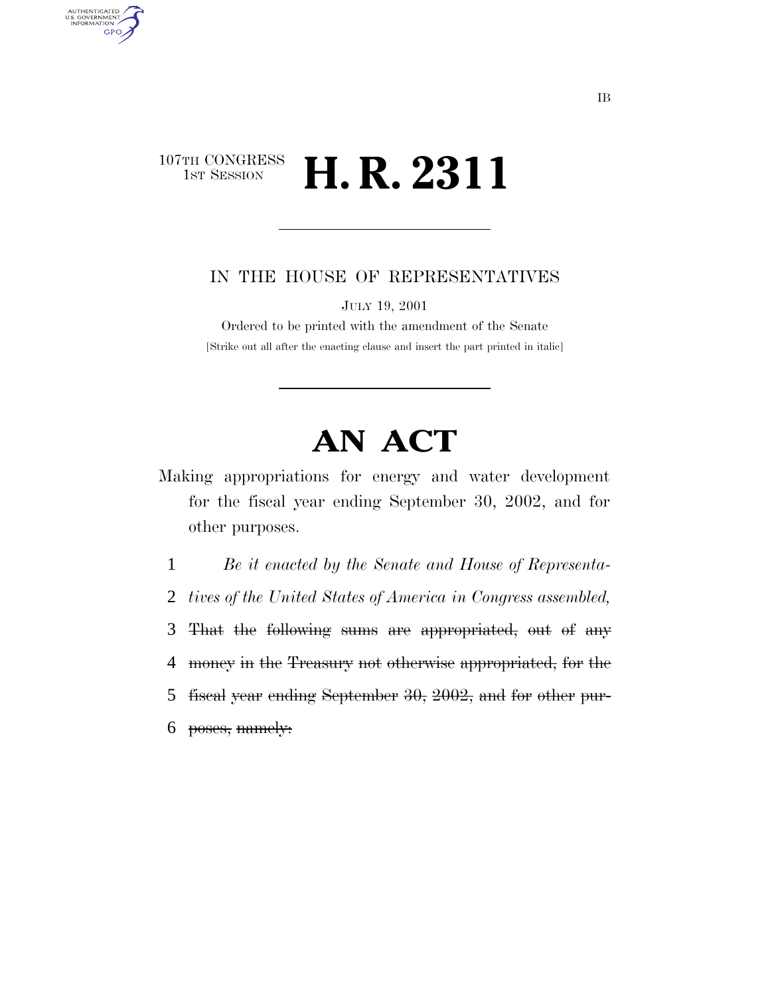# 107TH CONGRESS TH CONGRESS **H. R. 2311**

AUTHENTICATED<br>U.S. GOVERNMENT<br>INFORMATION

**GPO** 

# IN THE HOUSE OF REPRESENTATIVES

JULY 19, 2001

Ordered to be printed with the amendment of the Senate [Strike out all after the enacting clause and insert the part printed in italic]

# **AN ACT**

Making appropriations for energy and water development for the fiscal year ending September 30, 2002, and for other purposes.

 *Be it enacted by the Senate and House of Representa- tives of the United States of America in Congress assembled,* That the following sums are appropriated, out of any money in the Treasury not otherwise appropriated, for the fiscal year ending September 30, 2002, and for other pur-poses, namely: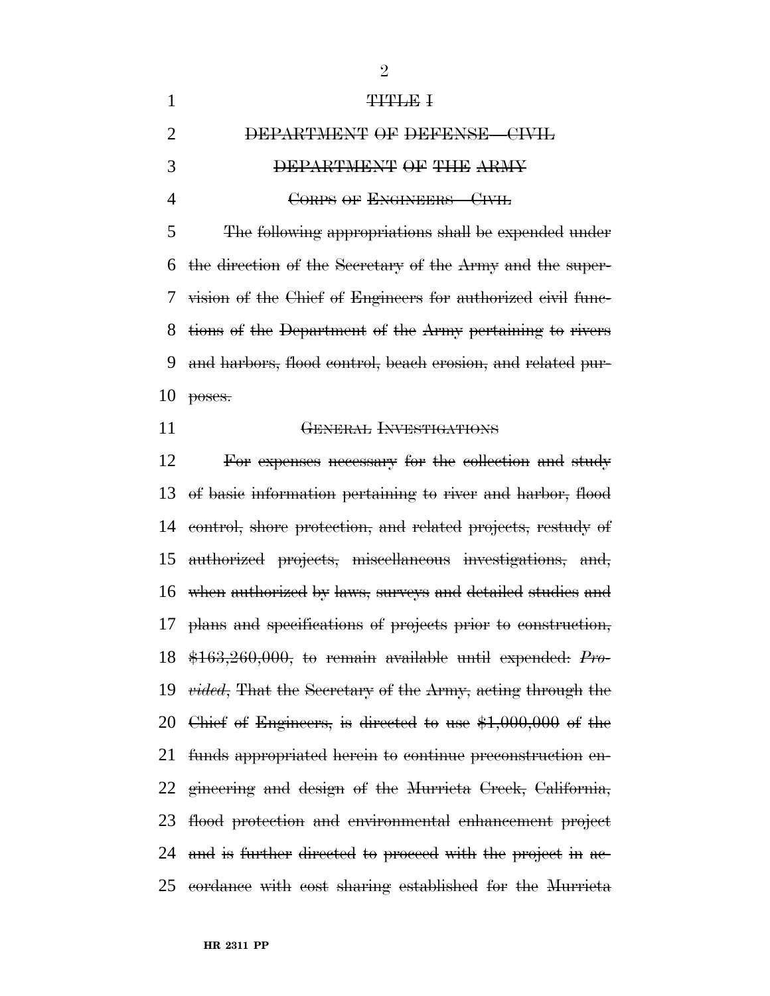|    | <b>THTLE I</b>                                                |
|----|---------------------------------------------------------------|
| 2  | DEPARTMENT OF DEFENSE-CIVIL                                   |
| 3  | DEPARTMENT OF THE ARMY                                        |
| 4  | CORPS OF ENGINEERS-CIVIL                                      |
| 5  | The following appropriations shall be expended under          |
|    | 6 the direction of the Secretary of the Army and the super-   |
|    | 7 vision of the Chief of Engineers for authorized civil func- |
|    | 8 tions of the Department of the Army pertaining to rivers    |
| 9  | and harbors, flood control, beach erosion, and related pur-   |
| 10 | poses.                                                        |

#### GENERAL INVESTIGATIONS

 For expenses necessary for the collection and study of basic information pertaining to river and harbor, flood control, shore protection, and related projects, restudy of authorized projects, miscellaneous investigations, and, when authorized by laws, surveys and detailed studies and plans and specifications of projects prior to construction, \$163,260,000, to remain available until expended: *Pro- vided*, That the Secretary of the Army, acting through the Chief of Engineers, is directed to use \$1,000,000 of the funds appropriated herein to continue preconstruction en- gineering and design of the Murrieta Creek, California, flood protection and environmental enhancement project 24 and is further directed to proceed with the project in ac-cordance with cost sharing established for the Murrieta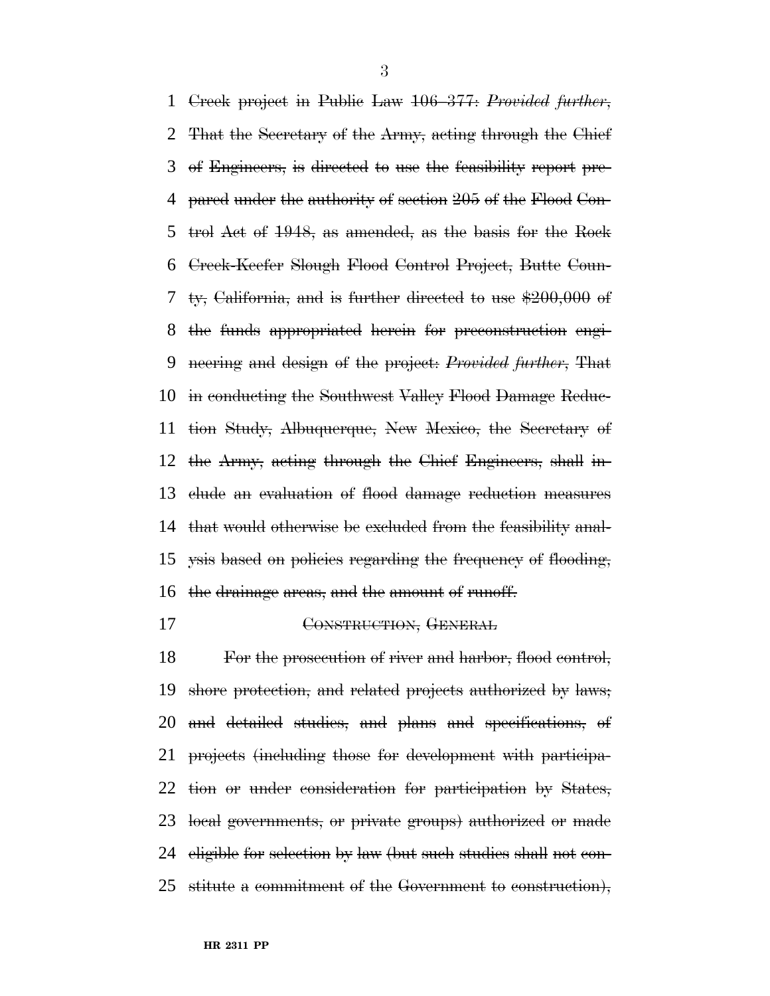Creek project in Public Law 106–377: *Provided further*, That the Secretary of the Army, acting through the Chief of Engineers, is directed to use the feasibility report pre- pared under the authority of section 205 of the Flood Con- trol Act of 1948, as amended, as the basis for the Rock Creek-Keefer Slough Flood Control Project, Butte Coun- ty, California, and is further directed to use \$200,000 of the funds appropriated herein for preconstruction engi- neering and design of the project: *Provided further*, That in conducting the Southwest Valley Flood Damage Reduc- tion Study, Albuquerque, New Mexico, the Secretary of the Army, acting through the Chief Engineers, shall in- clude an evaluation of flood damage reduction measures that would otherwise be excluded from the feasibility anal- ysis based on policies regarding the frequency of flooding, the drainage areas, and the amount of runoff.

CONSTRUCTION, GENERAL

 For the prosecution of river and harbor, flood control, shore protection, and related projects authorized by laws; and detailed studies, and plans and specifications, of projects (including those for development with participa- tion or under consideration for participation by States, local governments, or private groups) authorized or made eligible for selection by law (but such studies shall not con-stitute a commitment of the Government to construction),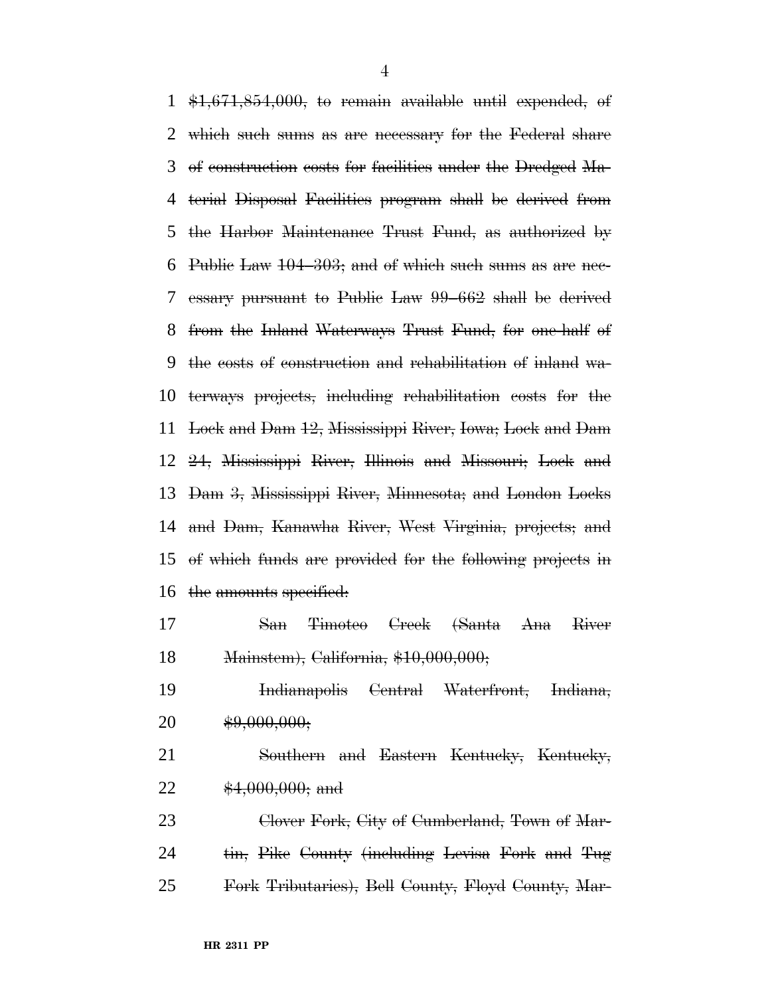$\text{\#1,671,854,000}$ , to remain available until expended, of which such sums as are necessary for the Federal share of construction costs for facilities under the Dredged Ma- terial Disposal Facilities program shall be derived from the Harbor Maintenance Trust Fund, as authorized by Public Law 104–303; and of which such sums as are nec- essary pursuant to Public Law 99–662 shall be derived from the Inland Waterways Trust Fund, for one-half of the costs of construction and rehabilitation of inland wa- terways projects, including rehabilitation costs for the Lock and Dam 12, Mississippi River, Iowa; Lock and Dam 24, Mississippi River, Illinois and Missouri; Lock and Dam 3, Mississippi River, Minnesota; and London Locks and Dam, Kanawha River, West Virginia, projects; and of which funds are provided for the following projects in the amounts specified:

 San Timoteo Creek (Santa Ana River Mainstem), California, \$10,000,000;

 Indianapolis Central Waterfront, Indiana, 20  $\qquad \qquad$  \$9,000,000;

 Southern and Eastern Kentucky, Kentucky, 22 \$4,000,000; and

23 Clover Fork, City of Cumberland, Town of Mar-24 tin, Pike County (including Levisa Fork and Tug Fork Tributaries), Bell County, Floyd County, Mar-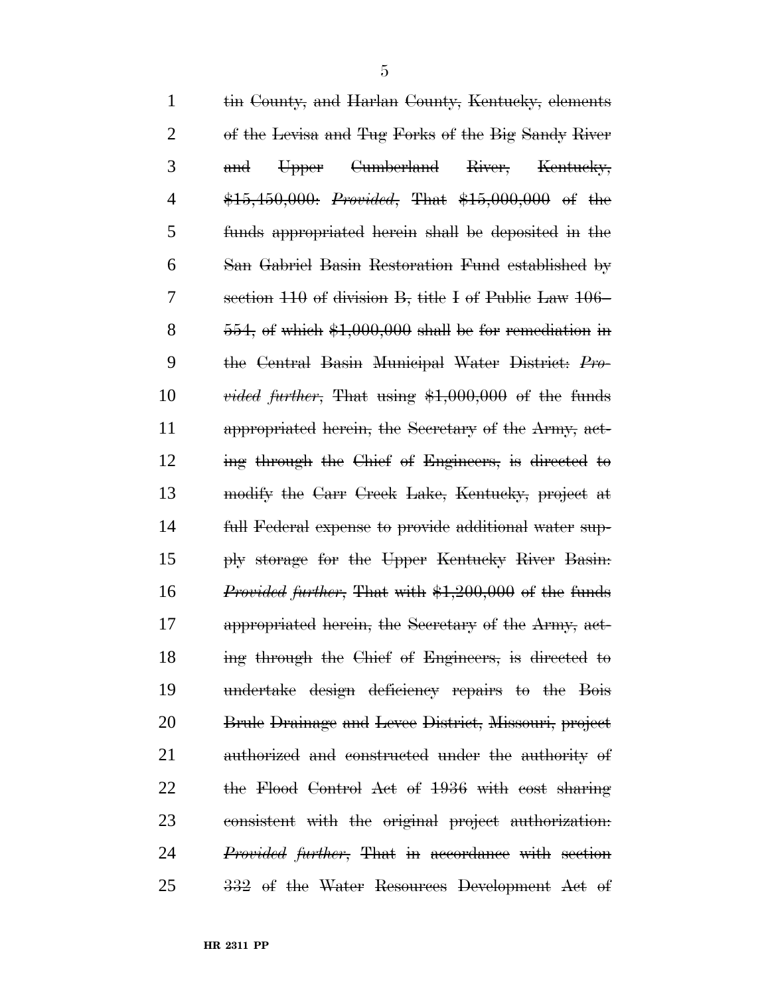| $\mathbf{1}$   | tin County, and Harlan County, Kentucky, elements            |
|----------------|--------------------------------------------------------------|
| $\overline{2}$ | of the Levisa and Tug Forks of the Big Sandy River           |
| 3              | <del>Cumberland</del><br>River,<br>Kentucky,<br>Upper<br>and |
| 4              | \$15,450,000: <i>Provided</i> , That \$15,000,000 of the     |
| 5              | funds appropriated herein shall be deposited in the          |
| 6              | San Gabriel Basin Restoration Fund established by            |
| 7              | section 110 of division B, title I of Public Law 106–        |
| 8              | $554$ , of which $$1,000,000$ shall be for remediation in    |
| 9              | the Central Basin Municipal Water District: Pro-             |
| 10             | <i>vided further</i> , That using $$1,000,000$ of the funds  |
| 11             | appropriated herein, the Secretary of the Army, act-         |
| 12             | ing through the Chief of Engineers, is directed to           |
| 13             | modify the Carr Creek Lake, Kentucky, project at             |
| 14             | full Federal expense to provide additional water sup-        |
| 15             | ply storage for the Upper Kentucky River Basin:              |
| 16             | <i>Provided further</i> , That with \$1,200,000 of the funds |
| 17             | appropriated herein, the Secretary of the Army, act-         |
| 18             | ing through the Chief of Engineers, is directed to           |
| 19             | undertake design deficiency repairs to the Bois              |
| 20             | Brule Drainage and Levee District, Missouri, project         |
| 21             | authorized and constructed under the authority of            |
| 22             | the Flood Control Act of 1936 with cost sharing              |
| 23             | consistent with the original project authorization:          |
| 24             | <i>Provided further</i> , That in accordance with section    |
| 25             | 332 of the Water Resources Development Act of                |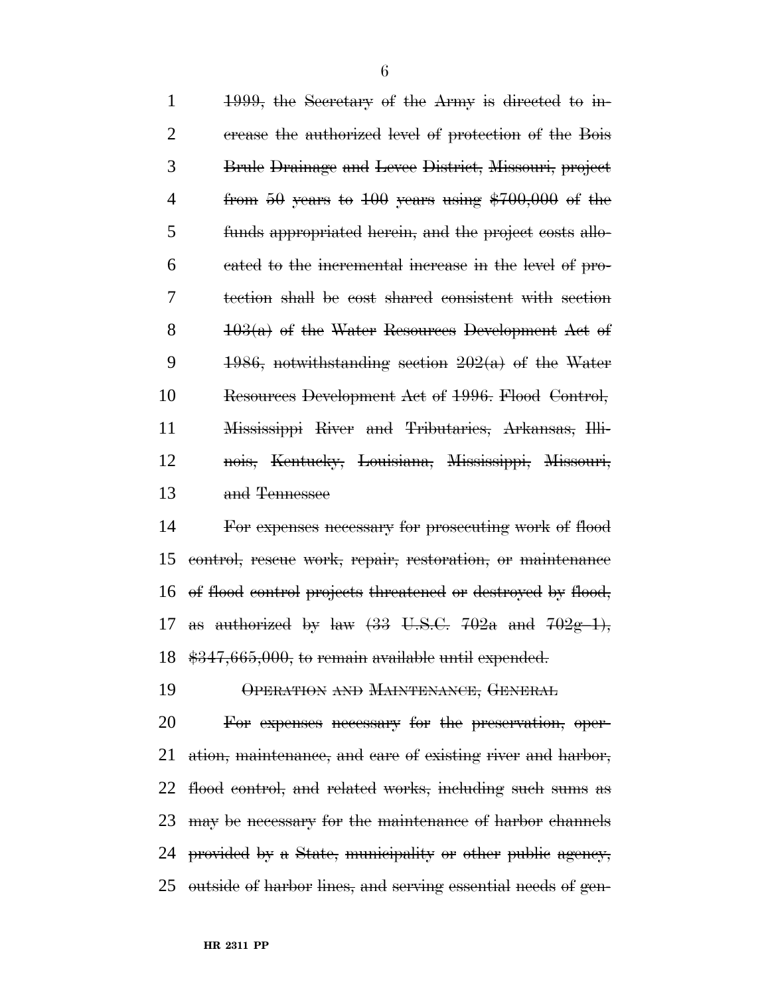1999, the Secretary of the Army is directed to in- crease the authorized level of protection of the Bois Brule Drainage and Levee District, Missouri, project 4 from 50 years to years using \$700,000 of the funds appropriated herein, and the project costs allo- cated to the incremental increase in the level of pro- tection shall be cost shared consistent with section  $103(a)$  of the Water Resources Development Act of 9 1986, notwithstanding section  $202(a)$  of the Water Resources Development Act of 1996. Flood Control, Mississippi River and Tributaries, Arkansas, Illi- nois, Kentucky, Louisiana, Mississippi, Missouri, and Tennessee

 For expenses necessary for prosecuting work of flood control, rescue work, repair, restoration, or maintenance of flood control projects threatened or destroyed by flood, 17 as authorized by law  $(33 \text{ U.S.C. } 702a \text{ and } 702g-1)$ , \$347,665,000, to remain available until expended.

OPERATION AND MAINTENANCE, GENERAL

 For expenses necessary for the preservation, oper-21 ation, maintenance, and care of existing river and harbor, flood control, and related works, including such sums as may be necessary for the maintenance of harbor channels provided by a State, municipality or other public agency, outside of harbor lines, and serving essential needs of gen-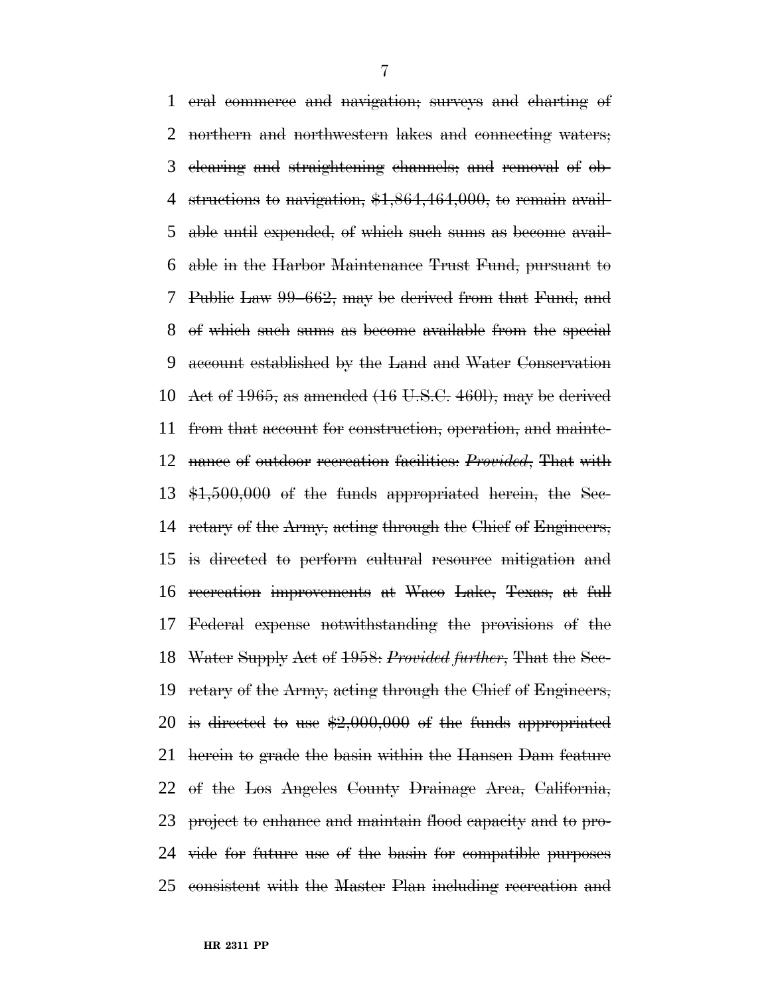eral commerce and navigation; surveys and charting of northern and northwestern lakes and connecting waters; clearing and straightening channels; and removal of ob-4 structions to navigation, \$1,864,464,000, to remain avail- able until expended, of which such sums as become avail- able in the Harbor Maintenance Trust Fund, pursuant to Public Law 99–662, may be derived from that Fund, and of which such sums as become available from the special account established by the Land and Water Conservation 10 Act of , as amended  $(16 \text{ U.S.C. } 460\text{I})$ , may be derived from that account for construction, operation, and mainte- nance of outdoor recreation facilities: *Provided*, That with \$1,500,000 of the funds appropriated herein, the Sec- retary of the Army, acting through the Chief of Engineers, is directed to perform cultural resource mitigation and recreation improvements at Waco Lake, Texas, at full Federal expense notwithstanding the provisions of the Water Supply Act of 1958: *Provided further*, That the Sec- retary of the Army, acting through the Chief of Engineers, 20 is directed to use  $$2,000,000$  of the funds appropriated herein to grade the basin within the Hansen Dam feature of the Los Angeles County Drainage Area, California, project to enhance and maintain flood capacity and to pro- vide for future use of the basin for compatible purposes consistent with the Master Plan including recreation and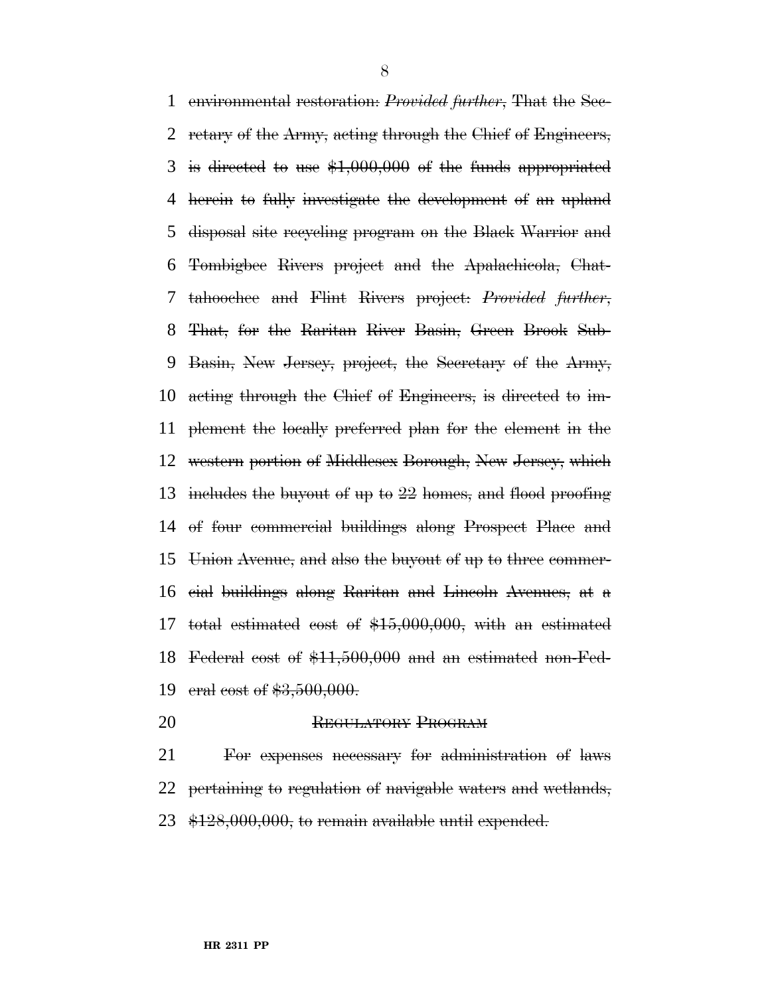environmental restoration: *Provided further*, That the Sec- retary of the Army, acting through the Chief of Engineers, is directed to use \$1,000,000 of the funds appropriated herein to fully investigate the development of an upland disposal site recycling program on the Black Warrior and Tombigbee Rivers project and the Apalachicola, Chat- tahoochee and Flint Rivers project: *Provided further*, That, for the Raritan River Basin, Green Brook Sub- Basin, New Jersey, project, the Secretary of the Army, acting through the Chief of Engineers, is directed to im- plement the locally preferred plan for the element in the western portion of Middlesex Borough, New Jersey, which includes the buyout of up to 22 homes, and flood proofing of four commercial buildings along Prospect Place and Union Avenue, and also the buyout of up to three commer- cial buildings along Raritan and Lincoln Avenues, at a total estimated cost of \$15,000,000, with an estimated Federal cost of \$11,500,000 and an estimated non-Fed-eral cost of \$3,500,000.

20 REGULATORY PROGRAM

 For expenses necessary for administration of laws 22 pertaining to regulation of navigable waters and wetlands, \$128,000,000, to remain available until expended.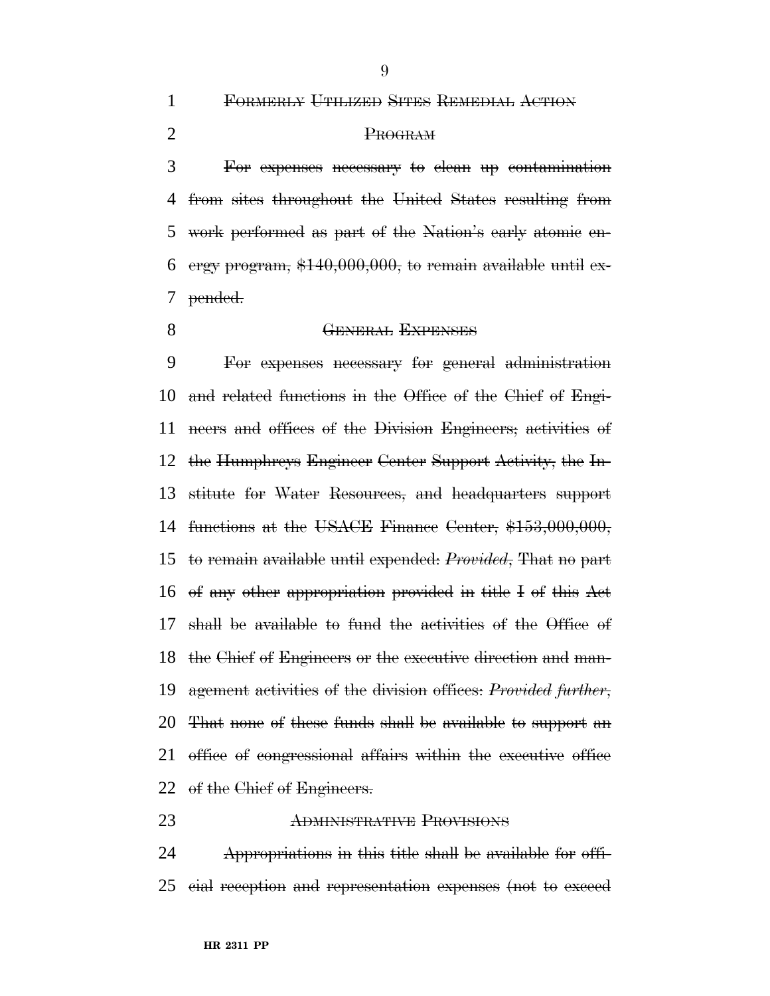FORMERLY UTILIZED SITES REMEDIAL ACTION

PROGRAM

 For expenses necessary to clean up contamination from sites throughout the United States resulting from work performed as part of the Nation's early atomic en-6 ergy program,  $$140,000,000$ , to remain available until ex-pended.

#### **GENERAL EXPENSES**

 For expenses necessary for general administration and related functions in the Office of the Chief of Engi- neers and offices of the Division Engineers; activities of the Humphreys Engineer Center Support Activity, the In- stitute for Water Resources, and headquarters support functions at the USACE Finance Center, \$153,000,000, to remain available until expended: *Provided*, That no part of any other appropriation provided in title I of this Act shall be available to fund the activities of the Office of the Chief of Engineers or the executive direction and man- agement activities of the division offices: *Provided further*, That none of these funds shall be available to support an 21 office of congressional affairs within the executive office 22 of the Chief of Engineers.

#### ADMINISTRATIVE PROVISIONS

 Appropriations in this title shall be available for offi-cial reception and representation expenses (not to exceed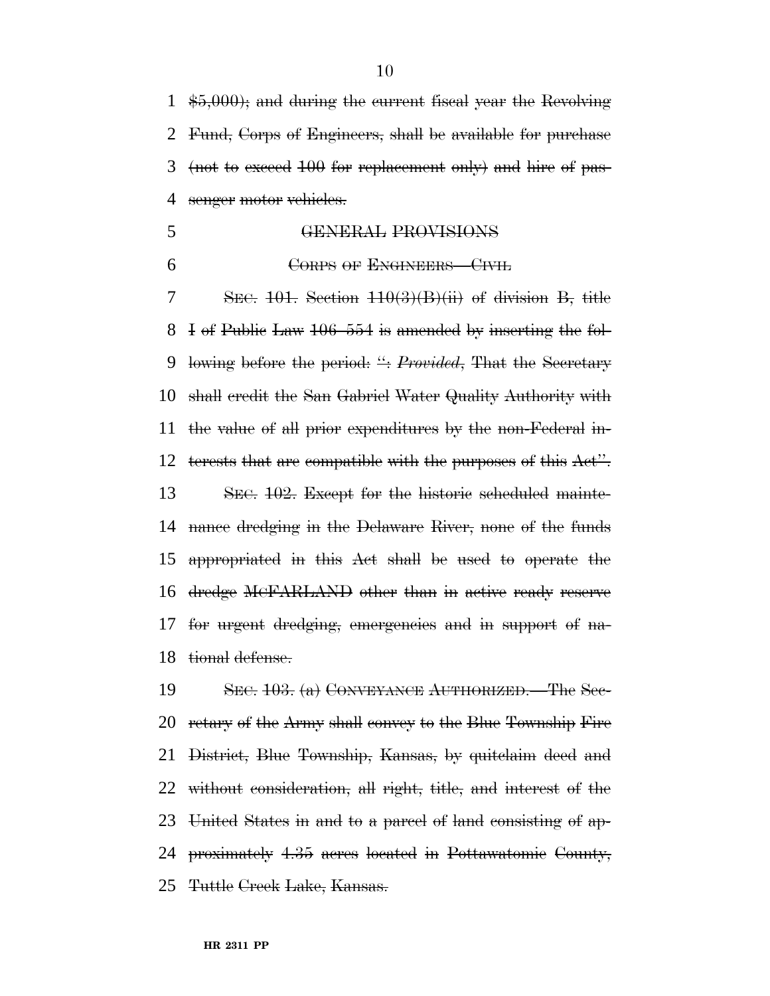$\text{$6,000$}$ ; and during the current fiscal year the Revolving Fund, Corps of Engineers, shall be available for purchase (not to exceed 100 for replacement only) and hire of pas-4 senger motor vehicles.

- GENERAL PROVISIONS
- 

# **CORPS OF ENGINEERS** CIVIL

 SEC. 101. Section 110(3)(B)(ii) of division B, title I of Public Law 106–554 is amended by inserting the fol- lowing before the period: '': *Provided*, That the Secretary shall credit the San Gabriel Water Quality Authority with the value of all prior expenditures by the non-Federal in-12 terests that are compatible with the purposes of this Act". 13 SEC. 102. Except for the historic scheduled mainte- nance dredging in the Delaware River, none of the funds appropriated in this Act shall be used to operate the dredge MCFARLAND other than in active ready reserve for urgent dredging, emergencies and in support of na-tional defense.

 SEC. 103. (a) CONVEYANCE AUTHORIZED.—The Sec- retary of the Army shall convey to the Blue Township Fire District, Blue Township, Kansas, by quitclaim deed and without consideration, all right, title, and interest of the United States in and to a parcel of land consisting of ap- proximately 4.35 acres located in Pottawatomie County, Tuttle Creek Lake, Kansas.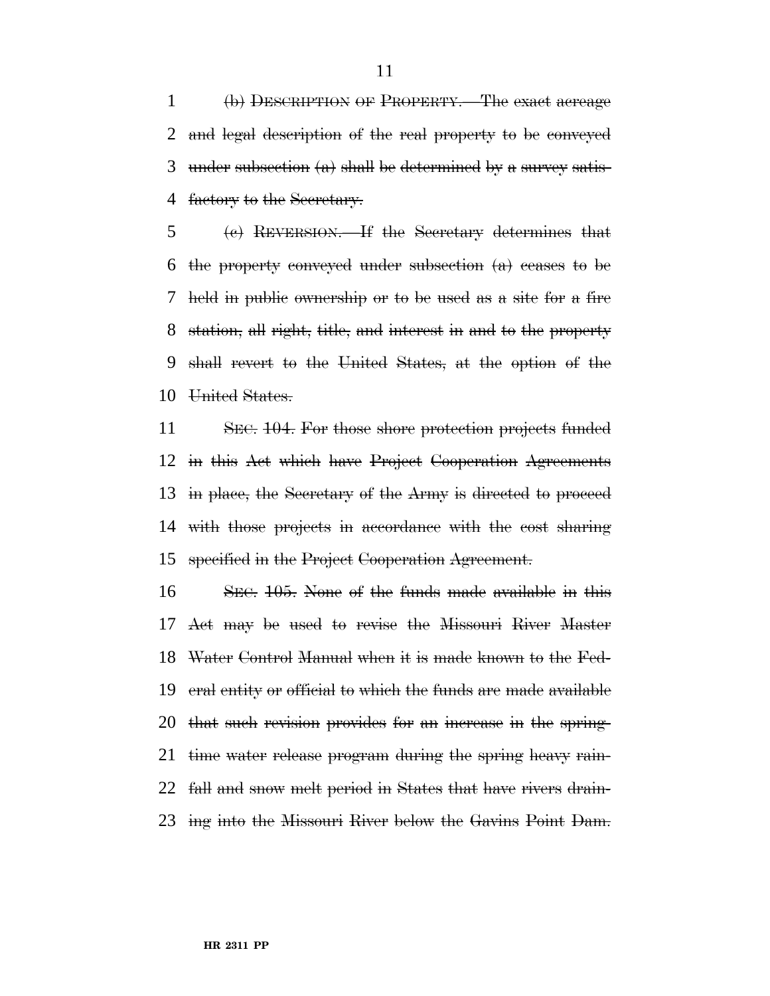(b) DESCRIPTION OF PROPERTY.—The exact acreage and legal description of the real property to be conveyed under subsection (a) shall be determined by a survey satis-4 factory to the Secretary.

 (c) REVERSION.—If the Secretary determines that the property conveyed under subsection (a) ceases to be held in public ownership or to be used as a site for a fire station, all right, title, and interest in and to the property shall revert to the United States, at the option of the United States.

 SEC. 104. For those shore protection projects funded in this Act which have Project Cooperation Agreements in place, the Secretary of the Army is directed to proceed with those projects in accordance with the cost sharing specified in the Project Cooperation Agreement.

 SEC. 105. None of the funds made available in this Act may be used to revise the Missouri River Master Water Control Manual when it is made known to the Fed- eral entity or official to which the funds are made available that such revision provides for an increase in the spring- time water release program during the spring heavy rain- fall and snow melt period in States that have rivers drain-ing into the Missouri River below the Gavins Point Dam.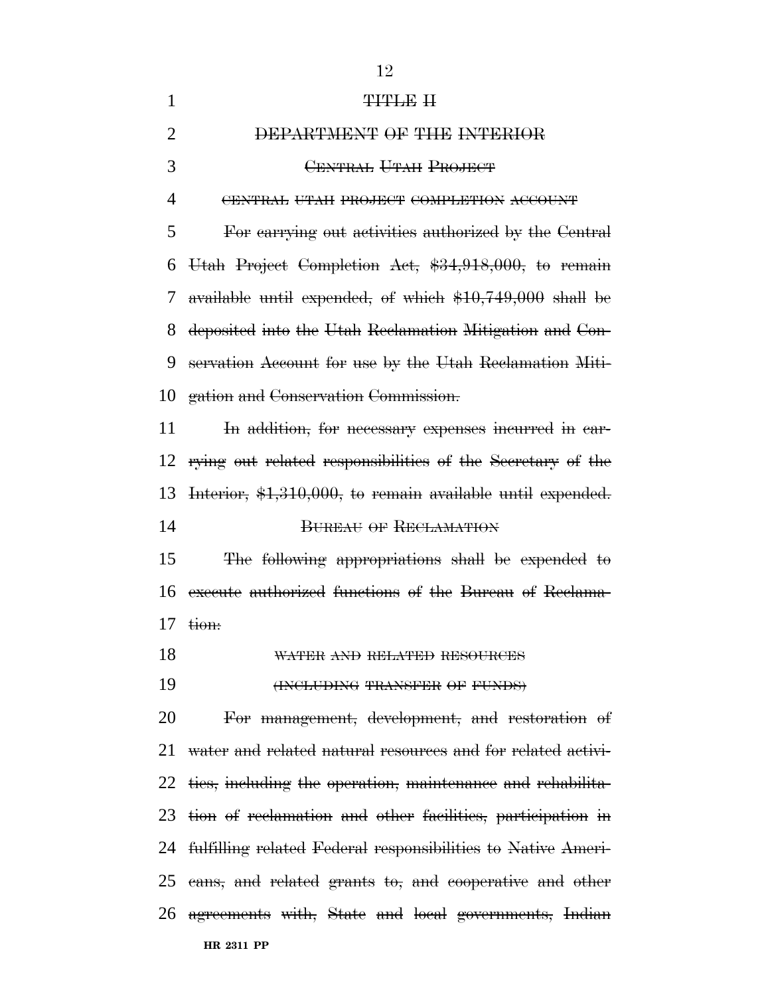| <del>titile</del> h                                             |
|-----------------------------------------------------------------|
| DEPARTMENT OF THE INTERIOR                                      |
| CENTRAL UTAH PROJECT                                            |
| CENTRAL UTAH PROJECT COMPLETION ACCOUNT                         |
| For carrying out activities authorized by the Central           |
| Utah Project Completion Act, \$34,918,000, to remain            |
| available until expended, of which \$10,749,000 shall be        |
| deposited into the Utah Reclamation Mitigation and Con-         |
| servation Account for use by the Utah Reclamation Miti-         |
| gation and Conservation Commission.                             |
| In addition, for necessary expenses incurred in ear-            |
| 12 rying out related responsibilities of the Secretary of the   |
| Interior, \$1,310,000, to remain available until expended.      |
| <b>BUREAU OF RECLAMATION</b>                                    |
| The following appropriations shall be expended to               |
| execute authorized functions of the Bureau of Reclama-          |
| tion:                                                           |
| WATER AND RELATED RESOURCES                                     |
| (INCLUDING TRANSFER OF FUNDS)                                   |
| For management, development, and restoration of                 |
| water and related natural resources and for related activi-     |
| 22 ties, including the operation, maintenance and rehabilita-   |
| 23 tion of reclamation and other facilities, participation in   |
| 24 fulfilling related Federal responsibilities to Native Ameri- |
| 25 cans, and related grants to, and cooperative and other       |
| 26 agreements with, State and local governments, Indian         |
| HR 2311 PP                                                      |
|                                                                 |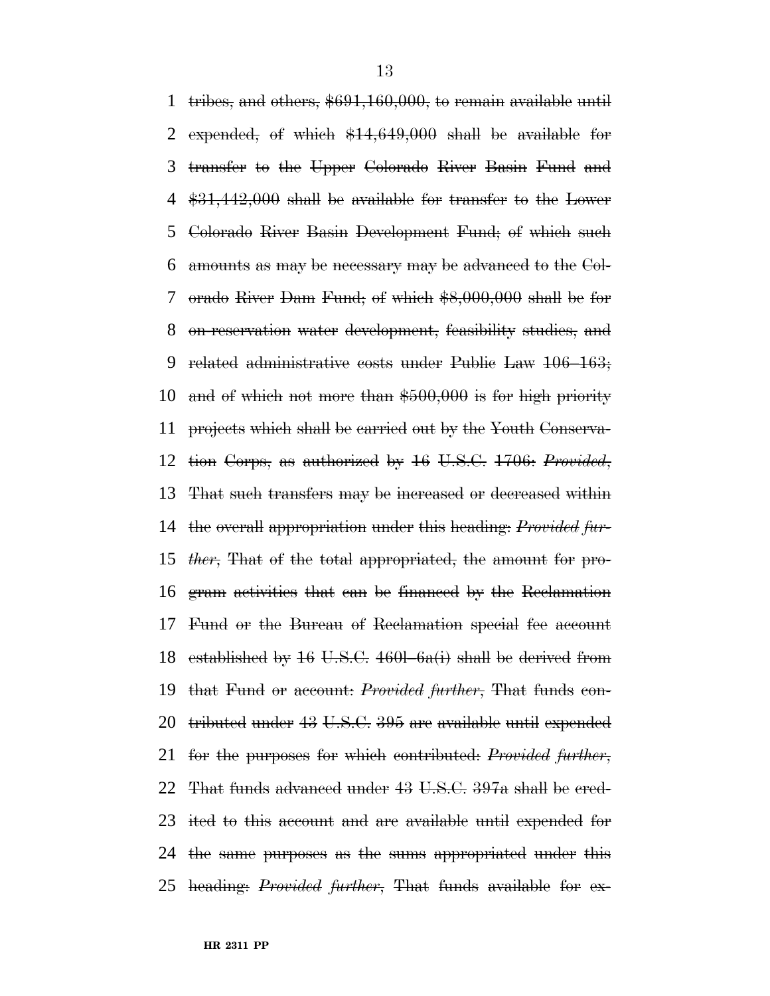tribes, and others, \$691,160,000, to remain available until expended, of which \$14,649,000 shall be available for transfer to the Upper Colorado River Basin Fund and \$31,442,000 shall be available for transfer to the Lower Colorado River Basin Development Fund; of which such amounts as may be necessary may be advanced to the Col- orado River Dam Fund; of which \$8,000,000 shall be for on-reservation water development, feasibility studies, and related administrative costs under Public Law 106–163; and of which not more than \$500,000 is for high priority projects which shall be carried out by the Youth Conserva- tion Corps, as authorized by 16 U.S.C. 1706: *Provided*, That such transfers may be increased or decreased within the overall appropriation under this heading: *Provided fur- ther*, That of the total appropriated, the amount for pro- gram activities that can be financed by the Reclamation Fund or the Bureau of Reclamation special fee account 18 established by U.S.C.  $460l$ – $6a(i)$  shall be derived from that Fund or account: *Provided further*, That funds con- tributed under 43 U.S.C. 395 are available until expended for the purposes for which contributed: *Provided further*, That funds advanced under 43 U.S.C. 397a shall be cred- ited to this account and are available until expended for the same purposes as the sums appropriated under this heading: *Provided further*, That funds available for ex-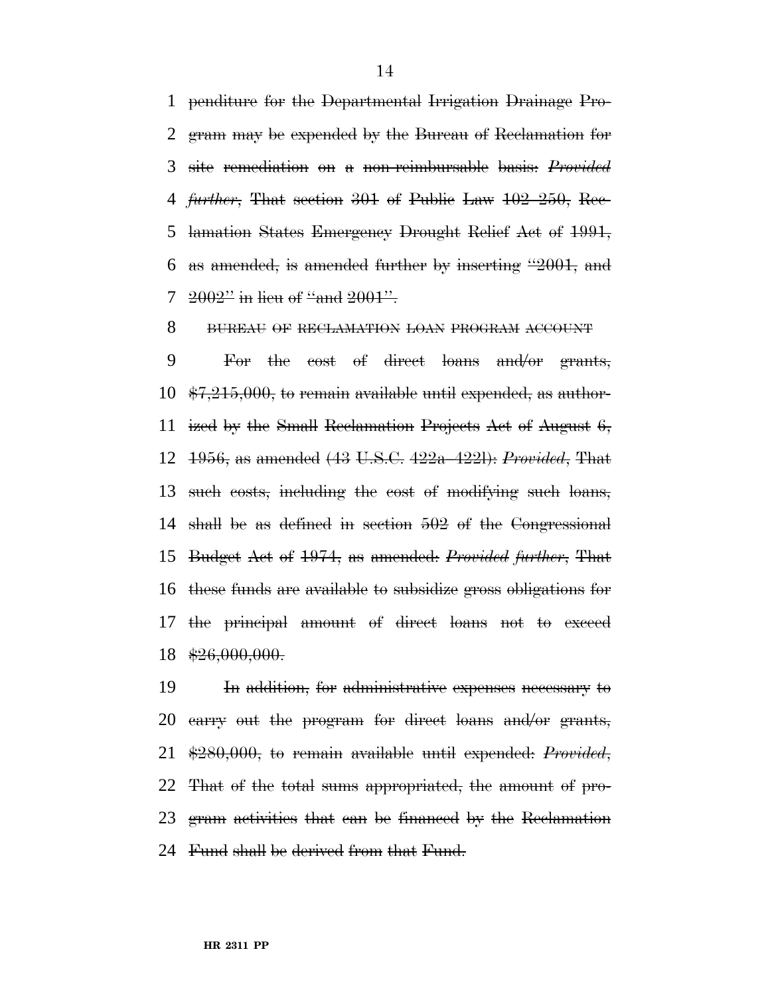penditure for the Departmental Irrigation Drainage Pro- gram may be expended by the Bureau of Reclamation for site remediation on a non-reimbursable basis: *Provided further*, That section 301 of Public Law 102–250, Rec- lamation States Emergency Drought Relief Act of 1991, as amended, is amended further by inserting ''2001, and  $2002$ " in lieu of "and  $2001$ ".

8 BUREAU OF RECLAMATION LOAN PROGRAM ACCOUNT

 For the cost of direct loans and/or grants,  $10 \div 7,215,000$ , to remain available until expended, as author- ized by the Small Reclamation Projects Act of August 6, 1956, as amended (43 U.S.C. 422a–422l): *Provided*, That such costs, including the cost of modifying such loans, shall be as defined in section 502 of the Congressional Budget Act of 1974, as amended: *Provided further*, That these funds are available to subsidize gross obligations for the principal amount of direct loans not to exceed  $18 \frac{$26,000,000.}{$ 

 In addition, for administrative expenses necessary to carry out the program for direct loans and/or grants, \$280,000, to remain available until expended: *Provided*, That of the total sums appropriated, the amount of pro- gram activities that can be financed by the Reclamation Fund shall be derived from that Fund.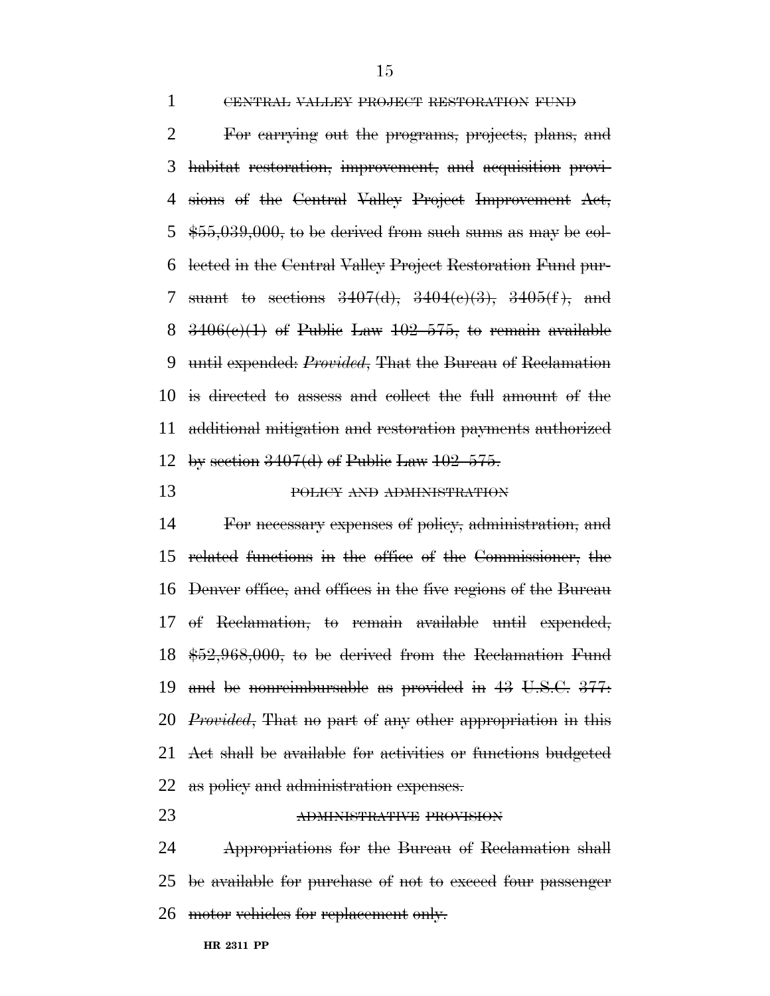CENTRAL VALLEY PROJECT RESTORATION FUND

 For carrying out the programs, projects, plans, and habitat restoration, improvement, and acquisition provi- sions of the Central Valley Project Improvement Act,  $\frac{455,039,000}{1}$ , to be derived from such sums as may be col- lected in the Central Valley Project Restoration Fund pur-7 suant to sections  $3407(d)$ ,  $3404(e)(3)$ ,  $3405(f)$ , and  $3406(e)(1)$  of Public Law  $102-575$ , to remain available until expended: *Provided*, That the Bureau of Reclamation is directed to assess and collect the full amount of the additional mitigation and restoration payments authorized 12 by section  $3407(d)$  of Public Law  $102-575$ .

# POLICY AND ADMINISTRATION

 For necessary expenses of policy, administration, and related functions in the office of the Commissioner, the Denver office, and offices in the five regions of the Bureau of Reclamation, to remain available until expended, \$52,968,000, to be derived from the Reclamation Fund and be nonreimbursable as provided in 43 U.S.C. 377: *Provided*, That no part of any other appropriation in this Act shall be available for activities or functions budgeted 22 as policy and administration expenses.

## ADMINISTRATIVE PROVISION

 Appropriations for the Bureau of Reclamation shall be available for purchase of not to exceed four passenger 26 motor vehicles for replacement only.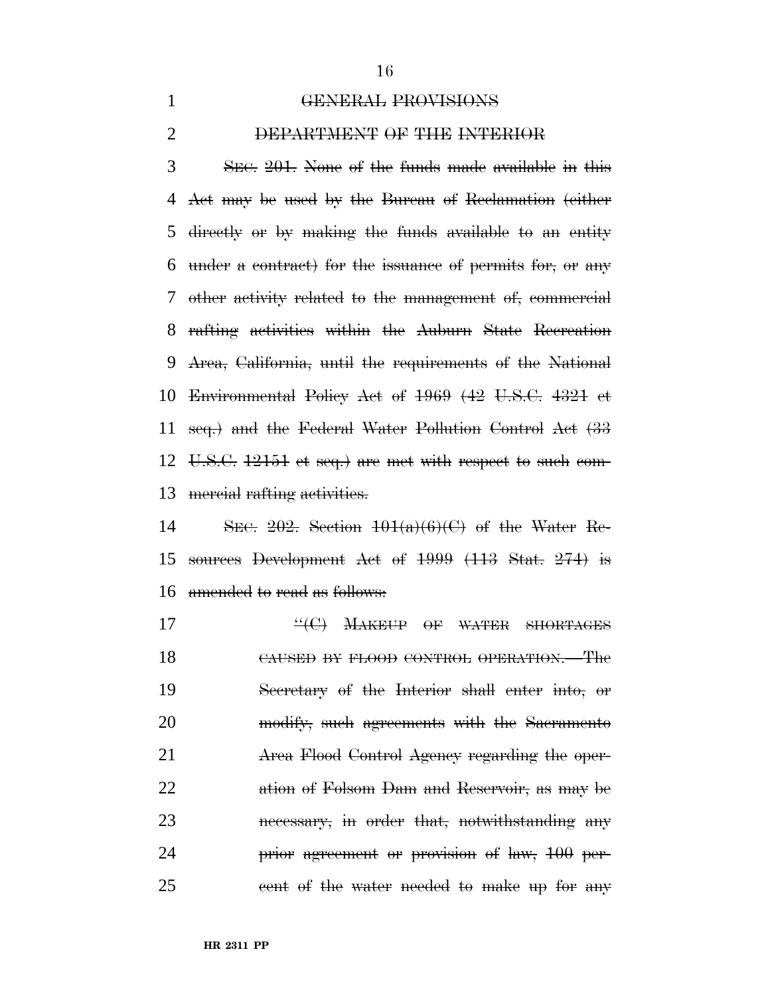#### GENERAL PROVISIONS

#### DEPARTMENT OF THE INTERIOR

 SEC. 201. None of the funds made available in this Act may be used by the Bureau of Reclamation (either directly or by making the funds available to an entity under a contract) for the issuance of permits for, or any other activity related to the management of, commercial rafting activities within the Auburn State Recreation Area, California, until the requirements of the National Environmental Policy Act of 1969 (42 U.S.C. 4321 et seq.) and the Federal Water Pollution Control Act (33 U.S.C. 12151 et seq.) are met with respect to such com-mercial rafting activities.

14 SEC. . Section  $101(a)(6)(C)$  of the Water Re- sources Development Act of 1999 (113 Stat. 274) is amended to read as follows:

**''(C) MAKEUP OF WATER SHORTAGES**  CAUSED BY FLOOD CONTROL OPERATION.—The Secretary of the Interior shall enter into, or 20 modify, such agreements with the Sacramento Area Flood Control Agency regarding the oper- ation of Folsom Dam and Reservoir, as may be necessary, in order that, notwithstanding any **prior agreement or provision of law, 100 per-**25 cent of the water needed to make up for any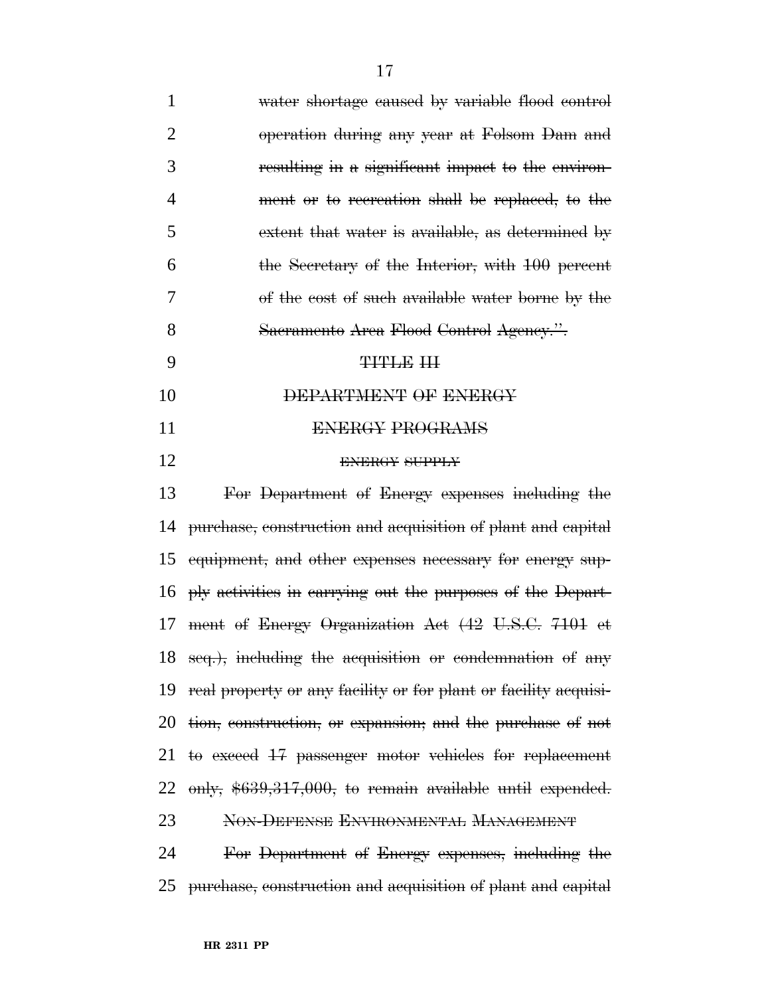| $\mathbf{1}$   | water shortage caused by variable flood control                 |
|----------------|-----------------------------------------------------------------|
| $\overline{2}$ | operation during any year at Folsom Dam and                     |
| 3              | resulting in a significant impact to the environ-               |
| $\overline{4}$ | ment or to recreation shall be replaced, to the                 |
| 5              | extent that water is available, as determined by                |
| 6              | the Secretary of the Interior, with 100 percent                 |
| 7              | of the cost of such available water borne by the                |
| 8              | Sacramento Area Flood Control Agency.".                         |
| 9              | <b>TITLE III</b>                                                |
| 10             | DEPARTMENT OF ENERGY                                            |
| 11             | <b>ENERGY PROGRAMS</b>                                          |
| 12             | <b>ENERGY SUPPLY</b>                                            |
| 13             | For Department of Energy expenses including the                 |
| 14             | purchase, construction and acquisition of plant and capital     |
| 15             | equipment, and other expenses necessary for energy sup-         |
| 16             | ply activities in carrying out the purposes of the Depart-      |
| 17             | ment of Energy Organization Act (42 U.S.C. 7101 et              |
|                | 18 seq.), including the acquisition or condemnation of any      |
| 19             | real property or any facility or for plant or facility acquisi- |
| 20             | tion, construction, or expansion, and the purchase of not       |
| 21             | to exceed 17 passenger motor vehicles for replacement           |
| 22             | only, $$639,317,000$ , to remain available until expended.      |
| 23             | NON-DEFENSE ENVIRONMENTAL MANAGEMENT                            |
| 24             | For Department of Energy expenses, including the                |
| 25             | purchase, construction and acquisition of plant and capital     |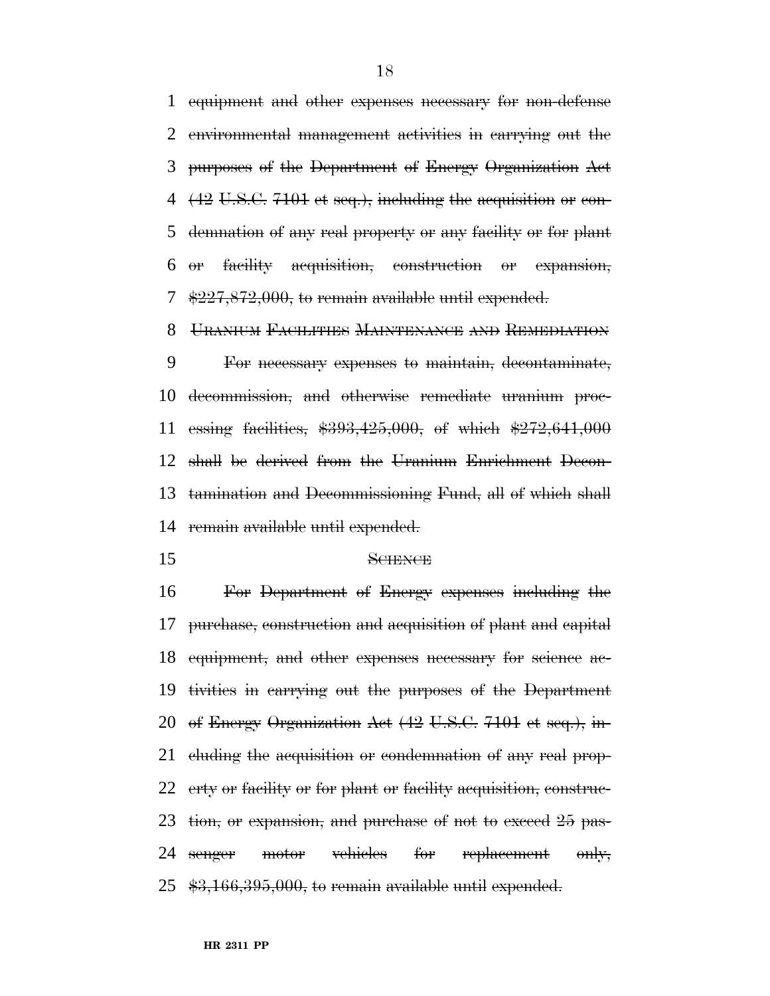equipment and other expenses necessary for non-defense environmental management activities in carrying out the purposes of the Department of Energy Organization Act (42 U.S.C. 7101 et seq.), including the acquisition or con- demnation of any real property or any facility or for plant or facility acquisition, construction or expansion, \$227,872,000, to remain available until expended.

URANIUM FACILITIES MAINTENANCE AND REMEDIATION

 For necessary expenses to maintain, decontaminate, decommission, and otherwise remediate uranium proc- essing facilities, \$393,425,000, of which \$272,641,000 shall be derived from the Uranium Enrichment Decon- tamination and Decommissioning Fund, all of which shall remain available until expended.

#### SCIENCE

 For Department of Energy expenses including the purchase, construction and acquisition of plant and capital equipment, and other expenses necessary for science ac- tivities in carrying out the purposes of the Department of Energy Organization Act (42 U.S.C. 7101 et seq.), in-21 cluding the acquisition or condemnation of any real prop- erty or facility or for plant or facility acquisition, construc-23 tion, or expansion, and purchase of not to exceed 25 pas-24 senger motor vehicles for replacement only, \$3,166,395,000, to remain available until expended.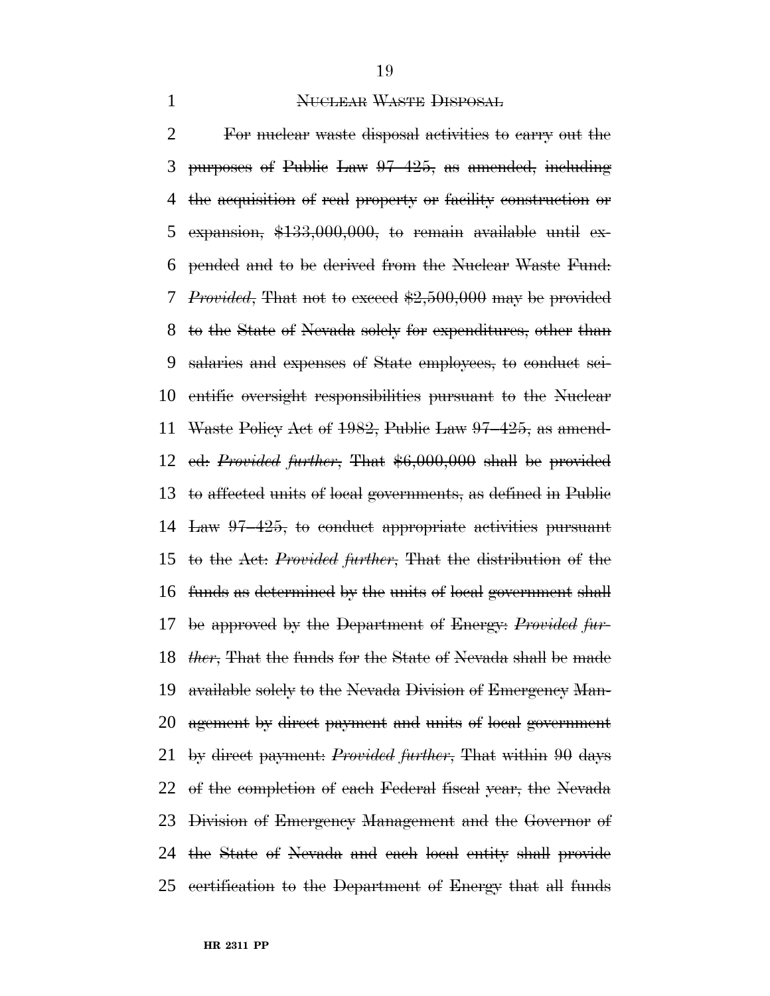#### **NUCLEAR WASTE DISPOSAL**

 For nuclear waste disposal activities to carry out the purposes of Public Law 97–425, as amended, including the acquisition of real property or facility construction or expansion, \$133,000,000, to remain available until ex- pended and to be derived from the Nuclear Waste Fund: *Provided*, That not to exceed \$2,500,000 may be provided to the State of Nevada solely for expenditures, other than salaries and expenses of State employees, to conduct sci- entific oversight responsibilities pursuant to the Nuclear Waste Policy Act of 1982, Public Law 97–425, as amend- ed: *Provided further*, That \$6,000,000 shall be provided to affected units of local governments, as defined in Public Law 97–425, to conduct appropriate activities pursuant to the Act: *Provided further*, That the distribution of the funds as determined by the units of local government shall be approved by the Department of Energy: *Provided fur- ther*, That the funds for the State of Nevada shall be made available solely to the Nevada Division of Emergency Man- agement by direct payment and units of local government by direct payment: *Provided further*, That within 90 days of the completion of each Federal fiscal year, the Nevada Division of Emergency Management and the Governor of the State of Nevada and each local entity shall provide certification to the Department of Energy that all funds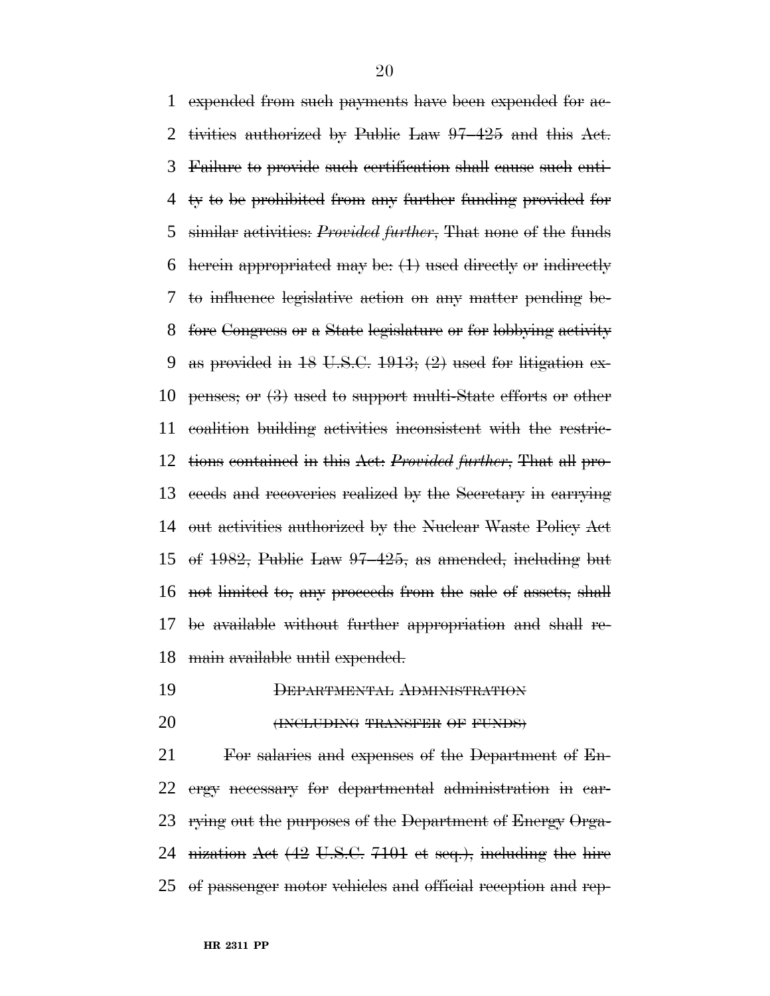expended from such payments have been expended for ac- tivities authorized by Public Law 97–425 and this Act. Failure to provide such certification shall cause such enti- ty to be prohibited from any further funding provided for similar activities: *Provided further*, That none of the funds herein appropriated may be: (1) used directly or indirectly to influence legislative action on any matter pending be- fore Congress or a State legislature or for lobbying activity 9 as provided in U.S.C.  $1913$ ;  $(2)$  used for litigation ex-10 penses; or  $(3)$  used to support multi-State efforts or other coalition building activities inconsistent with the restric- tions contained in this Act: *Provided further*, That all pro- ceeds and recoveries realized by the Secretary in carrying out activities authorized by the Nuclear Waste Policy Act of 1982, Public Law 97–425, as amended, including but not limited to, any proceeds from the sale of assets, shall be available without further appropriation and shall re-main available until expended.

- DEPARTMENTAL ADMINISTRATION
- **(INCLUDING TRANSFER OF FUNDS)**

 For salaries and expenses of the Department of En- ergy necessary for departmental administration in car- rying out the purposes of the Department of Energy Orga- nization Act (42 U.S.C. 7101 et seq.), including the hire of passenger motor vehicles and official reception and rep-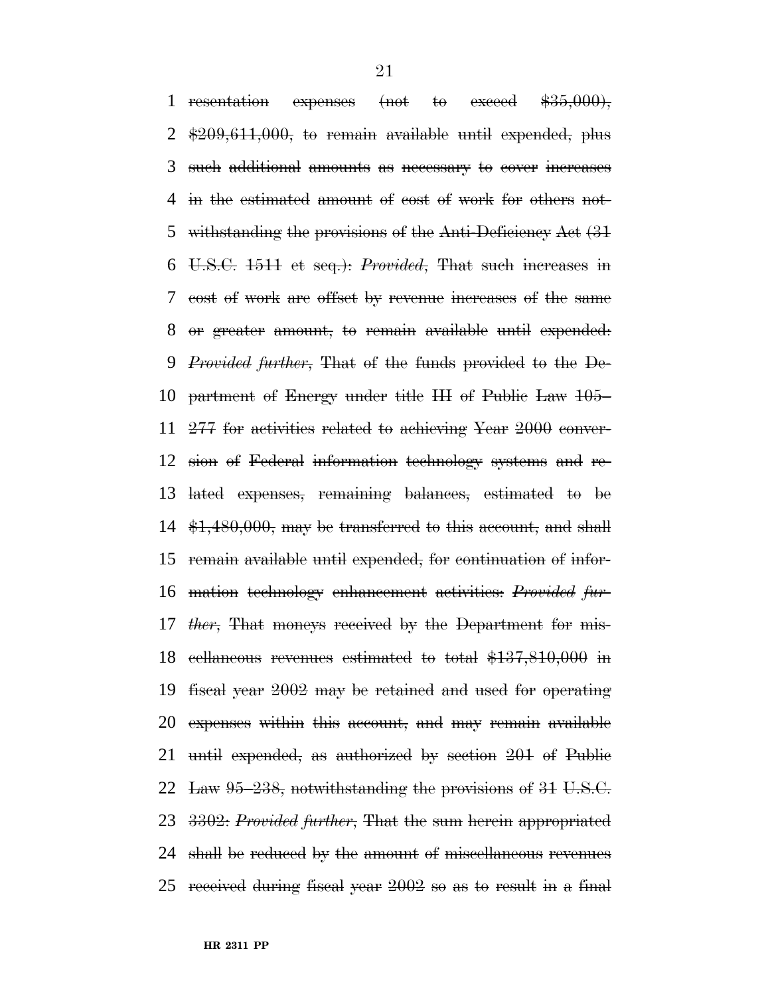1 resentation expenses (not to exceed  $$35,000$ ), \$209,611,000, to remain available until expended, plus such additional amounts as necessary to cover increases in the estimated amount of cost of work for others not-5 withstanding the provisions of the Anti-Deficiency Act  $(31)$  U.S.C. 1511 et seq.): *Provided*, That such increases in cost of work are offset by revenue increases of the same or greater amount, to remain available until expended: *Provided further*, That of the funds provided to the De- partment of Energy under title III of Public Law 105– 277 for activities related to achieving Year 2000 conver- sion of Federal information technology systems and re- lated expenses, remaining balances, estimated to be  $\text{\$1,480,000, may be transferred to this account, and shall}$  remain available until expended, for continuation of infor- mation technology enhancement activities: *Provided fur- ther*, That moneys received by the Department for mis- cellaneous revenues estimated to total \$137,810,000 in fiscal year 2002 may be retained and used for operating expenses within this account, and may remain available until expended, as authorized by section 201 of Public 22 Law  $95-238$ , notwithstanding the provisions of 31 U.S.C. 3302: *Provided further*, That the sum herein appropriated shall be reduced by the amount of miscellaneous revenues received during fiscal year 2002 so as to result in a final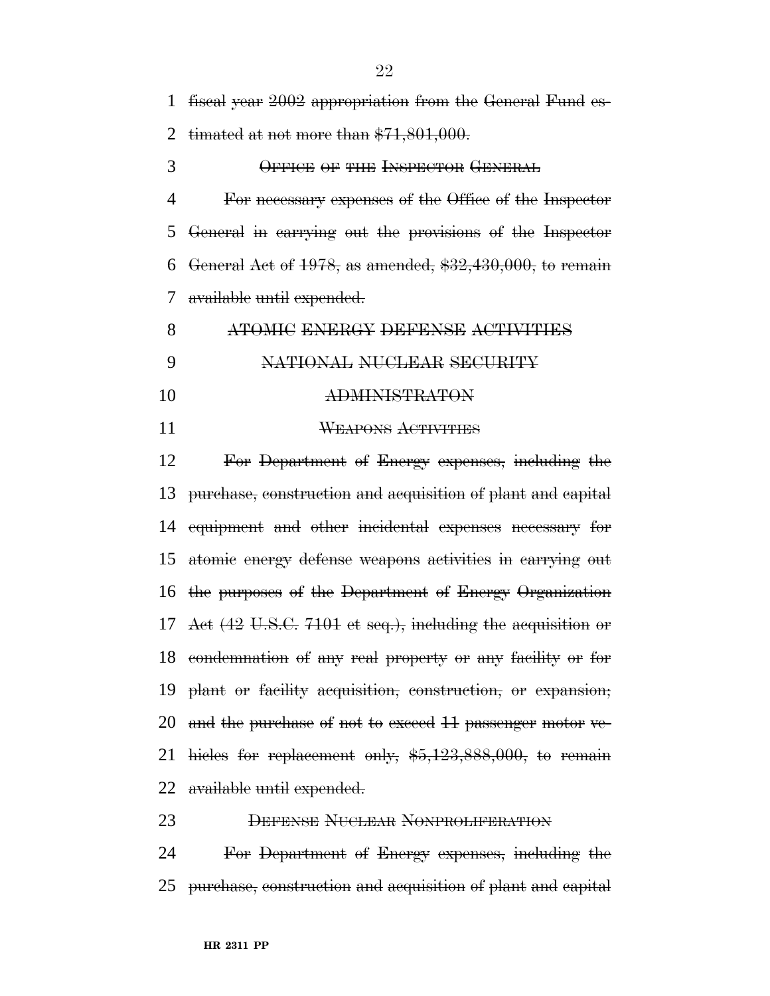fiscal year 2002 appropriation from the General Fund es-

2 timated at not more than  $$71,801,000$ .

OFFICE OF THE INSPECTOR GENERAL

 For necessary expenses of the Office of the Inspector General in carrying out the provisions of the Inspector 6 General Act of , as amended,  $$32,430,000$ , to remain available until expended.

| ATOMIC ENERGY DEFENSE ACTIVITIES |
|----------------------------------|
| NATIONAL NUCLEAR SECURITY        |
| DMINISTR ATAN                    |

WEAPONS ACTIVITIES

 For Department of Energy expenses, including the purchase, construction and acquisition of plant and capital equipment and other incidental expenses necessary for atomic energy defense weapons activities in carrying out the purposes of the Department of Energy Organization Act (42 U.S.C. 7101 et seq.), including the acquisition or condemnation of any real property or any facility or for plant or facility acquisition, construction, or expansion; and the purchase of not to exceed 11 passenger motor ve- hicles for replacement only, \$5,123,888,000, to remain available until expended.

 DEFENSE NUCLEAR NONPROLIFERATION For Department of Energy expenses, including the

purchase, construction and acquisition of plant and capital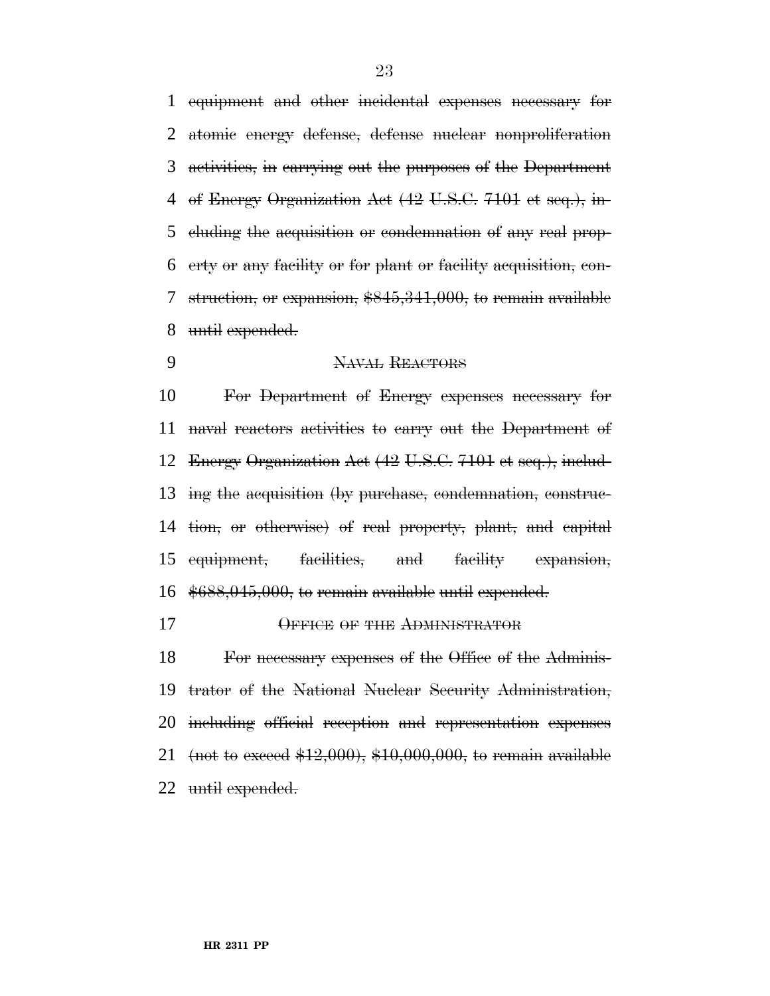equipment and other incidental expenses necessary for atomic energy defense, defense nuclear nonproliferation activities, in carrying out the purposes of the Department of Energy Organization Act (42 U.S.C. 7101 et seq.), in- cluding the acquisition or condemnation of any real prop- erty or any facility or for plant or facility acquisition, con- struction, or expansion, \$845,341,000, to remain available until expended.

9 NAVAL REACTORS

 For Department of Energy expenses necessary for naval reactors activities to carry out the Department of Energy Organization Act (42 U.S.C. 7101 et seq.), includ- ing the acquisition (by purchase, condemnation, construc- tion, or otherwise) of real property, plant, and capital equipment, facilities, and facility expansion, \$688,045,000, to remain available until expended.

# OFFICE OF THE ADMINISTRATOR

 For necessary expenses of the Office of the Adminis- trator of the National Nuclear Security Administration, including official reception and representation expenses 21 (not to exceed  $$12,000$ ),  $$10,000,000$ , to remain available until expended.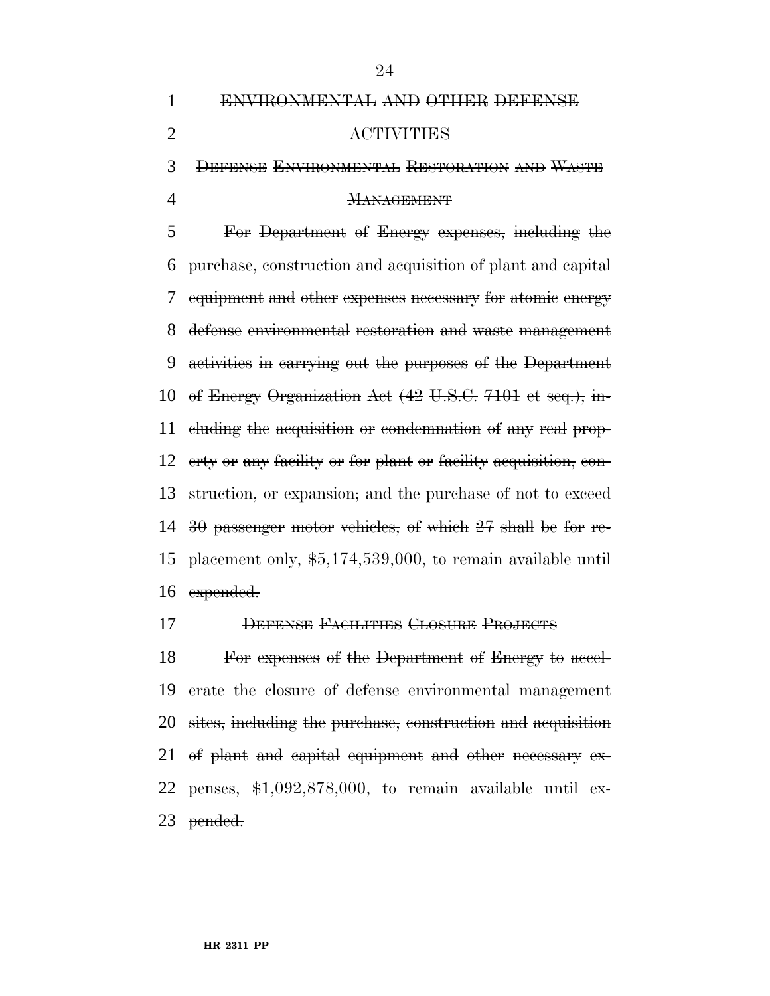DEFENSE ENVIRONMENTAL RESTORATION AND WASTE

# MANAGEMENT

 For Department of Energy expenses, including the purchase, construction and acquisition of plant and capital equipment and other expenses necessary for atomic energy defense environmental restoration and waste management activities in carrying out the purposes of the Department of Energy Organization Act (42 U.S.C. 7101 et seq.), in- cluding the acquisition or condemnation of any real prop- erty or any facility or for plant or facility acquisition, con- struction, or expansion; and the purchase of not to exceed 30 passenger motor vehicles, of which 27 shall be for re- placement only, \$5,174,539,000, to remain available until expended.

# DEFENSE FACILITIES CLOSURE PROJECTS

 For expenses of the Department of Energy to accel- erate the closure of defense environmental management sites, including the purchase, construction and acquisition of plant and capital equipment and other necessary ex-22 penses,  $$1,092,878,000$ , to remain available until ex-pended.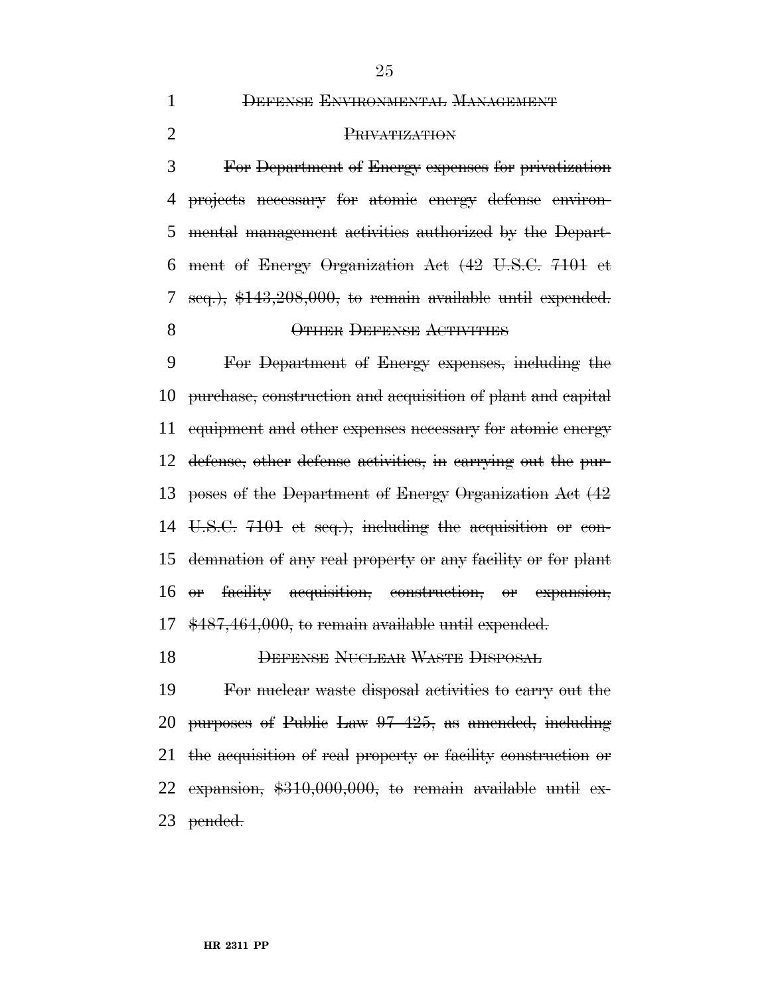DEFENSE ENVIRONMENTAL MANAGEMENT

#### PRIVATIZATION

 For Department of Energy expenses for privatization projects necessary for atomic energy defense environ- mental management activities authorized by the Depart- ment of Energy Organization Act (42 U.S.C. 7101 et seq.), \$143,208,000, to remain available until expended. 8 OTHER DEFENSE ACTIVITIES

 For Department of Energy expenses, including the purchase, construction and acquisition of plant and capital equipment and other expenses necessary for atomic energy defense, other defense activities, in carrying out the pur- poses of the Department of Energy Organization Act (42 U.S.C. 7101 et seq.), including the acquisition or con- demnation of any real property or any facility or for plant or facility acquisition, construction, or expansion, \$487,464,000, to remain available until expended.

DEFENSE NUCLEAR WASTE DISPOSAL

 For nuclear waste disposal activities to carry out the purposes of Public Law 97–425, as amended, including the acquisition of real property or facility construction or 22 expansion,  $$310,000,000$ , to remain available until ex-pended.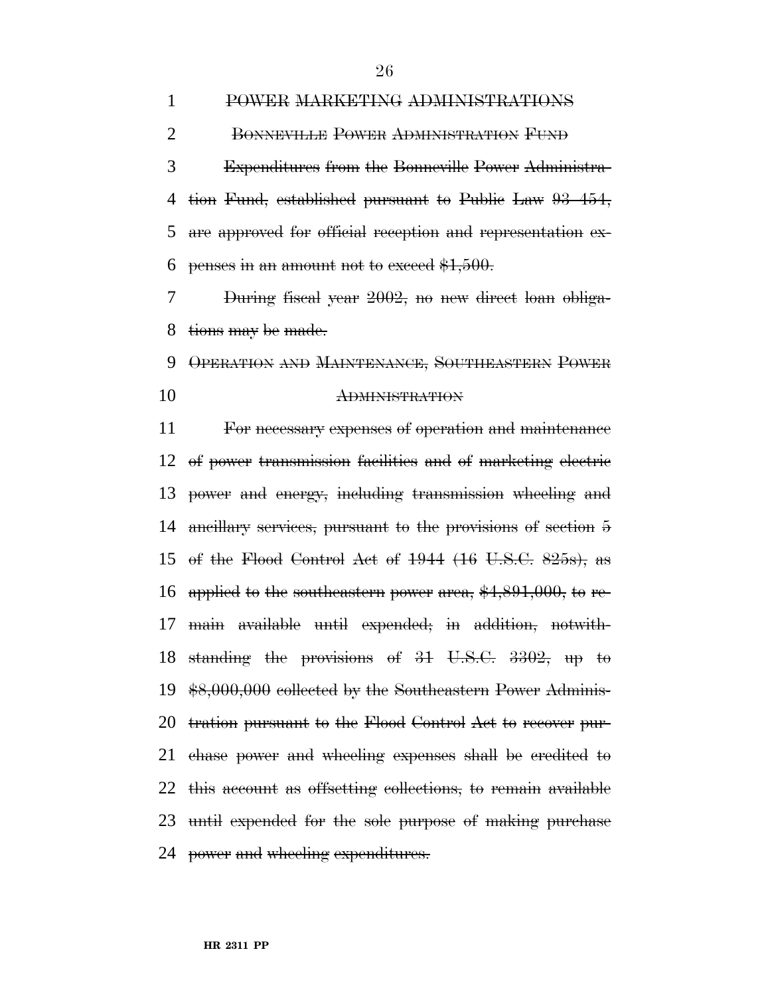POWER MARKETING ADMINISTRATIONS BONNEVILLE POWER ADMINISTRATION FUND Expenditures from the Bonneville Power Administra- tion Fund, established pursuant to Public Law 93–454, are approved for official reception and representation ex-6 penses in an amount not to exceed  $$1,500$ .

 During fiscal year 2002, no new direct loan obliga-tions may be made.

 OPERATION AND MAINTENANCE, SOUTHEASTERN POWER ADMINISTRATION

 For necessary expenses of operation and maintenance of power transmission facilities and of marketing electric power and energy, including transmission wheeling and ancillary services, pursuant to the provisions of section 5 of the Flood Control Act of 1944 (16 U.S.C. 825s), as applied to the southeastern power area, \$4,891,000, to re- main available until expended; in addition, notwith- standing the provisions of 31 U.S.C. 3302, up to \$8,000,000 collected by the Southeastern Power Adminis- tration pursuant to the Flood Control Act to recover pur- chase power and wheeling expenses shall be credited to this account as offsetting collections, to remain available until expended for the sole purpose of making purchase 24 power and wheeling expenditures.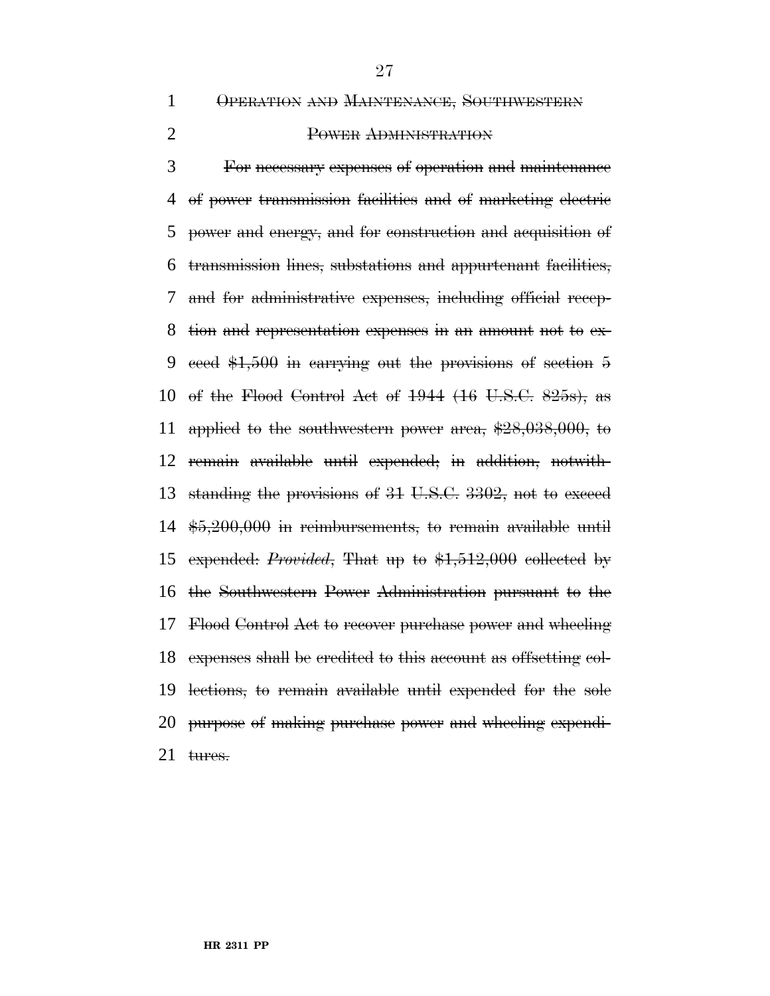OPERATION AND MAINTENANCE, SOUTHWESTERN

# POWER ADMINISTRATION

 For necessary expenses of operation and maintenance of power transmission facilities and of marketing electric power and energy, and for construction and acquisition of transmission lines, substations and appurtenant facilities, and for administrative expenses, including official recep- tion and representation expenses in an amount not to ex- ceed \$1,500 in carrying out the provisions of section 5 of the Flood Control Act of 1944 (16 U.S.C. 825s), as applied to the southwestern power area, \$28,038,000, to remain available until expended; in addition, notwith- standing the provisions of 31 U.S.C. 3302, not to exceed \$5,200,000 in reimbursements, to remain available until expended: *Provided*, That up to \$1,512,000 collected by the Southwestern Power Administration pursuant to the Flood Control Act to recover purchase power and wheeling expenses shall be credited to this account as offsetting col- lections, to remain available until expended for the sole purpose of making purchase power and wheeling expendi-tures.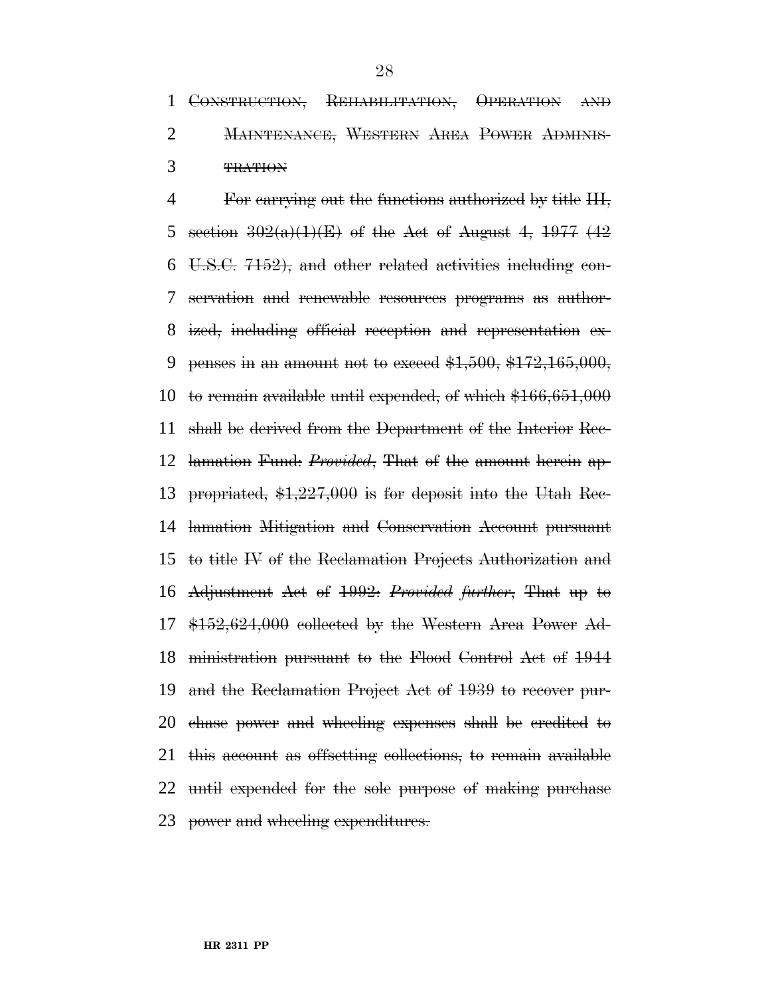CONSTRUCTION, REHABILITATION, OPERATION AND MAINTENANCE, WESTERN AREA POWER ADMINIS-TRATION

 For carrying out the functions authorized by title III, 5 section  $302(a)(1)(E)$  of the Act of August 4, 1977 (42) U.S.C. 7152), and other related activities including con- servation and renewable resources programs as author- ized, including official reception and representation ex-9 penses in an amount not to exceed  $$1,500, $172,165,000,$  to remain available until expended, of which \$166,651,000 shall be derived from the Department of the Interior Rec- lamation Fund: *Provided*, That of the amount herein ap- propriated, \$1,227,000 is for deposit into the Utah Rec- lamation Mitigation and Conservation Account pursuant to title IV of the Reclamation Projects Authorization and Adjustment Act of 1992: *Provided further*, That up to \$152,624,000 collected by the Western Area Power Ad- ministration pursuant to the Flood Control Act of 1944 and the Reclamation Project Act of 1939 to recover pur- chase power and wheeling expenses shall be credited to this account as offsetting collections, to remain available until expended for the sole purpose of making purchase power and wheeling expenditures.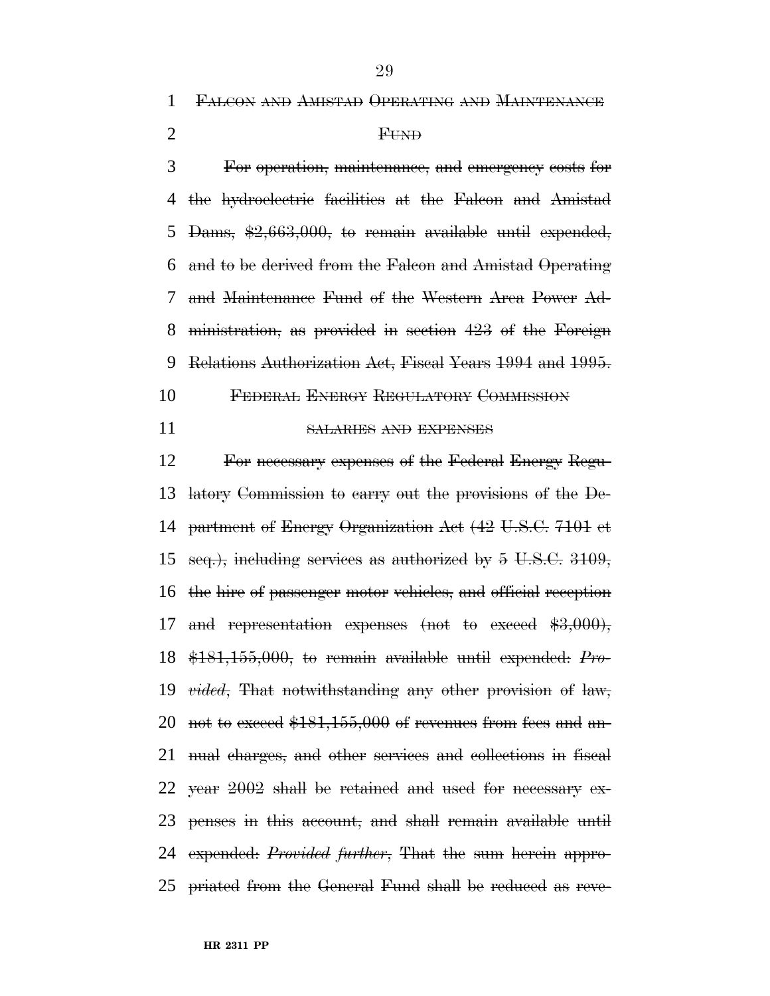FALCON AND AMISTAD OPERATING AND MAINTENANCE

# FUND

 For operation, maintenance, and emergency costs for the hydroelectric facilities at the Falcon and Amistad Dams, \$2,663,000, to remain available until expended, and to be derived from the Falcon and Amistad Operating and Maintenance Fund of the Western Area Power Ad- ministration, as provided in section 423 of the Foreign Relations Authorization Act, Fiscal Years 1994 and 1995.

- FEDERAL ENERGY REGULATORY COMMISSION
- 

# SALARIES AND EXPENSES

 For necessary expenses of the Federal Energy Regu- latory Commission to carry out the provisions of the De- partment of Energy Organization Act (42 U.S.C. 7101 et seq.), including services as authorized by 5 U.S.C. 3109, the hire of passenger motor vehicles, and official reception 17 and representation expenses (not to exceed \$3,000), \$181,155,000, to remain available until expended: *Pro- vided*, That notwithstanding any other provision of law, 20 not to exceed  $$181,155,000$  of revenues from fees and an- nual charges, and other services and collections in fiscal year 2002 shall be retained and used for necessary ex- penses in this account, and shall remain available until expended: *Provided further*, That the sum herein appro-priated from the General Fund shall be reduced as reve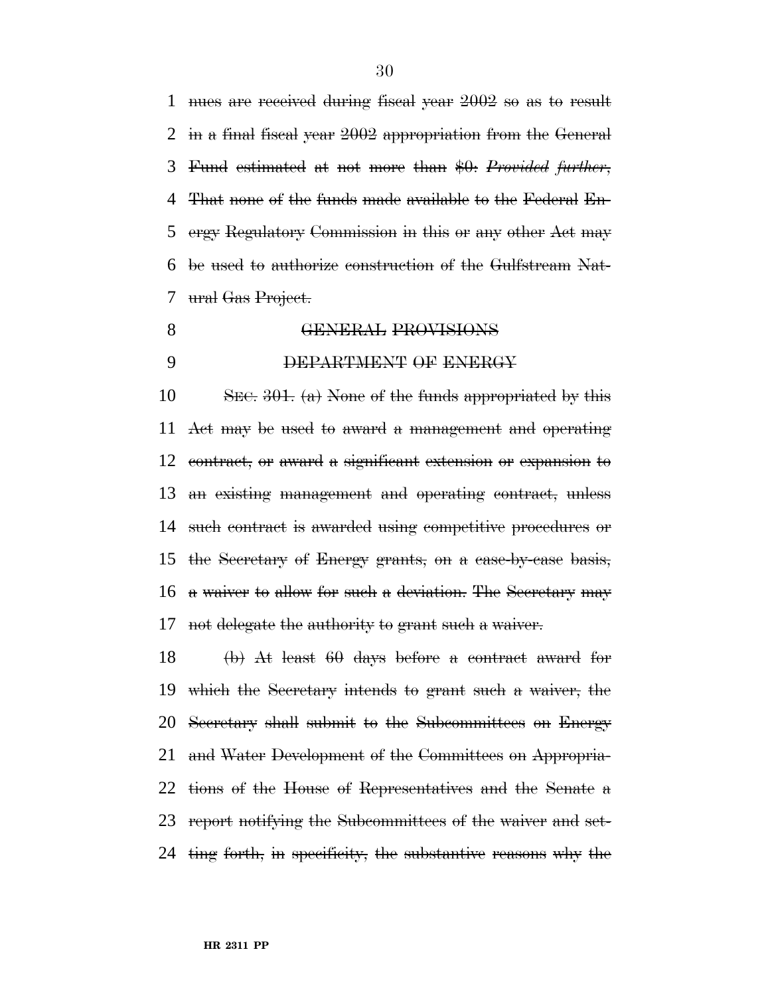nues are received during fiscal year 2002 so as to result in a final fiscal year 2002 appropriation from the General Fund estimated at not more than \$0: *Provided further*, That none of the funds made available to the Federal En- ergy Regulatory Commission in this or any other Act may be used to authorize construction of the Gulfstream Nat-ural Gas Project.

- **GENERAL PROVISIONS** 
	-

# DEPARTMENT OF ENERGY

10 SEC. . (a) None of the funds appropriated by this Act may be used to award a management and operating contract, or award a significant extension or expansion to an existing management and operating contract, unless such contract is awarded using competitive procedures or the Secretary of Energy grants, on a case-by-case basis, a waiver to allow for such a deviation. The Secretary may not delegate the authority to grant such a waiver.

 (b) At least 60 days before a contract award for which the Secretary intends to grant such a waiver, the Secretary shall submit to the Subcommittees on Energy and Water Development of the Committees on Appropria- tions of the House of Representatives and the Senate a report notifying the Subcommittees of the waiver and set-ting forth, in specificity, the substantive reasons why the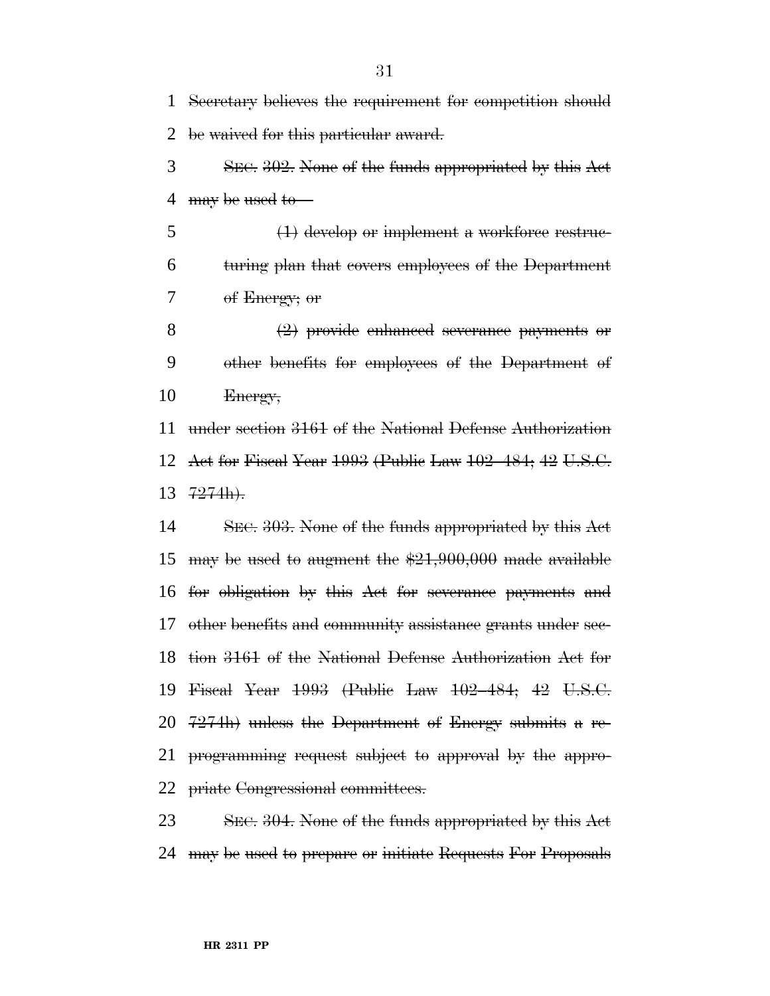Secretary believes the requirement for competition should be waived for this particular award.

 SEC. 302. None of the funds appropriated by this Act 4 may be used to

 (1) develop or implement a workforce restruc- turing plan that covers employees of the Department of Energy; or

 (2) provide enhanced severance payments or other benefits for employees of the Department of Energy,

 under section 3161 of the National Defense Authorization Act for Fiscal Year 1993 (Public Law 102–484; 42 U.S.C.  $13 \t7274h$ .

 SEC. 303. None of the funds appropriated by this Act 15 may be used to augment the  $$21,900,000$  made available for obligation by this Act for severance payments and other benefits and community assistance grants under sec- tion 3161 of the National Defense Authorization Act for Fiscal Year 1993 (Public Law 102–484; 42 U.S.C. 7274h) unless the Department of Energy submits a re- programming request subject to approval by the appro-priate Congressional committees.

23 SEC. 304. None of the funds appropriated by this Act may be used to prepare or initiate Requests For Proposals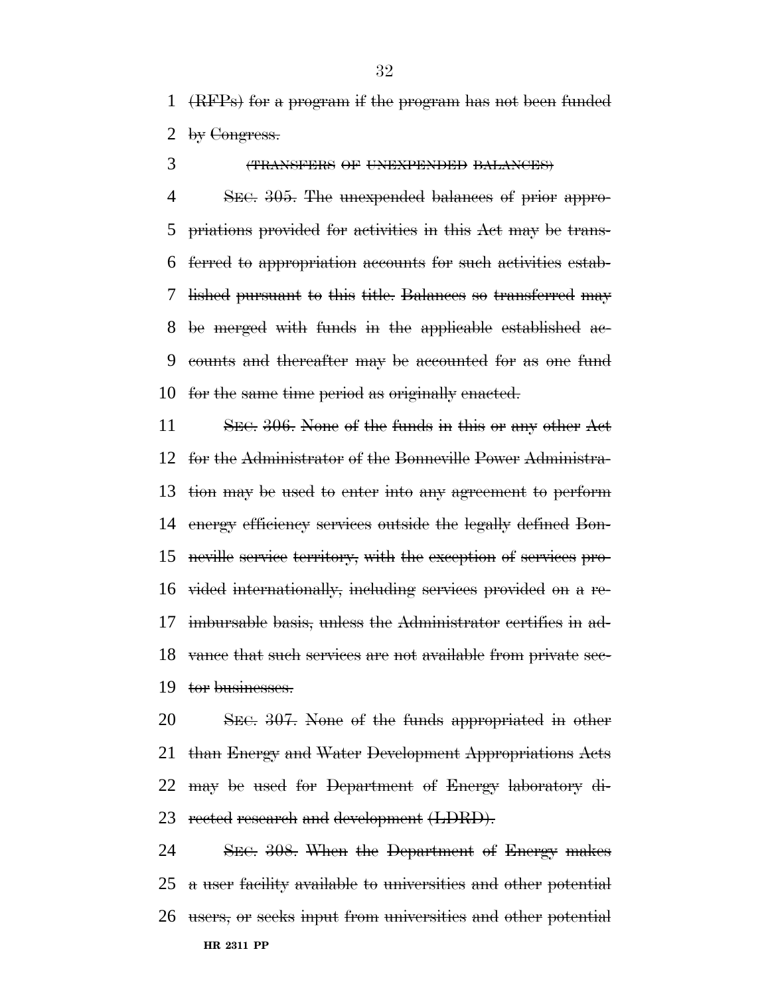(RFPs) for a program if the program has not been funded by Congress.

(TRANSFERS OF UNEXPENDED BALANCES)

 SEC. 305. The unexpended balances of prior appro- priations provided for activities in this Act may be trans- ferred to appropriation accounts for such activities estab- lished pursuant to this title. Balances so transferred may be merged with funds in the applicable established ac- counts and thereafter may be accounted for as one fund for the same time period as originally enacted.

11 SEC. 306. None of the funds in this or any other Act for the Administrator of the Bonneville Power Administra- tion may be used to enter into any agreement to perform energy efficiency services outside the legally defined Bon- neville service territory, with the exception of services pro- vided internationally, including services provided on a re- imbursable basis, unless the Administrator certifies in ad- vance that such services are not available from private sec-tor businesses.

 SEC. 307. None of the funds appropriated in other than Energy and Water Development Appropriations Acts may be used for Department of Energy laboratory di-23 rected research and development (LDRD).

**HR 2311 PP** SEC. 308. When the Department of Energy makes a user facility available to universities and other potential users, or seeks input from universities and other potential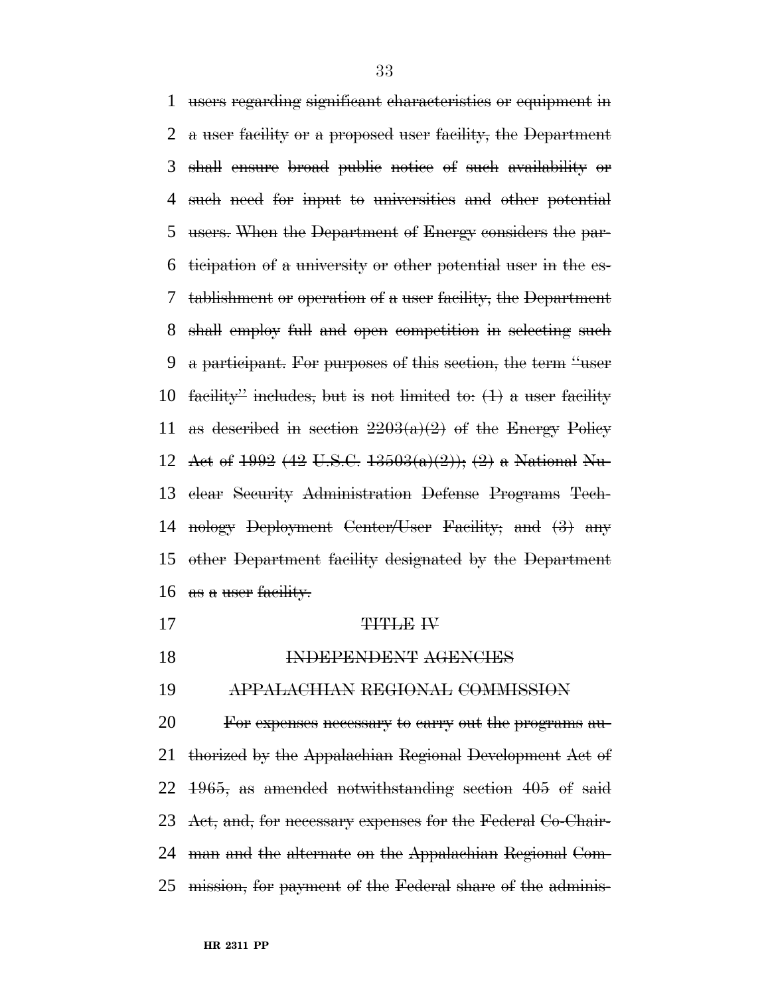users regarding significant characteristics or equipment in a user facility or a proposed user facility, the Department shall ensure broad public notice of such availability or such need for input to universities and other potential users. When the Department of Energy considers the par- ticipation of a university or other potential user in the es- tablishment or operation of a user facility, the Department shall employ full and open competition in selecting such a participant. For purposes of this section, the term ''user 10 facility" includes, but is not limited to:  $(1)$  a user facility 11 as described in section  $2203(a)(2)$  of the Energy Policy 12 Act of (42 U.S.C.  $13503(a)(2)$ ); (2) a National Nu- clear Security Administration Defense Programs Tech- nology Deployment Center/User Facility; and (3) any other Department facility designated by the Department 16 as a user facility.

### 17 TITLE IV

18 INDEPENDENT AGENCIES

APPALACHIAN REGIONAL COMMISSION

 For expenses necessary to carry out the programs au- thorized by the Appalachian Regional Development Act of 1965, as amended notwithstanding section 405 of said Act, and, for necessary expenses for the Federal Co-Chair- man and the alternate on the Appalachian Regional Com-mission, for payment of the Federal share of the adminis-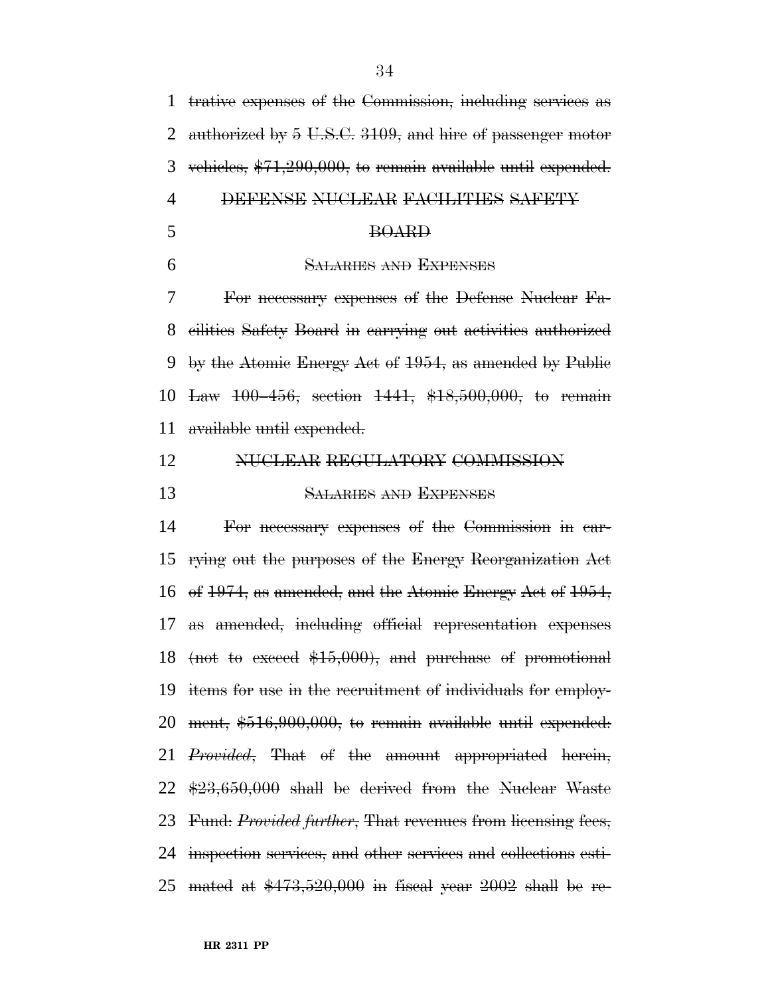trative expenses of the Commission, including services as 2 authorized by 5 U.S.C. 3109, and hire of passenger motor vehicles, \$71,290,000, to remain available until expended. DEFENSE NUCLEAR FACILITIES SAFETY BOARD SALARIES AND EXPENSES For necessary expenses of the Defense Nuclear Fa- cilities Safety Board in carrying out activities authorized by the Atomic Energy Act of 1954, as amended by Public Law 100–456, section 1441, \$18,500,000, to remain available until expended. NUCLEAR REGULATORY COMMISSION SALARIES AND EXPENSES For necessary expenses of the Commission in car- rying out the purposes of the Energy Reorganization Act of 1974, as amended, and the Atomic Energy Act of 1954, as amended, including official representation expenses (not to exceed \$15,000), and purchase of promotional items for use in the recruitment of individuals for employ- ment, \$516,900,000, to remain available until expended: *Provided*, That of the amount appropriated herein, \$23,650,000 shall be derived from the Nuclear Waste

 inspection services, and other services and collections esti-25 mated at  $$473,520,000$  in fiscal year 2002 shall be re-

Fund: *Provided further*, That revenues from licensing fees,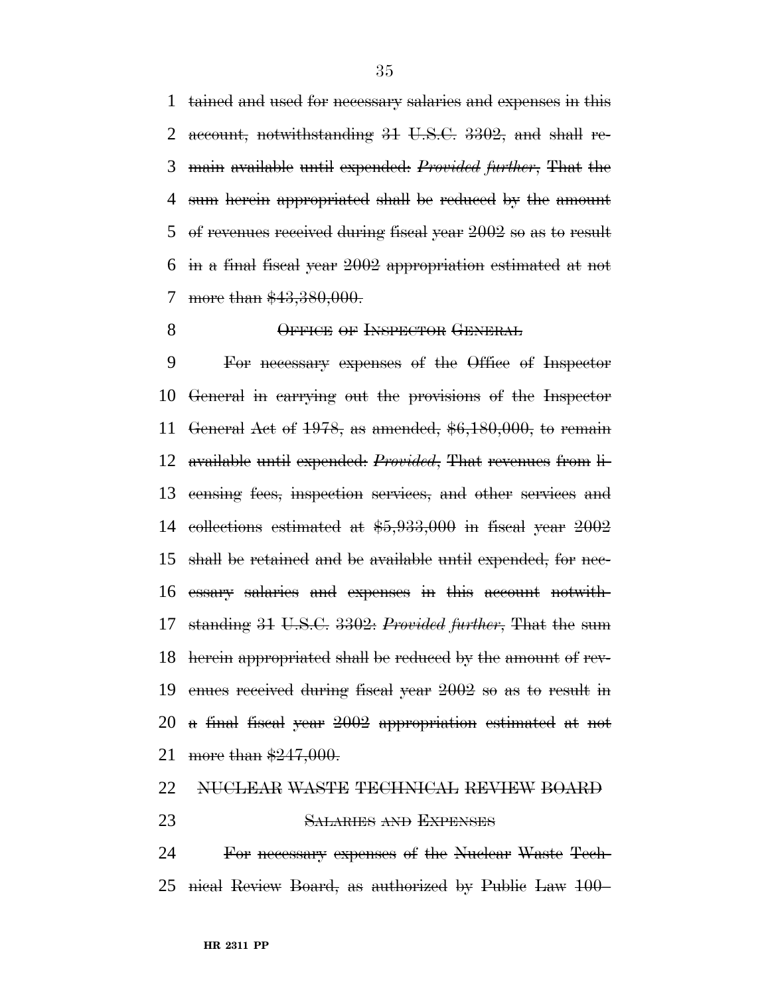tained and used for necessary salaries and expenses in this account, notwithstanding 31 U.S.C. 3302, and shall re- main available until expended: *Provided further*, That the sum herein appropriated shall be reduced by the amount of revenues received during fiscal year 2002 so as to result in a final fiscal year 2002 appropriation estimated at not 7 more than \$43,380,000.

8 OFFICE OF INSPECTOR GENERAL

 For necessary expenses of the Office of Inspector General in carrying out the provisions of the Inspector General Act of 1978, as amended, \$6,180,000, to remain available until expended: *Provided*, That revenues from li- censing fees, inspection services, and other services and collections estimated at \$5,933,000 in fiscal year 2002 shall be retained and be available until expended, for nec- essary salaries and expenses in this account notwith- standing 31 U.S.C. 3302: *Provided further*, That the sum herein appropriated shall be reduced by the amount of rev- enues received during fiscal year 2002 so as to result in a final fiscal year 2002 appropriation estimated at not 21 more than \$247,000.

# NUCLEAR WASTE TECHNICAL REVIEW BOARD

#### SALARIES AND EXPENSES

 For necessary expenses of the Nuclear Waste Tech-nical Review Board, as authorized by Public Law 100–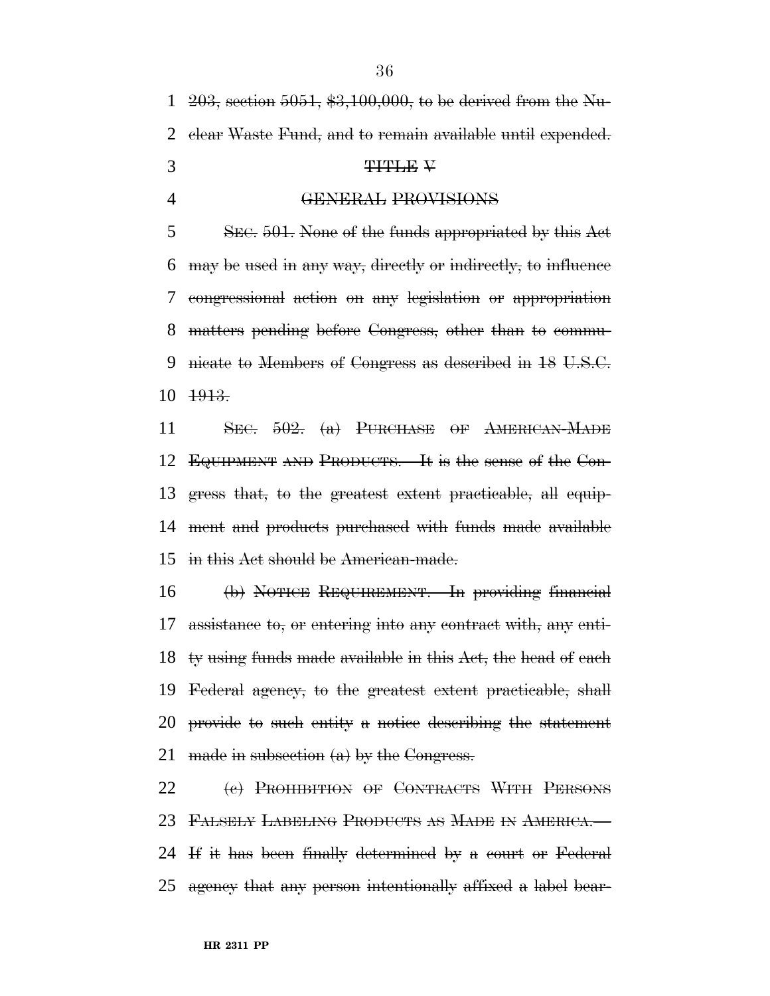203, section 5051, \$3,100,000, to be derived from the Nu- clear Waste Fund, and to remain available until expended.  $3 \t\t T111E \tV$ 

GENERAL PROVISIONS

 SEC. 501. None of the funds appropriated by this Act may be used in any way, directly or indirectly, to influence congressional action on any legislation or appropriation matters pending before Congress, other than to commu- nicate to Members of Congress as described in 18 U.S.C. 1913.

11 SEC. . (a) PURCHASE OF AMERICAN-MADE EQUIPMENT AND PRODUCTS.—It is the sense of the Con- gress that, to the greatest extent practicable, all equip- ment and products purchased with funds made available in this Act should be American-made.

 (b) NOTICE REQUIREMENT.—In providing financial assistance to, or entering into any contract with, any enti- ty using funds made available in this Act, the head of each Federal agency, to the greatest extent practicable, shall provide to such entity a notice describing the statement 21 made in subsection  $(a)$  by the Congress.

22 (e) PROHIBITION OF CONTRACTS WITH PERSONS FALSELY LABELING PRODUCTS AS MADE IN AMERICA.— If it has been finally determined by a court or Federal agency that any person intentionally affixed a label bear-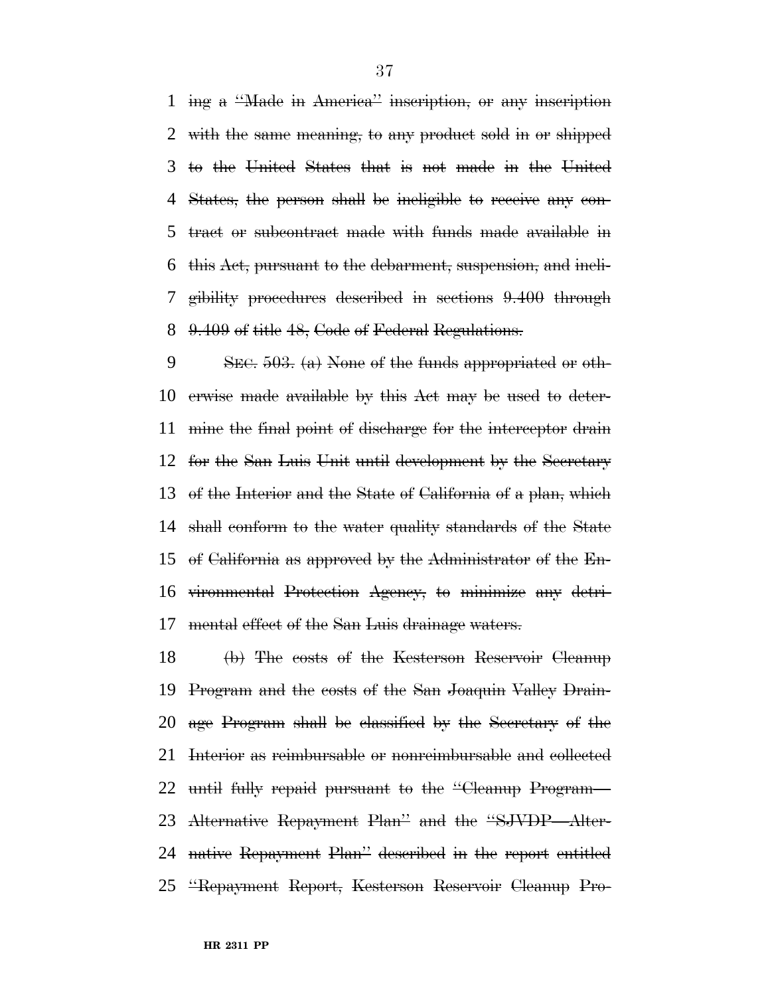ing a ''Made in America'' inscription, or any inscription with the same meaning, to any product sold in or shipped to the United States that is not made in the United States, the person shall be ineligible to receive any con- tract or subcontract made with funds made available in this Act, pursuant to the debarment, suspension, and ineli- gibility procedures described in sections 9.400 through 9.409 of title 48, Code of Federal Regulations.

 SEC. 503. (a) None of the funds appropriated or oth- erwise made available by this Act may be used to deter- mine the final point of discharge for the interceptor drain for the San Luis Unit until development by the Secretary of the Interior and the State of California of a plan, which shall conform to the water quality standards of the State of California as approved by the Administrator of the En- vironmental Protection Agency, to minimize any detri-mental effect of the San Luis drainage waters.

 (b) The costs of the Kesterson Reservoir Cleanup Program and the costs of the San Joaquin Valley Drain- age Program shall be classified by the Secretary of the Interior as reimbursable or nonreimbursable and collected until fully repaid pursuant to the ''Cleanup Program— Alternative Repayment Plan'' and the ''SJVDP—Alter- native Repayment Plan'' described in the report entitled ''Repayment Report, Kesterson Reservoir Cleanup Pro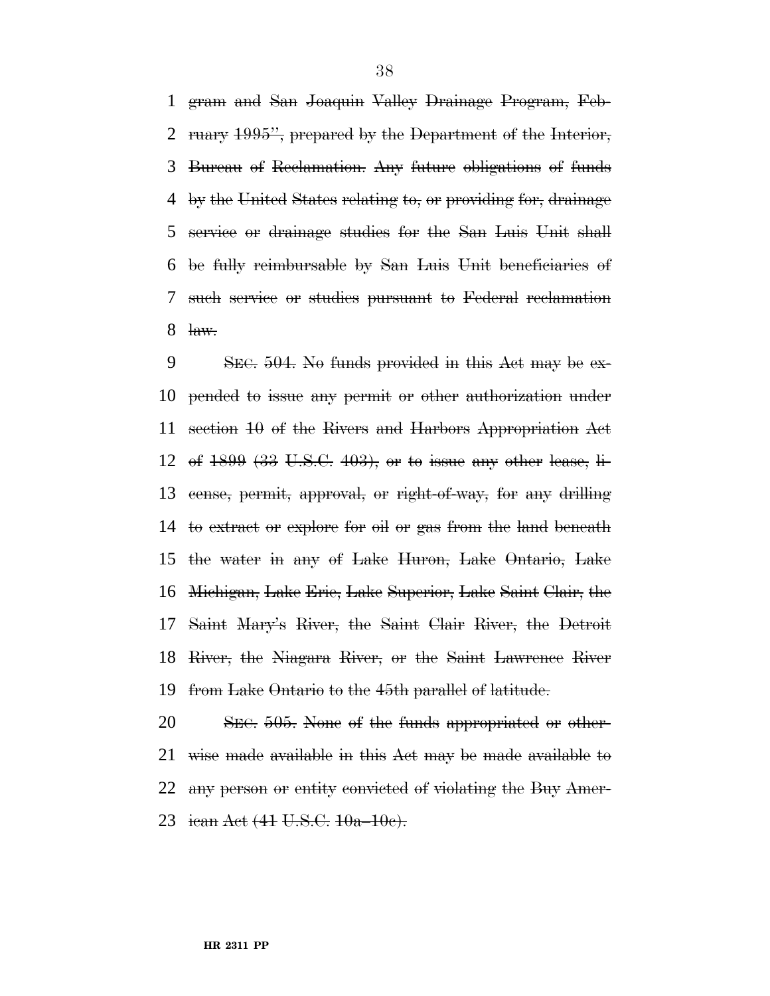gram and San Joaquin Valley Drainage Program, Feb- ruary 1995'', prepared by the Department of the Interior, Bureau of Reclamation. Any future obligations of funds by the United States relating to, or providing for, drainage service or drainage studies for the San Luis Unit shall be fully reimbursable by San Luis Unit beneficiaries of such service or studies pursuant to Federal reclamation  $\frac{\text{law.}}{\text{law.}}$ 

 SEC. 504. No funds provided in this Act may be ex- pended to issue any permit or other authorization under section 10 of the Rivers and Harbors Appropriation Act of 1899 (33 U.S.C. 403), or to issue any other lease, li- cense, permit, approval, or right-of-way, for any drilling 14 to extract or explore for oil or gas from the land beneath the water in any of Lake Huron, Lake Ontario, Lake Michigan, Lake Erie, Lake Superior, Lake Saint Clair, the Saint Mary's River, the Saint Clair River, the Detroit River, the Niagara River, or the Saint Lawrence River from Lake Ontario to the 45th parallel of latitude.

 SEC. 505. None of the funds appropriated or other- wise made available in this Act may be made available to any person or entity convicted of violating the Buy Amer-ican Act (41 U.S.C. 10a–10c).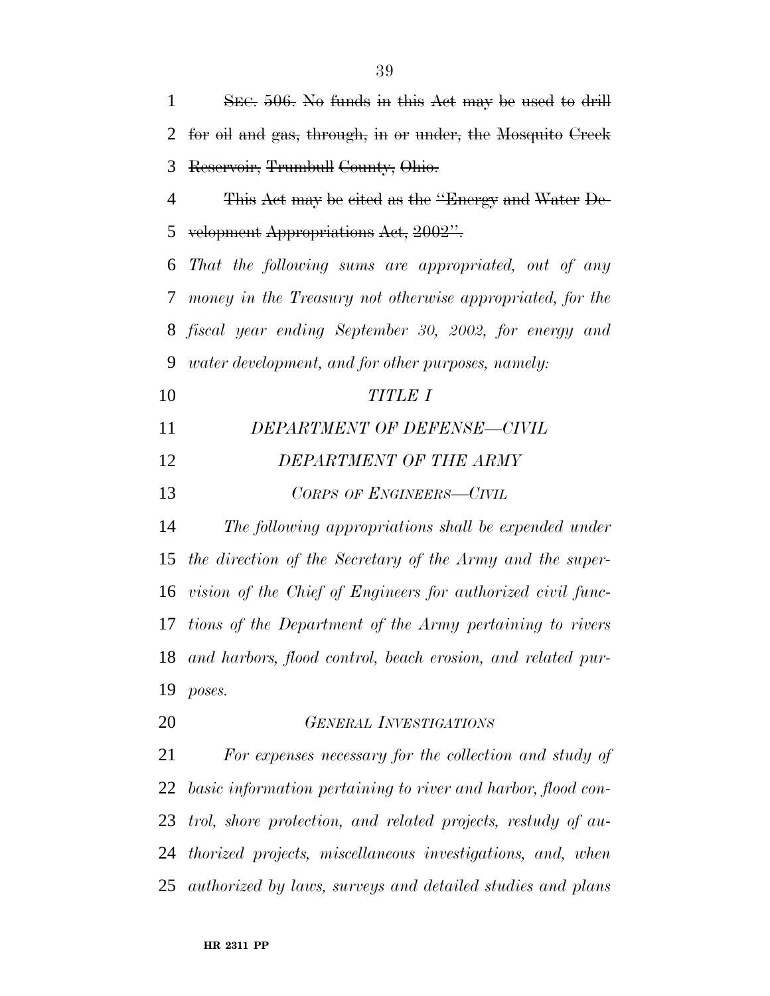for oil and gas, through, in or under, the Mosquito Creek Reservoir, Trumbull County, Ohio. This Act may be cited as the ''Energy and Water De- velopment Appropriations Act, 2002''. *That the following sums are appropriated, out of any money in the Treasury not otherwise appropriated, for the fiscal year ending September 30, 2002, for energy and water development, and for other purposes, namely: TITLE I DEPARTMENT OF DEFENSE—CIVIL DEPARTMENT OF THE ARMY CORPS OF ENGINEERS—CIVIL The following appropriations shall be expended under the direction of the Secretary of the Army and the super- vision of the Chief of Engineers for authorized civil func- tions of the Department of the Army pertaining to rivers and harbors, flood control, beach erosion, and related pur- poses. GENERAL INVESTIGATIONS For expenses necessary for the collection and study of basic information pertaining to river and harbor, flood con-trol, shore protection, and related projects, restudy of au-*

 *thorized projects, miscellaneous investigations, and, when authorized by laws, surveys and detailed studies and plans*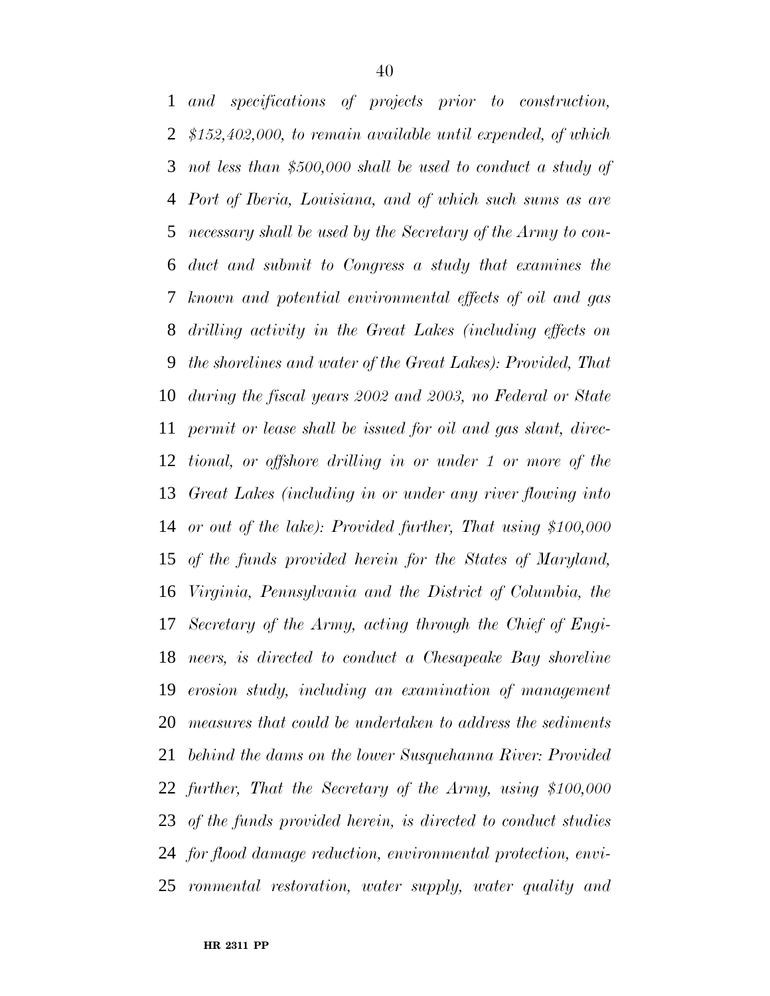*and specifications of projects prior to construction, \$152,402,000, to remain available until expended, of which not less than \$500,000 shall be used to conduct a study of Port of Iberia, Louisiana, and of which such sums as are necessary shall be used by the Secretary of the Army to con- duct and submit to Congress a study that examines the known and potential environmental effects of oil and gas drilling activity in the Great Lakes (including effects on the shorelines and water of the Great Lakes): Provided, That during the fiscal years 2002 and 2003, no Federal or State permit or lease shall be issued for oil and gas slant, direc- tional, or offshore drilling in or under 1 or more of the Great Lakes (including in or under any river flowing into or out of the lake): Provided further, That using \$100,000 of the funds provided herein for the States of Maryland, Virginia, Pennsylvania and the District of Columbia, the Secretary of the Army, acting through the Chief of Engi- neers, is directed to conduct a Chesapeake Bay shoreline erosion study, including an examination of management measures that could be undertaken to address the sediments behind the dams on the lower Susquehanna River: Provided further, That the Secretary of the Army, using \$100,000 of the funds provided herein, is directed to conduct studies for flood damage reduction, environmental protection, envi-ronmental restoration, water supply, water quality and*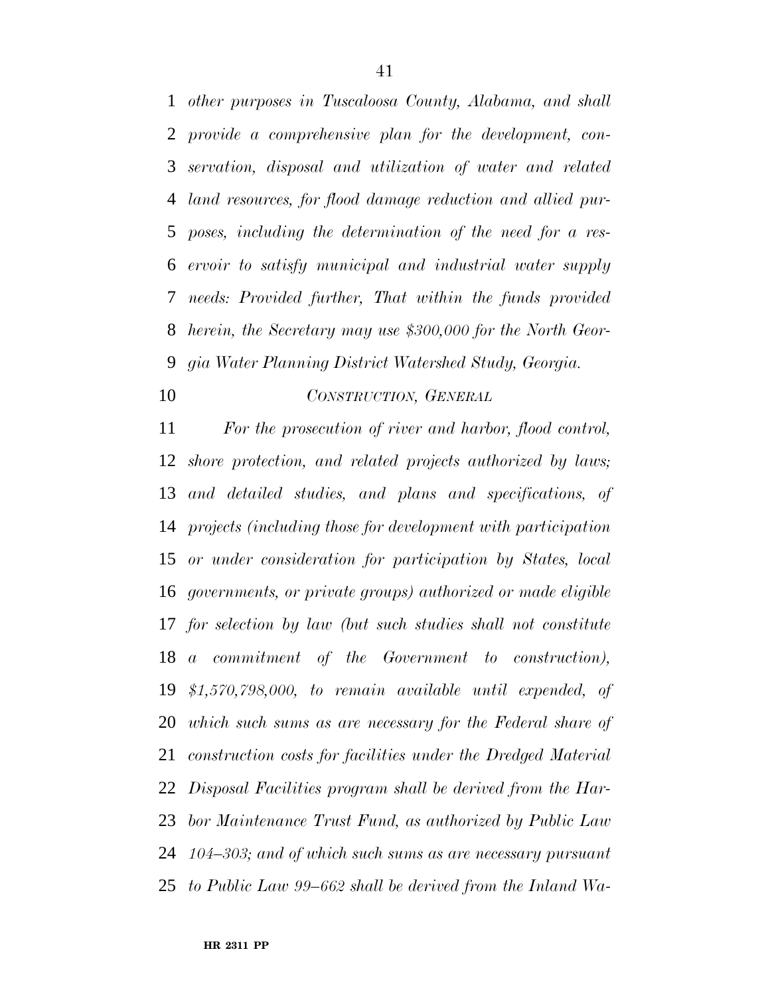*other purposes in Tuscaloosa County, Alabama, and shall provide a comprehensive plan for the development, con- servation, disposal and utilization of water and related land resources, for flood damage reduction and allied pur- poses, including the determination of the need for a res- ervoir to satisfy municipal and industrial water supply needs: Provided further, That within the funds provided herein, the Secretary may use \$300,000 for the North Geor-gia Water Planning District Watershed Study, Georgia.*

# *CONSTRUCTION, GENERAL*

 *For the prosecution of river and harbor, flood control, shore protection, and related projects authorized by laws; and detailed studies, and plans and specifications, of projects (including those for development with participation or under consideration for participation by States, local governments, or private groups) authorized or made eligible for selection by law (but such studies shall not constitute a commitment of the Government to construction), \$1,570,798,000, to remain available until expended, of which such sums as are necessary for the Federal share of construction costs for facilities under the Dredged Material Disposal Facilities program shall be derived from the Har- bor Maintenance Trust Fund, as authorized by Public Law 104–303; and of which such sums as are necessary pursuant to Public Law 99–662 shall be derived from the Inland Wa-*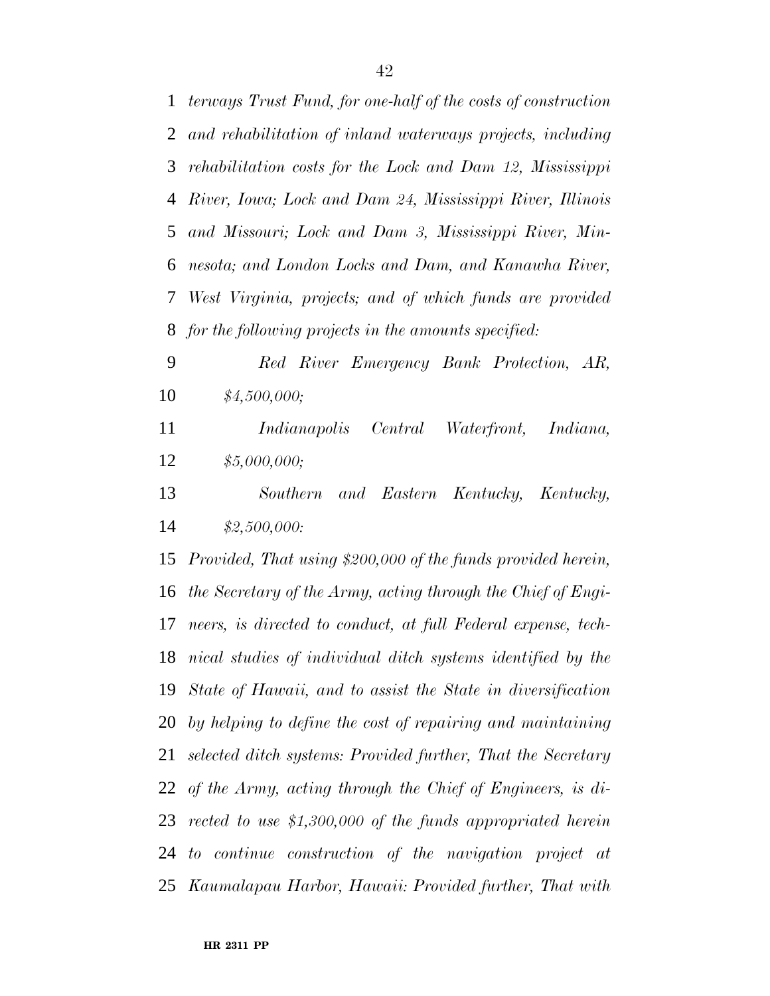*terways Trust Fund, for one-half of the costs of construction and rehabilitation of inland waterways projects, including rehabilitation costs for the Lock and Dam 12, Mississippi River, Iowa; Lock and Dam 24, Mississippi River, Illinois and Missouri; Lock and Dam 3, Mississippi River, Min- nesota; and London Locks and Dam, and Kanawha River, West Virginia, projects; and of which funds are provided for the following projects in the amounts specified: Red River Emergency Bank Protection, AR,*

- *\$4,500,000;*
- *Indianapolis Central Waterfront, Indiana, \$5,000,000;*
- *Southern and Eastern Kentucky, Kentucky, \$2,500,000:*

 *Provided, That using \$200,000 of the funds provided herein, the Secretary of the Army, acting through the Chief of Engi- neers, is directed to conduct, at full Federal expense, tech- nical studies of individual ditch systems identified by the State of Hawaii, and to assist the State in diversification by helping to define the cost of repairing and maintaining selected ditch systems: Provided further, That the Secretary of the Army, acting through the Chief of Engineers, is di- rected to use \$1,300,000 of the funds appropriated herein to continue construction of the navigation project at Kaumalapau Harbor, Hawaii: Provided further, That with*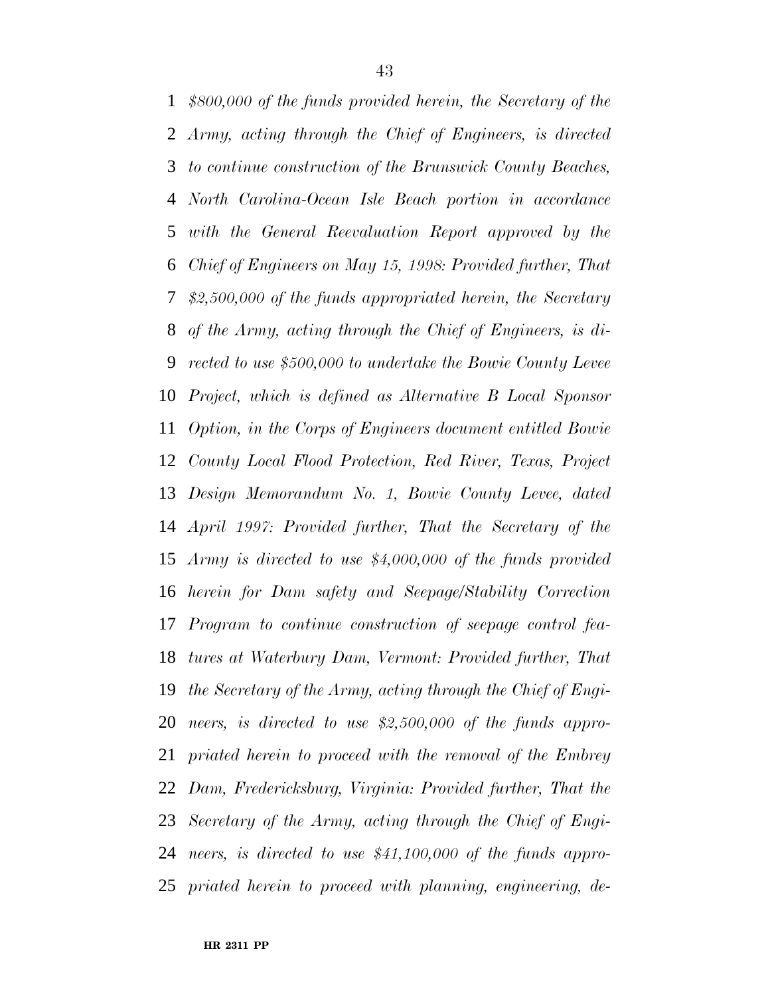*\$800,000 of the funds provided herein, the Secretary of the Army, acting through the Chief of Engineers, is directed to continue construction of the Brunswick County Beaches, North Carolina-Ocean Isle Beach portion in accordance with the General Reevaluation Report approved by the Chief of Engineers on May 15, 1998: Provided further, That \$2,500,000 of the funds appropriated herein, the Secretary of the Army, acting through the Chief of Engineers, is di- rected to use \$500,000 to undertake the Bowie County Levee Project, which is defined as Alternative B Local Sponsor Option, in the Corps of Engineers document entitled Bowie County Local Flood Protection, Red River, Texas, Project Design Memorandum No. 1, Bowie County Levee, dated April 1997: Provided further, That the Secretary of the Army is directed to use \$4,000,000 of the funds provided herein for Dam safety and Seepage/Stability Correction Program to continue construction of seepage control fea- tures at Waterbury Dam, Vermont: Provided further, That the Secretary of the Army, acting through the Chief of Engi- neers, is directed to use \$2,500,000 of the funds appro- priated herein to proceed with the removal of the Embrey Dam, Fredericksburg, Virginia: Provided further, That the Secretary of the Army, acting through the Chief of Engi- neers, is directed to use \$41,100,000 of the funds appro-priated herein to proceed with planning, engineering, de-*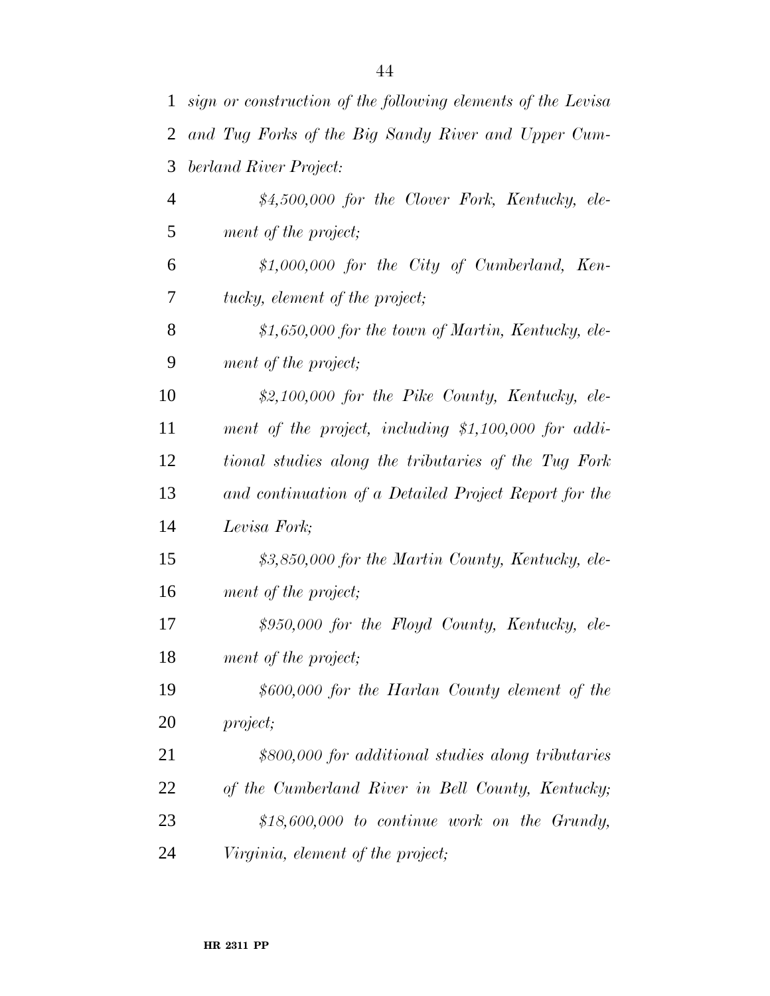| $\mathbf{1}$ | sign or construction of the following elements of the Levisa |
|--------------|--------------------------------------------------------------|
| 2            | and Tug Forks of the Big Sandy River and Upper Cum-          |
| 3            | berland River Project:                                       |
| 4            | \$4,500,000 for the Clover Fork, Kentucky, ele-              |
| 5            | ment of the project;                                         |
| 6            | $$1,000,000$ for the City of Cumberland, Ken-                |
| 7            | tucky, element of the project;                               |
| 8            | $$1,650,000$ for the town of Martin, Kentucky, ele-          |
| 9            | ment of the project;                                         |
| 10           | \$2,100,000 for the Pike County, Kentucky, ele-              |
| 11           | ment of the project, including \$1,100,000 for addi-         |
| 12           | tional studies along the tributaries of the Tug Fork         |
| 13           | and continuation of a Detailed Project Report for the        |
| 14           | Levisa Fork;                                                 |
| 15           | \$3,850,000 for the Martin County, Kentucky, ele-            |
| 16           | ment of the project;                                         |
| 17           | \$950,000 for the Floyd County, Kentucky, ele-               |
| 18           | ment of the project;                                         |
| 19           | \$600,000 for the Harlan County element of the               |
| 20           | <i>project</i> ;                                             |
| 21           | \$800,000 for additional studies along tributaries           |
| 22           | of the Cumberland River in Bell County, Kentucky;            |
| 23           | $$18,600,000$ to continue work on the Grundy,                |
| 24           | Virginia, element of the project;                            |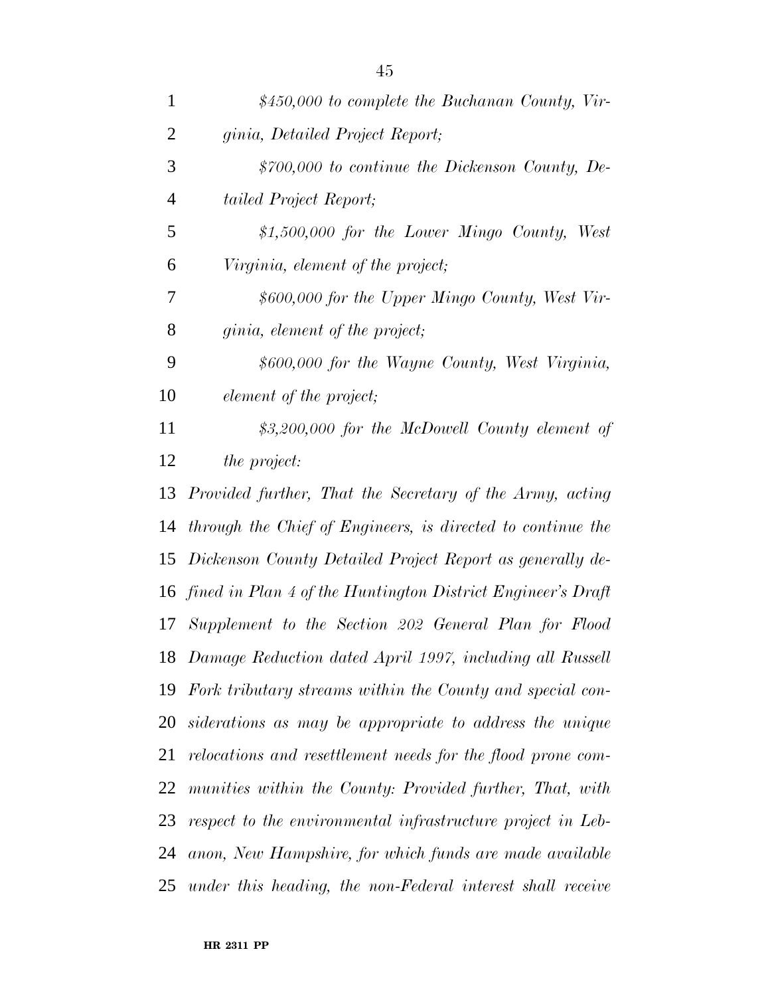| $\mathbf{1}$   | $$450,000$ to complete the Buchanan County, Vir-               |
|----------------|----------------------------------------------------------------|
| $\overline{2}$ | ginia, Detailed Project Report;                                |
| 3              | $$700,000$ to continue the Dickenson County, De-               |
| $\overline{4}$ | tailed Project Report;                                         |
| 5              | $$1,500,000$ for the Lower Mingo County, West                  |
| 6              | Virginia, element of the project;                              |
| 7              | \$600,000 for the Upper Mingo County, West Vir-                |
| 8              | <i>ginia, element of the project;</i>                          |
| 9              | \$600,000 for the Wayne County, West Virginia,                 |
| 10             | element of the project;                                        |
| 11             | \$3,200,000 for the McDowell County element of                 |
| 12             | <i>the project:</i>                                            |
| 13             | Provided further, That the Secretary of the Army, acting       |
| 14             | through the Chief of Engineers, is directed to continue the    |
| 15             | Dickenson County Detailed Project Report as generally de-      |
| 16             | fined in Plan 4 of the Huntington District Engineer's Draft    |
| 17             | Supplement to the Section 202 General Plan for Flood           |
|                | 18 Damage Reduction dated April 1997, including all Russell    |
|                | 19 Fork tributary streams within the County and special con-   |
|                | 20 siderations as may be appropriate to address the unique     |
| 21             | relocations and resettlement needs for the flood prone com-    |
| 22             | munities within the County: Provided further, That, with       |
|                | 23 respect to the environmental infrastructure project in Leb- |
| 24             | anon, New Hampshire, for which funds are made available        |
| 25             | under this heading, the non-Federal interest shall receive     |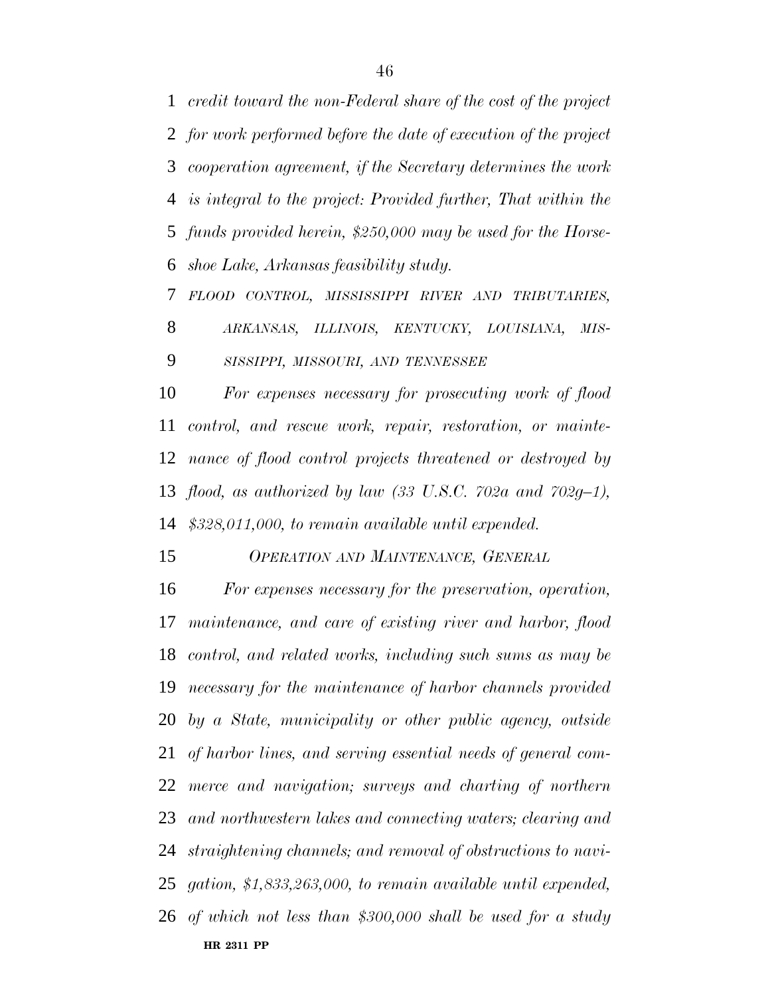*credit toward the non-Federal share of the cost of the project for work performed before the date of execution of the project cooperation agreement, if the Secretary determines the work is integral to the project: Provided further, That within the funds provided herein, \$250,000 may be used for the Horse-shoe Lake, Arkansas feasibility study.*

 *FLOOD CONTROL, MISSISSIPPI RIVER AND TRIBUTARIES, ARKANSAS, ILLINOIS, KENTUCKY, LOUISIANA, MIS-*

*SISSIPPI, MISSOURI, AND TENNESSEE*

 *For expenses necessary for prosecuting work of flood control, and rescue work, repair, restoration, or mainte- nance of flood control projects threatened or destroyed by flood, as authorized by law (33 U.S.C. 702a and 702g–1), \$328,011,000, to remain available until expended.*

*OPERATION AND MAINTENANCE, GENERAL*

**HR 2311 PP** *For expenses necessary for the preservation, operation, maintenance, and care of existing river and harbor, flood control, and related works, including such sums as may be necessary for the maintenance of harbor channels provided by a State, municipality or other public agency, outside of harbor lines, and serving essential needs of general com- merce and navigation; surveys and charting of northern and northwestern lakes and connecting waters; clearing and straightening channels; and removal of obstructions to navi- gation, \$1,833,263,000, to remain available until expended, of which not less than \$300,000 shall be used for a study*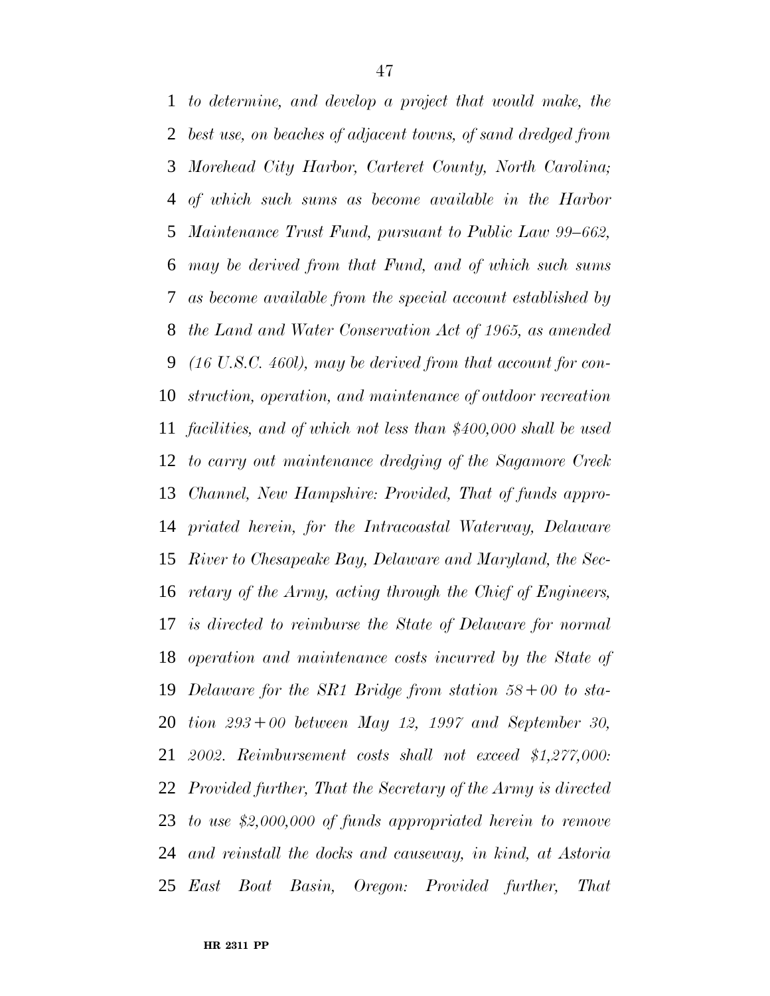*to determine, and develop a project that would make, the best use, on beaches of adjacent towns, of sand dredged from Morehead City Harbor, Carteret County, North Carolina; of which such sums as become available in the Harbor Maintenance Trust Fund, pursuant to Public Law 99–662, may be derived from that Fund, and of which such sums as become available from the special account established by the Land and Water Conservation Act of 1965, as amended (16 U.S.C. 460l), may be derived from that account for con- struction, operation, and maintenance of outdoor recreation facilities, and of which not less than \$400,000 shall be used to carry out maintenance dredging of the Sagamore Creek Channel, New Hampshire: Provided, That of funds appro- priated herein, for the Intracoastal Waterway, Delaware River to Chesapeake Bay, Delaware and Maryland, the Sec- retary of the Army, acting through the Chief of Engineers, is directed to reimburse the State of Delaware for normal operation and maintenance costs incurred by the State of Delaware for the SR1 Bridge from station 58*∂*00 to sta- tion 293*∂*00 between May 12, 1997 and September 30, 2002. Reimbursement costs shall not exceed \$1,277,000: Provided further, That the Secretary of the Army is directed to use \$2,000,000 of funds appropriated herein to remove and reinstall the docks and causeway, in kind, at Astoria East Boat Basin, Oregon: Provided further, That*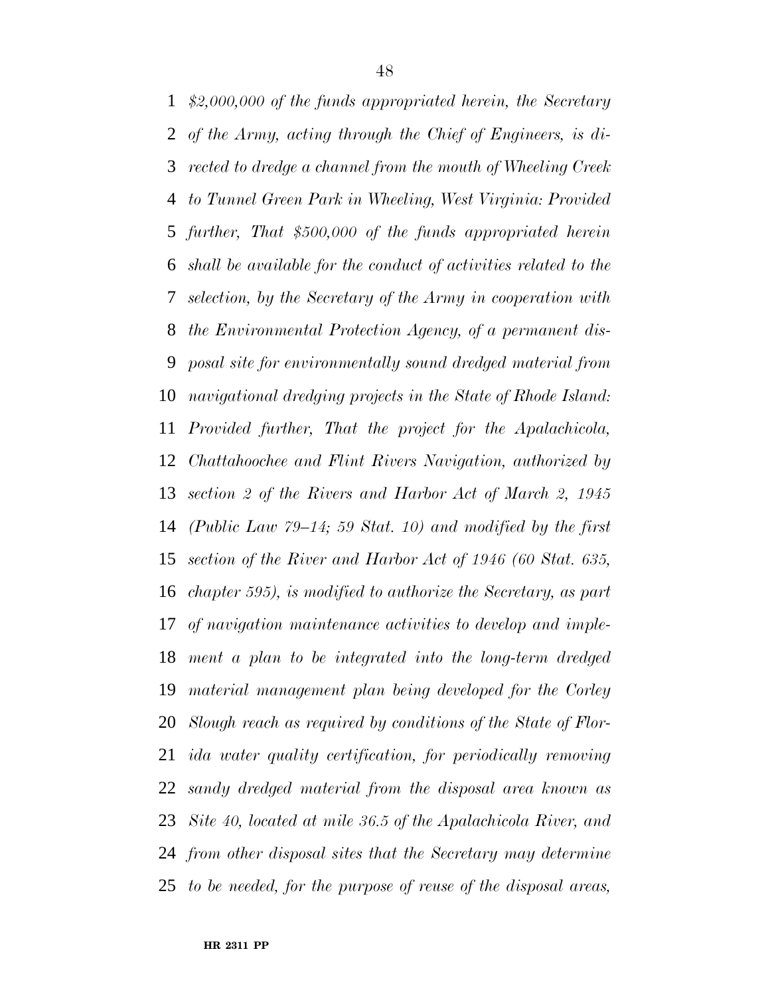*\$2,000,000 of the funds appropriated herein, the Secretary of the Army, acting through the Chief of Engineers, is di- rected to dredge a channel from the mouth of Wheeling Creek to Tunnel Green Park in Wheeling, West Virginia: Provided further, That \$500,000 of the funds appropriated herein shall be available for the conduct of activities related to the selection, by the Secretary of the Army in cooperation with the Environmental Protection Agency, of a permanent dis- posal site for environmentally sound dredged material from navigational dredging projects in the State of Rhode Island: Provided further, That the project for the Apalachicola, Chattahoochee and Flint Rivers Navigation, authorized by section 2 of the Rivers and Harbor Act of March 2, 1945 (Public Law 79–14; 59 Stat. 10) and modified by the first section of the River and Harbor Act of 1946 (60 Stat. 635, chapter 595), is modified to authorize the Secretary, as part of navigation maintenance activities to develop and imple- ment a plan to be integrated into the long-term dredged material management plan being developed for the Corley Slough reach as required by conditions of the State of Flor- ida water quality certification, for periodically removing sandy dredged material from the disposal area known as Site 40, located at mile 36.5 of the Apalachicola River, and from other disposal sites that the Secretary may determine to be needed, for the purpose of reuse of the disposal areas,*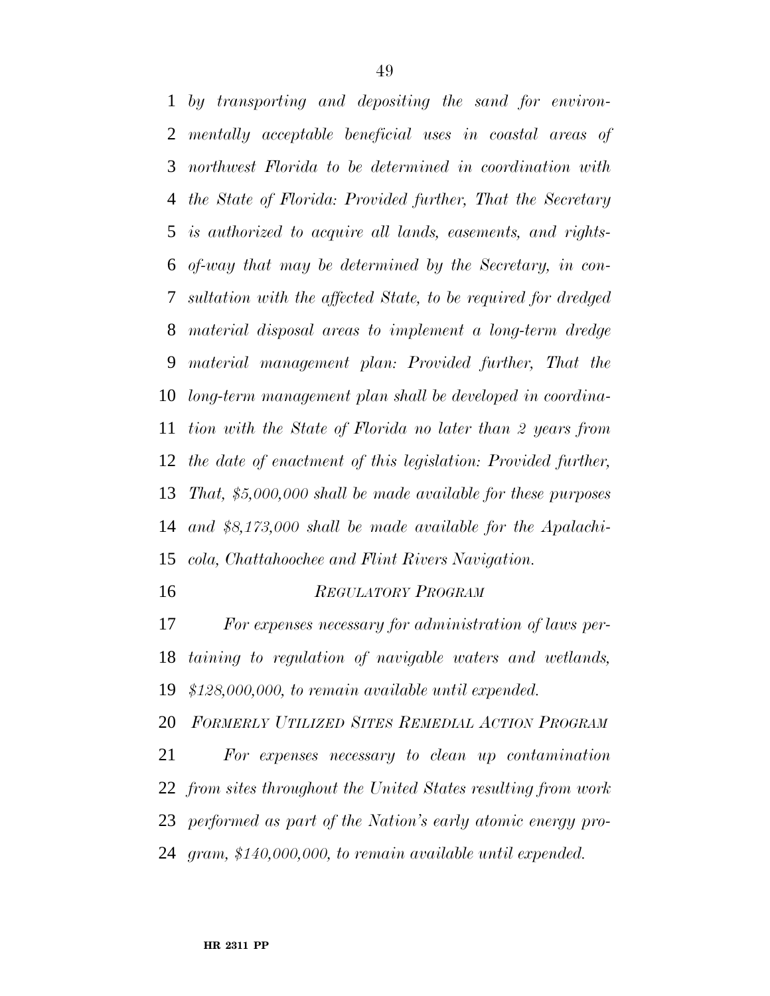*by transporting and depositing the sand for environ- mentally acceptable beneficial uses in coastal areas of northwest Florida to be determined in coordination with the State of Florida: Provided further, That the Secretary is authorized to acquire all lands, easements, and rights- of-way that may be determined by the Secretary, in con- sultation with the affected State, to be required for dredged material disposal areas to implement a long-term dredge material management plan: Provided further, That the long-term management plan shall be developed in coordina- tion with the State of Florida no later than 2 years from the date of enactment of this legislation: Provided further, That, \$5,000,000 shall be made available for these purposes and \$8,173,000 shall be made available for the Apalachi-cola, Chattahoochee and Flint Rivers Navigation.*

#### *REGULATORY PROGRAM*

 *For expenses necessary for administration of laws per- taining to regulation of navigable waters and wetlands, \$128,000,000, to remain available until expended.*

*FORMERLY UTILIZED SITES REMEDIAL ACTION PROGRAM*

 *For expenses necessary to clean up contamination from sites throughout the United States resulting from work performed as part of the Nation's early atomic energy pro-gram, \$140,000,000, to remain available until expended.*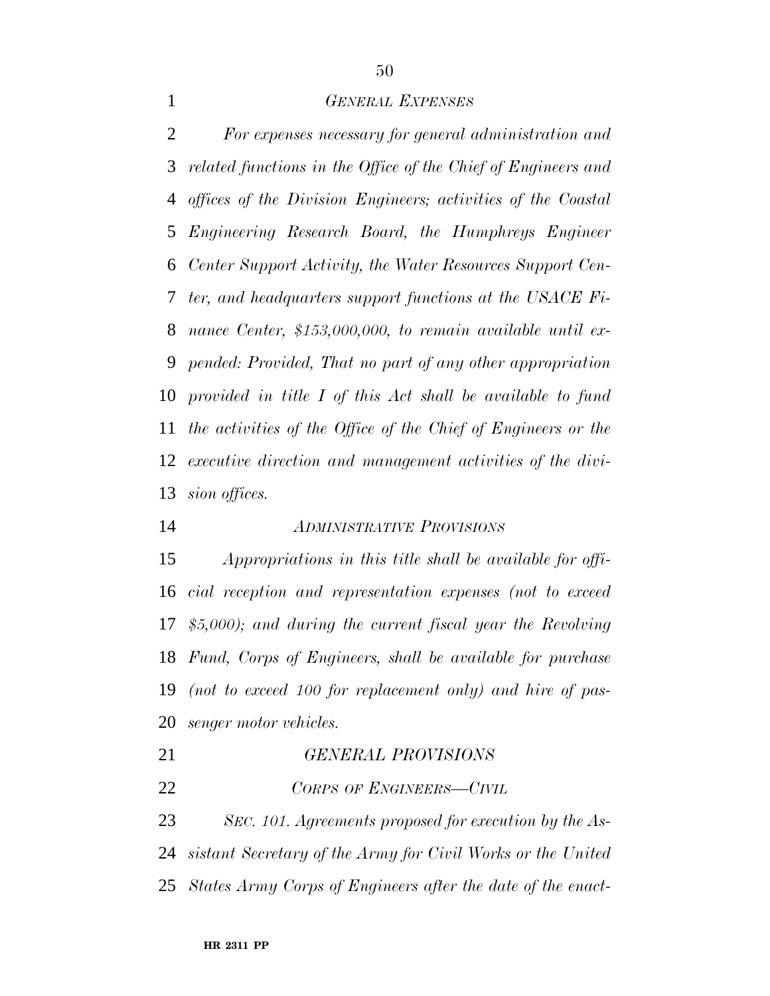#### *GENERAL EXPENSES*

 *For expenses necessary for general administration and related functions in the Office of the Chief of Engineers and offices of the Division Engineers; activities of the Coastal Engineering Research Board, the Humphreys Engineer Center Support Activity, the Water Resources Support Cen- ter, and headquarters support functions at the USACE Fi- nance Center, \$153,000,000, to remain available until ex- pended: Provided, That no part of any other appropriation provided in title I of this Act shall be available to fund the activities of the Office of the Chief of Engineers or the executive direction and management activities of the divi-sion offices.*

# *ADMINISTRATIVE PROVISIONS*

 *Appropriations in this title shall be available for offi- cial reception and representation expenses (not to exceed \$5,000); and during the current fiscal year the Revolving Fund, Corps of Engineers, shall be available for purchase (not to exceed 100 for replacement only) and hire of pas-senger motor vehicles.*

| 21 | <b>GENERAL PROVISIONS</b> |
|----|---------------------------|
| 22 | CORPS OF ENGINEERS-CIVIL  |

 *SEC. 101. Agreements proposed for execution by the As- sistant Secretary of the Army for Civil Works or the United States Army Corps of Engineers after the date of the enact-*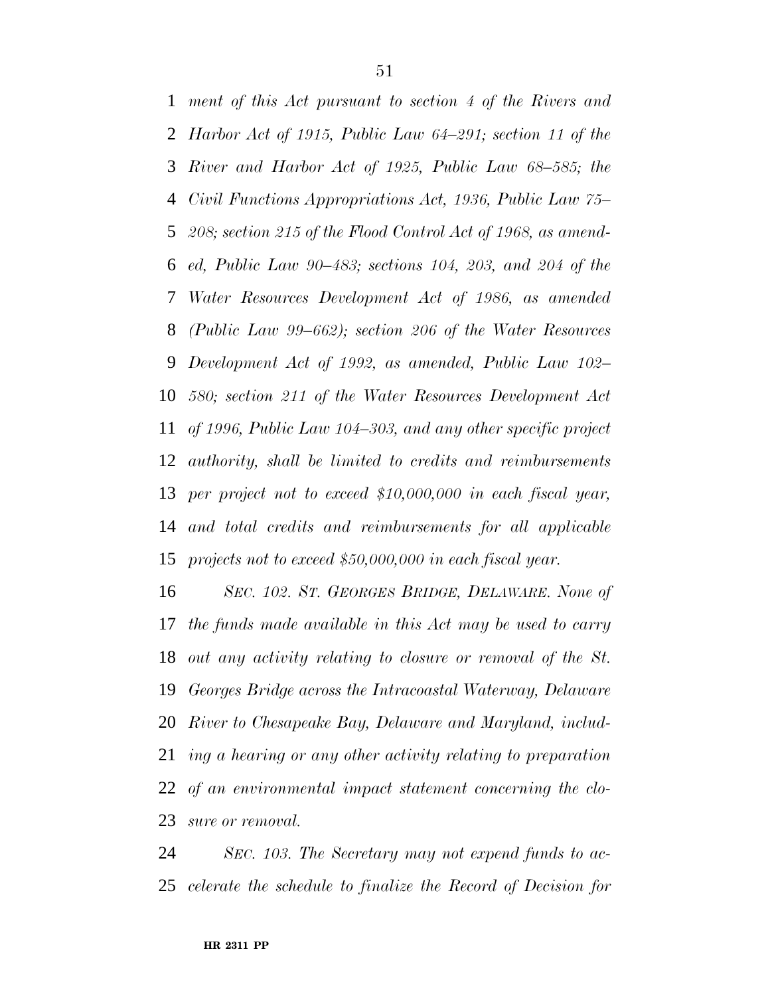*ment of this Act pursuant to section 4 of the Rivers and Harbor Act of 1915, Public Law 64–291; section 11 of the River and Harbor Act of 1925, Public Law 68–585; the Civil Functions Appropriations Act, 1936, Public Law 75– 208; section 215 of the Flood Control Act of 1968, as amend- ed, Public Law 90–483; sections 104, 203, and 204 of the Water Resources Development Act of 1986, as amended (Public Law 99–662); section 206 of the Water Resources Development Act of 1992, as amended, Public Law 102– 580; section 211 of the Water Resources Development Act of 1996, Public Law 104–303, and any other specific project authority, shall be limited to credits and reimbursements per project not to exceed \$10,000,000 in each fiscal year, and total credits and reimbursements for all applicable projects not to exceed \$50,000,000 in each fiscal year.*

 *SEC. 102. ST. GEORGES BRIDGE, DELAWARE. None of the funds made available in this Act may be used to carry out any activity relating to closure or removal of the St. Georges Bridge across the Intracoastal Waterway, Delaware River to Chesapeake Bay, Delaware and Maryland, includ- ing a hearing or any other activity relating to preparation of an environmental impact statement concerning the clo-sure or removal.*

 *SEC. 103. The Secretary may not expend funds to ac-celerate the schedule to finalize the Record of Decision for*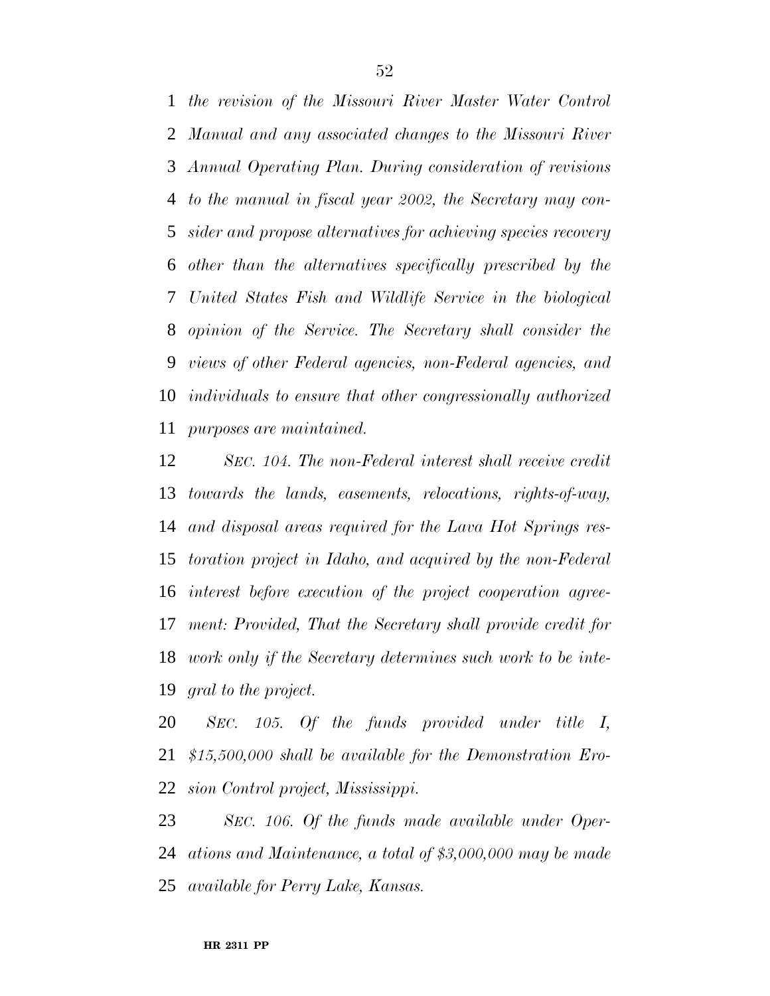*the revision of the Missouri River Master Water Control Manual and any associated changes to the Missouri River Annual Operating Plan. During consideration of revisions to the manual in fiscal year 2002, the Secretary may con- sider and propose alternatives for achieving species recovery other than the alternatives specifically prescribed by the United States Fish and Wildlife Service in the biological opinion of the Service. The Secretary shall consider the views of other Federal agencies, non-Federal agencies, and individuals to ensure that other congressionally authorized purposes are maintained.*

 *SEC. 104. The non-Federal interest shall receive credit towards the lands, easements, relocations, rights-of-way, and disposal areas required for the Lava Hot Springs res- toration project in Idaho, and acquired by the non-Federal interest before execution of the project cooperation agree- ment: Provided, That the Secretary shall provide credit for work only if the Secretary determines such work to be inte-gral to the project.*

 *SEC. 105. Of the funds provided under title I, \$15,500,000 shall be available for the Demonstration Ero-sion Control project, Mississippi.*

 *SEC. 106. Of the funds made available under Oper- ations and Maintenance, a total of \$3,000,000 may be made available for Perry Lake, Kansas.*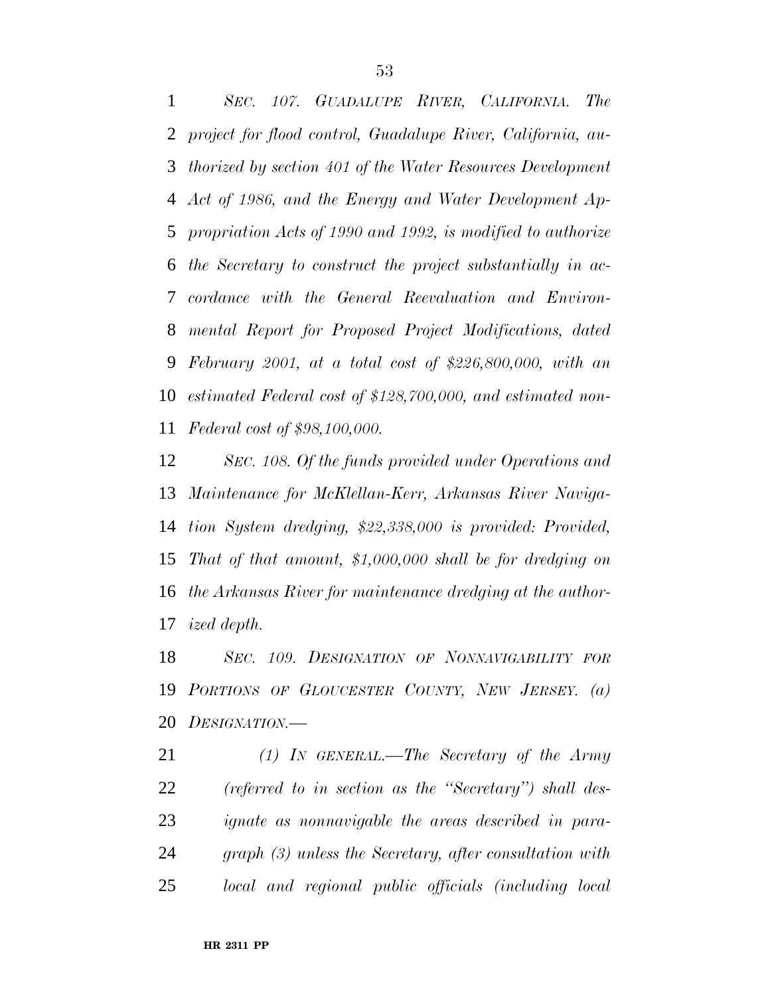*SEC. 107. GUADALUPE RIVER, CALIFORNIA. The project for flood control, Guadalupe River, California, au- thorized by section 401 of the Water Resources Development Act of 1986, and the Energy and Water Development Ap- propriation Acts of 1990 and 1992, is modified to authorize the Secretary to construct the project substantially in ac- cordance with the General Reevaluation and Environ- mental Report for Proposed Project Modifications, dated February 2001, at a total cost of \$226,800,000, with an estimated Federal cost of \$128,700,000, and estimated non-Federal cost of \$98,100,000.*

 *SEC. 108. Of the funds provided under Operations and Maintenance for McKlellan-Kerr, Arkansas River Naviga- tion System dredging, \$22,338,000 is provided: Provided, That of that amount, \$1,000,000 shall be for dredging on the Arkansas River for maintenance dredging at the author-ized depth.*

 *SEC. 109. DESIGNATION OF NONNAVIGABILITY FOR PORTIONS OF GLOUCESTER COUNTY, NEW JERSEY. (a) DESIGNATION.—*

 *(1) IN GENERAL.—The Secretary of the Army (referred to in section as the ''Secretary'') shall des- ignate as nonnavigable the areas described in para- graph (3) unless the Secretary, after consultation with local and regional public officials (including local*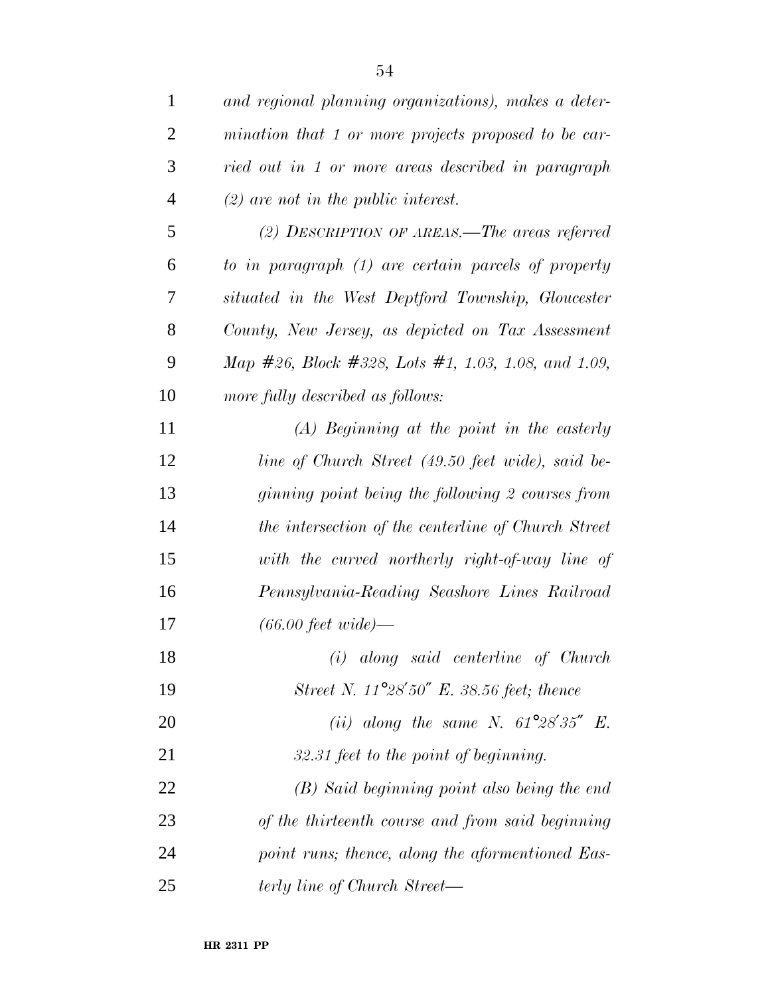| and regional planning organizations), makes a deter- |
|------------------------------------------------------|
| mination that 1 or more projects proposed to be car- |
| ried out in 1 or more areas described in paragraph   |
| $(2)$ are not in the public interest.                |
| (2) DESCRIPTION OF AREAS.—The areas referred         |
| to in paragraph (1) are certain parcels of property  |
| situated in the West Deptford Township, Gloucester   |
| County, New Jersey, as depicted on Tax Assessment    |
| Map #26, Block #328, Lots #1, 1.03, 1.08, and 1.09,  |
| more fully described as follows:                     |
| $(A)$ Beginning at the point in the easterly         |
| line of Church Street (49.50 feet wide), said be-    |
| ginning point being the following 2 courses from     |
| the intersection of the centerline of Church Street  |
| with the curved northerly right-of-way line of       |
| Pennsylvania-Reading Seashore Lines Railroad         |
| $(66.00 \text{ feet wide})$                          |
| (i) along said centerline of Church                  |
| Street N. $11^{\circ}28'50''$ E. 38.56 feet; thence  |
| (ii) along the same N. $61^{\circ}28'35''$ E.        |
| 32.31 feet to the point of beginning.                |
| (B) Said beginning point also being the end          |
| of the thirteenth course and from said beginning     |
| point runs; thence, along the aformentioned Eas-     |
| terly line of Church Street—                         |
|                                                      |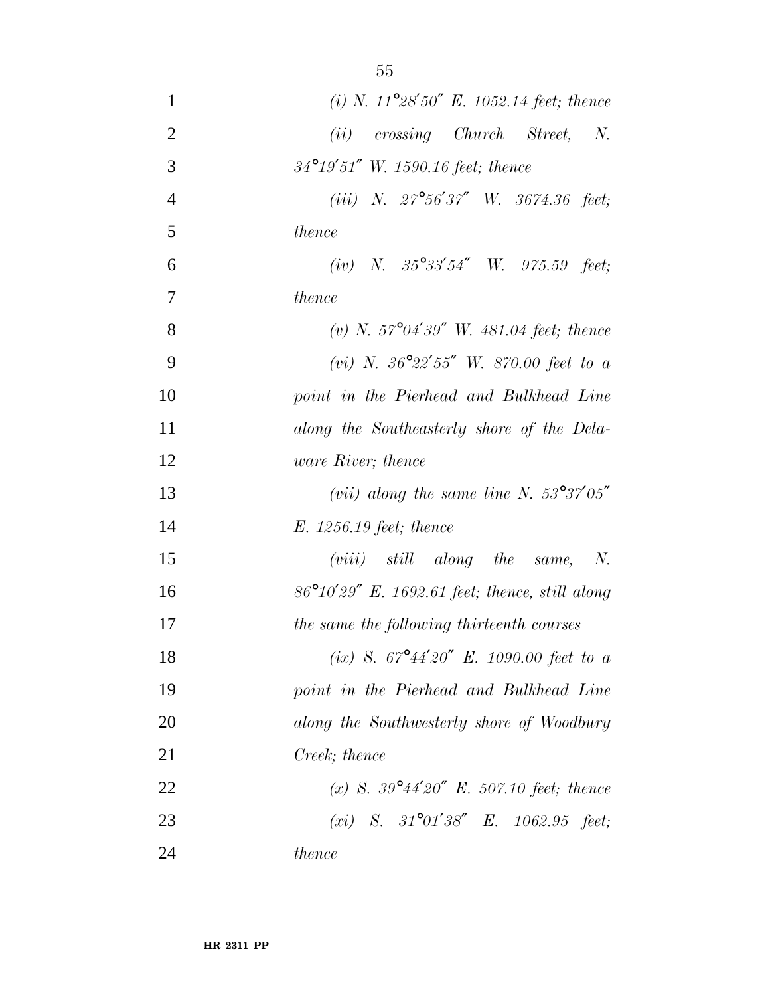| $\mathbf{1}$   | (i) N. $11^{\circ}28'50''$ E. 1052.14 feet; thence       |
|----------------|----------------------------------------------------------|
| $\overline{2}$ | $(ii)$ crossing Church Street, N.                        |
| 3              | $34^{\circ}19'51''$ W. 1590.16 feet; thence              |
| $\overline{4}$ | (iii) N. $27^{\circ}56'37''$ W. $3674.36$ feet;          |
| 5              | thence                                                   |
| 6              | (iv) N. $35^{\circ}33'54''$ W. $975.59$ feet;            |
| 7              | thence                                                   |
| 8              | (v) N. $57^{\circ}04'39''$ W. 481.04 feet; thence        |
| 9              | (vi) N. $36^{\circ}22'55''$ W. 870.00 feet to a          |
| 10             | point in the Pierhead and Bulkhead Line                  |
| 11             | along the Southeasterly shore of the Dela-               |
| 12             | <i>ware River</i> ; <i>thence</i>                        |
| 13             | (vii) along the same line N. $53^{\circ}37'05''$         |
| 14             | $E. 1256.19 \text{ feet}$ ; thence                       |
| 15             | $(viii)$ still along the same, N.                        |
| 16             | $86^{\circ}10'29''$ E. 1692.61 feet; thence, still along |
| 17             | the same the following thirteenth courses                |
| 18             | (ix) S. $67^{\circ}44'20''$ E. 1090.00 feet to a         |
| 19             | point in the Pierhead and Bulkhead Line                  |
| 20             | along the Southwesterly shore of Woodbury                |
| 21             | Creek; thence                                            |
| 22             | (x) S. $39^{\circ}44'20''$ E. 507.10 feet; thence        |
| 23             | (xi) S. $31^{\circ}01'38''$ E. $1062.95$ feet;           |
| 24             | <i>thence</i>                                            |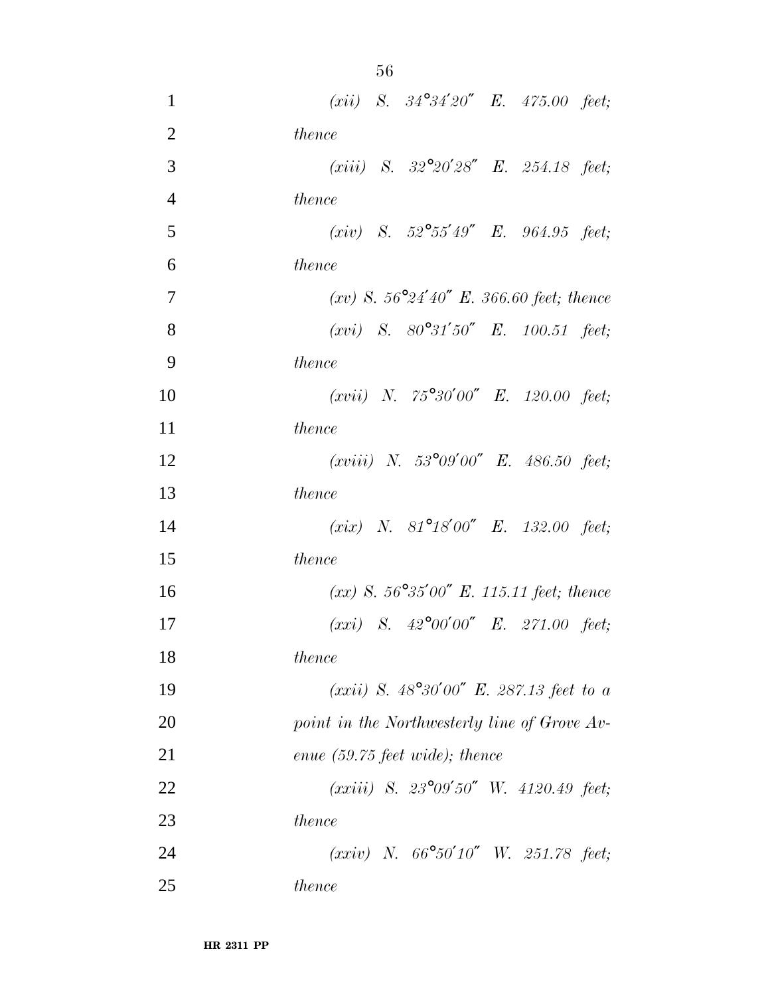| $\mathbf{1}$   | ( <i>xii</i> ) S. $34^{\circ}34'20''$ E. $475.00$ feet;  |
|----------------|----------------------------------------------------------|
| $\overline{2}$ | thence                                                   |
| 3              | ( <i>xiii</i> ) S. $32^{\circ}20'28''$ E. $254.18$ feet; |
| $\overline{4}$ | thence                                                   |
| 5              | (xiv) S. $52^{\circ}55'49''$ E. $964.95$ feet;           |
| 6              | thence                                                   |
| $\overline{7}$ | (xv) S. $56^{\circ}24'40''$ E. 366.60 feet; thence       |
| 8              | $(xvi)$ S. $80^{\circ}31'50''$ E. 100.51 feet;           |
| 9              | thence                                                   |
| 10             | $(xvii)$ N. 75°30'00" E. 120.00 feet;                    |
| 11             | <i>thence</i>                                            |
| 12             | (xviii) N. 53°09'00" E. 486.50 feet;                     |
| 13             | thence                                                   |
| 14             | (xix) N. 81°18'00" E. 132.00 feet;                       |
| 15             | thence                                                   |
| 16             | $(xx)$ S. 56°35'00" E. 115.11 feet; thence               |
| 17             | $(xxi)$ S. $42^{\circ}00'00''$ E. 271.00 feet;           |
| 18             | thence                                                   |
| 19             | (xxii) S. $48^{\circ}30'00''$ E. 287.13 feet to a        |
| 20             | point in the Northwesterly line of Grove Av-             |
| 21             | enue $(59.75 \text{ feet wide});$ thence                 |
| 22             | $(xxiii)$ S. $23^{\circ}09'50''$ W. $4120.49$ feet;      |
| 23             | thence                                                   |
| 24             | $(xxi)$ N. $66^{\circ}50'10''$ W. 251.78 feet;           |
| 25             | <i>thence</i>                                            |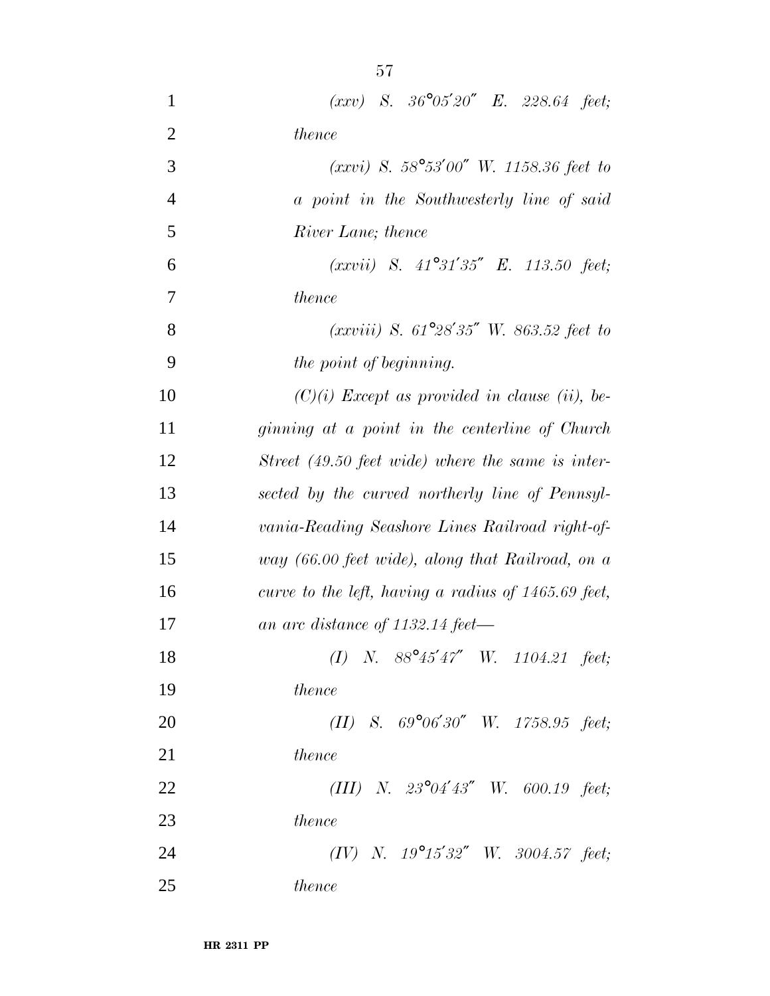| $\mathbf{1}$   | $(xxy)$ S. $36^{\circ}05'20''$ E. 228.64 feet;        |
|----------------|-------------------------------------------------------|
| $\overline{2}$ | thence                                                |
| 3              | $(xxvi)$ S. 58°53'00" W. 1158.36 feet to              |
| $\overline{4}$ | a point in the Southwesterly line of said             |
| 5              | River Lane; thence                                    |
| 6              | $(xxvii)$ S. $41^{\circ}31'35''$ E. 113.50 feet;      |
| $\tau$         | thence                                                |
| 8              | $(xxviii)$ S. 61°28'35" W. 863.52 feet to             |
| 9              | the point of beginning.                               |
| 10             | $(C)(i)$ Except as provided in clause (ii), be-       |
| 11             | ginning at a point in the centerline of Church        |
| 12             | Street (49.50 feet wide) where the same is inter-     |
| 13             | sected by the curved northerly line of Pennsyl-       |
| 14             | vania-Reading Seashore Lines Railroad right-of-       |
| 15             | way (66.00 feet wide), along that Railroad, on a      |
| 16             | curve to the left, having a radius of $1465.69$ feet, |
| 17             | an arc distance of 1132.14 feet—                      |
| 18             | (I) N. $88^{\circ}45'47''$ W. 1104.21 feet;           |
| 19             | thence                                                |
| 20             | (II) S. $69^{\circ}06'30''$ W. $1758.95$ feet;        |
| 21             | <i>thence</i>                                         |
| 22             | (III) N. $23^{\circ}04'43''$ W. 600.19 feet;          |
| 23             | <i>thence</i>                                         |
| 24             | (IV) N. $19^{\circ}15'32''$ W. $3004.57$ feet;        |
| 25             | thence                                                |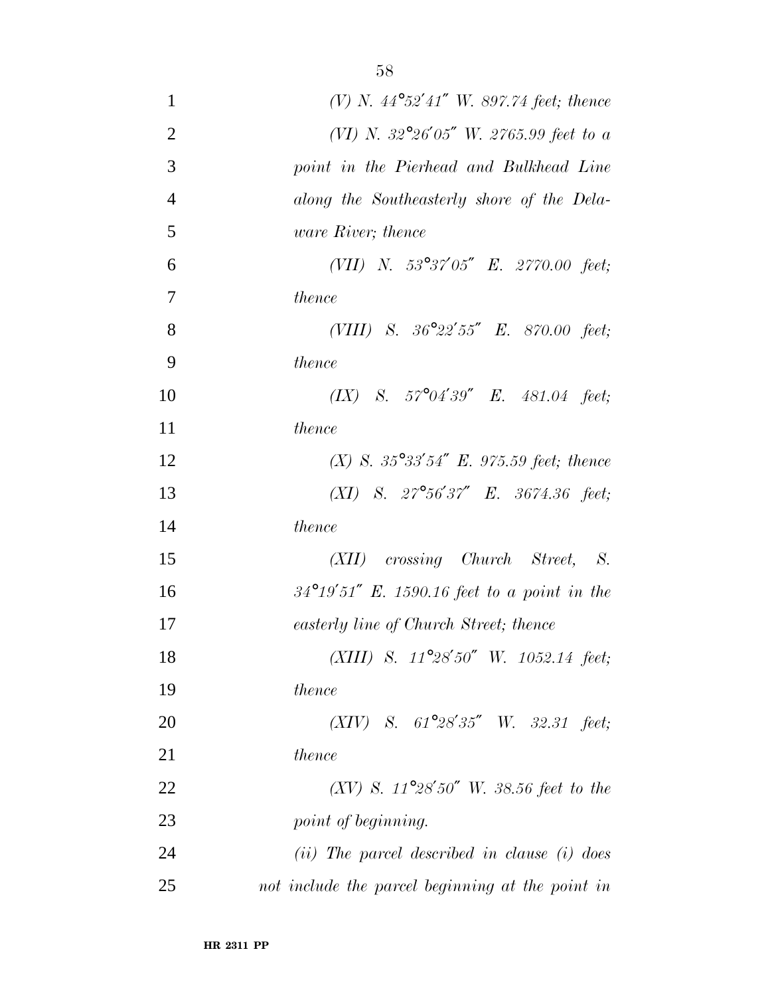| $\mathbf{1}$   | (V) N. $44^{\circ}52'41''$ W. 897.74 feet; thence     |
|----------------|-------------------------------------------------------|
| $\overline{2}$ | (VI) N. 32°26'05" W. 2765.99 feet to a                |
| 3              | point in the Pierhead and Bulkhead Line               |
| $\overline{4}$ | along the Southeasterly shore of the Dela-            |
| 5              | <i>ware River</i> ; thence                            |
| 6              | (VII) N. $53^{\circ}37'05''$ E. $2770.00$ feet;       |
| $\overline{7}$ | <i>thence</i>                                         |
| 8              | (VIII) S. $36^{\circ}22'55''$ E. 870.00 feet;         |
| 9              | thence                                                |
| 10             | $(IX)$ S. $57^{\circ}04'39''$ E. $481.04$ feet;       |
| 11             | <i>thence</i>                                         |
| 12             | (X) S. $35^{\circ}33'54''$ E. 975.59 feet; thence     |
| 13             | $(XI)$ S. $27^{\circ}56'37''$ E. 3674.36 feet;        |
| 14             | thence                                                |
| 15             | (XII) crossing Church Street, S.                      |
| 16             | $34^{\circ}19'51''$ E. 1590.16 feet to a point in the |
| 17             | easterly line of Church Street; thence                |
| 18             | (XIII) S. $11^{\circ}28'50''$ W. $1052.14$ feet;      |
| 19             | thence                                                |
| 20             | $(XIV)$ S. $61^{\circ}28'35''$ W. 32.31 feet;         |
| 21             | thence                                                |
| 22             | (XV) S. $11^{\circ}28'50''$ W. 38.56 feet to the      |
| 23             | point of beginning.                                   |
| 24             | $(ii)$ The parcel described in clause $(i)$ does      |
| 25             | not include the parcel beginning at the point in      |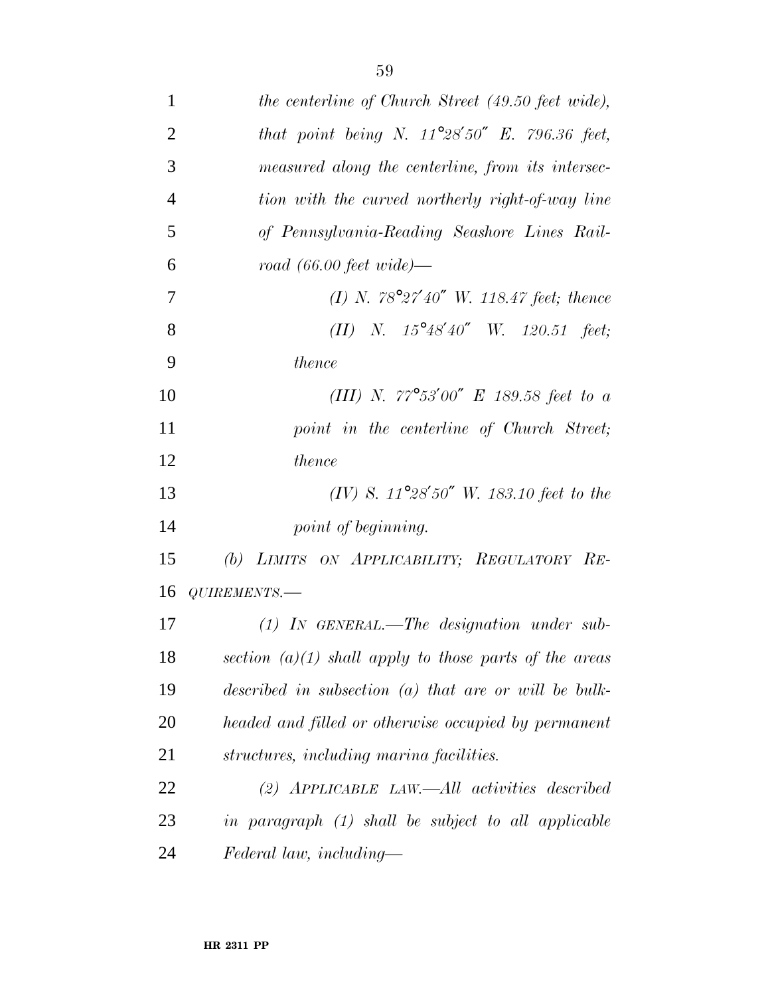| $\mathbf{1}$   | the centerline of Church Street (49.50 feet wide),       |
|----------------|----------------------------------------------------------|
| $\overline{2}$ | that point being N. $11^{\circ}28'50''$ E. 796.36 feet,  |
| 3              | measured along the centerline, from its intersec-        |
| $\overline{4}$ | tion with the curved northerly right-of-way line         |
| 5              | of Pennsylvania-Reading Seashore Lines Rail-             |
| 6              | road $(66.00 \text{ feet wide})$ —                       |
| $\overline{7}$ | (I) N. $78^{\circ}27'40''$ W. 118.47 feet; thence        |
| 8              | (II) N. $15^{\circ}48'40''$ W. $120.51$ feet;            |
| 9              | thence                                                   |
| 10             | (III) N. $77^{\circ}53'00''$ E 189.58 feet to a          |
| 11             | point in the centerline of Church Street;                |
| 12             | thence                                                   |
| 13             | (IV) S. $11^{\circ}28'50''$ W. 183.10 feet to the        |
| 14             | point of beginning.                                      |
| 15             | (b) LIMITS ON APPLICABILITY; REGULATORY RE-              |
| 16             | QUIREMENTS.-                                             |
| 17             | $(1)$ IN GENERAL.—The designation under sub-             |
| 18             | section $(a)(1)$ shall apply to those parts of the areas |
| 19             | described in subsection $(a)$ that are or will be bulk-  |
| 20             | headed and filled or otherwise occupied by permanent     |
| 21             | structures, including marina facilities.                 |
| 22             | $(2)$ APPLICABLE LAW.—All activities described           |
| 23             | in paragraph (1) shall be subject to all applicable      |
| 24             | Federal law, including—                                  |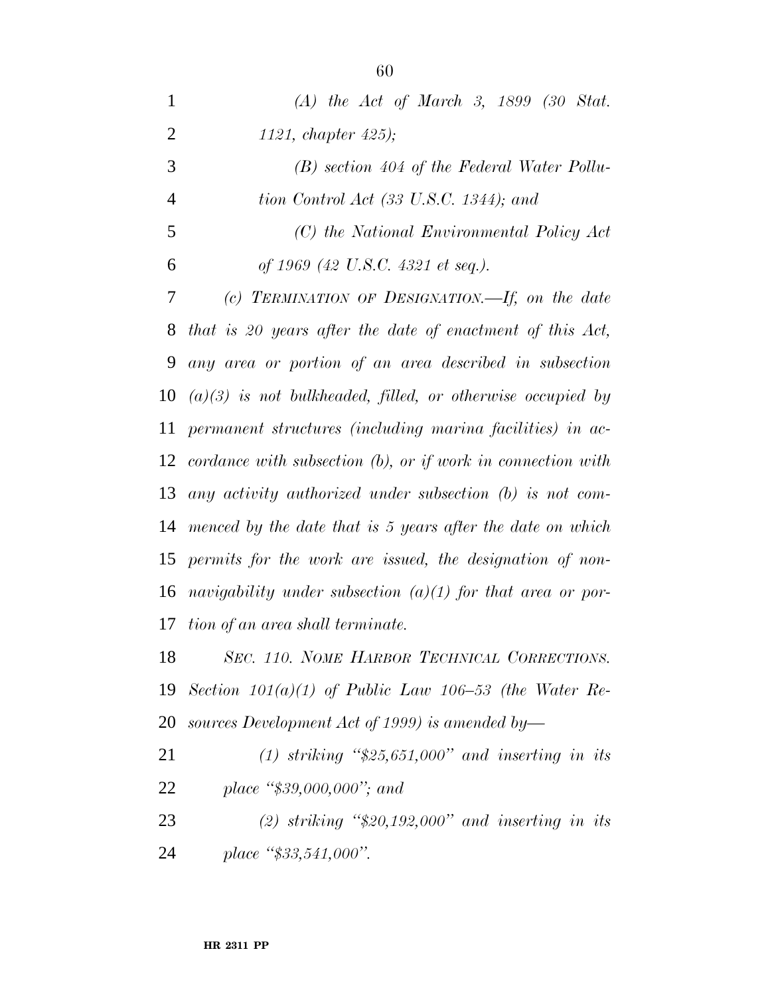| $\mathbf{1}$   | $(A)$ the Act of March 3, 1899 (30 Stat.                          |
|----------------|-------------------------------------------------------------------|
| $\overline{2}$ | 1121, chapter $425$ );                                            |
| 3              | $(B)$ section 404 of the Federal Water Pollu-                     |
| $\overline{4}$ | tion Control Act $(33 \text{ U.S.C. } 1344)$ ; and                |
| 5              | (C) the National Environmental Policy Act                         |
| 6              | of 1969 (42 U.S.C. 4321 et seq.).                                 |
| 7              | (c) TERMINATION OF DESIGNATION.—If, on the date                   |
| 8              | that is 20 years after the date of enactment of this Act,         |
| 9              | any area or portion of an area described in subsection            |
| 10             | $(a)(3)$ is not bulkheaded, filled, or otherwise occupied by      |
| 11             | permanent structures (including marina facilities) in ac-         |
|                | 12 cordance with subsection $(b)$ , or if work in connection with |
| 13             | any activity authorized under subsection $(b)$ is not com-        |
|                | 14 menced by the date that is 5 years after the date on which     |
| 15             | permits for the work are issued, the designation of non-          |
| 16             | navigability under subsection $(a)(1)$ for that area or por-      |
| 17             | tion of an area shall terminate.                                  |
| 18             | SEC. 110. NOME HARBOR TECHNICAL CORRECTIONS.                      |
| 19             | Section $101(a)(1)$ of Public Law $106-53$ (the Water Re-         |
| 20             | sources Development Act of 1999) is amended by-                   |
| 21             | (1) striking " $$25,651,000"$ and inserting in its                |
| 22             | place " $$39,000,000$ "; and                                      |
| 23             | (2) striking " $$20,192,000"$ and inserting in its                |
| 24             | place "\$33,541,000".                                             |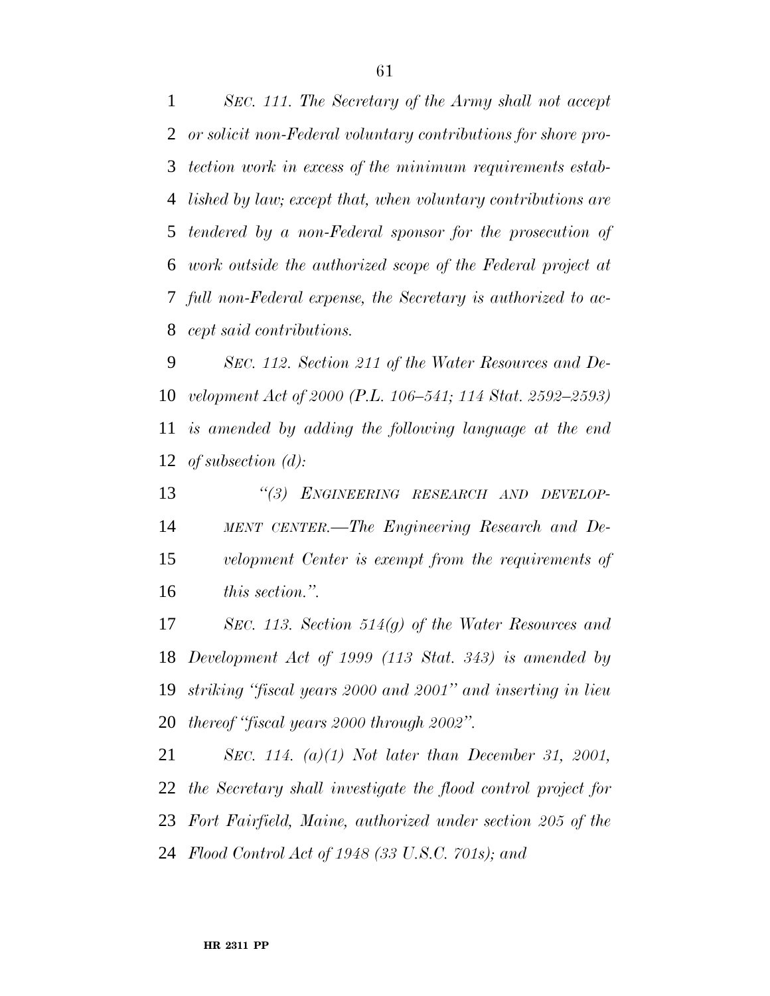*SEC. 111. The Secretary of the Army shall not accept or solicit non-Federal voluntary contributions for shore pro- tection work in excess of the minimum requirements estab- lished by law; except that, when voluntary contributions are tendered by a non-Federal sponsor for the prosecution of work outside the authorized scope of the Federal project at full non-Federal expense, the Secretary is authorized to ac-cept said contributions.*

 *SEC. 112. Section 211 of the Water Resources and De- velopment Act of 2000 (P.L. 106–541; 114 Stat. 2592–2593) is amended by adding the following language at the end of subsection (d):*

 *''(3) ENGINEERING RESEARCH AND DEVELOP-*14 MENT CENTER.—The Engineering Research and De- *velopment Center is exempt from the requirements of this section.''.*

 *SEC. 113. Section 514(g) of the Water Resources and Development Act of 1999 (113 Stat. 343) is amended by striking ''fiscal years 2000 and 2001'' and inserting in lieu thereof ''fiscal years 2000 through 2002''.*

 *SEC. 114. (a)(1) Not later than December 31, 2001, the Secretary shall investigate the flood control project for Fort Fairfield, Maine, authorized under section 205 of the Flood Control Act of 1948 (33 U.S.C. 701s); and*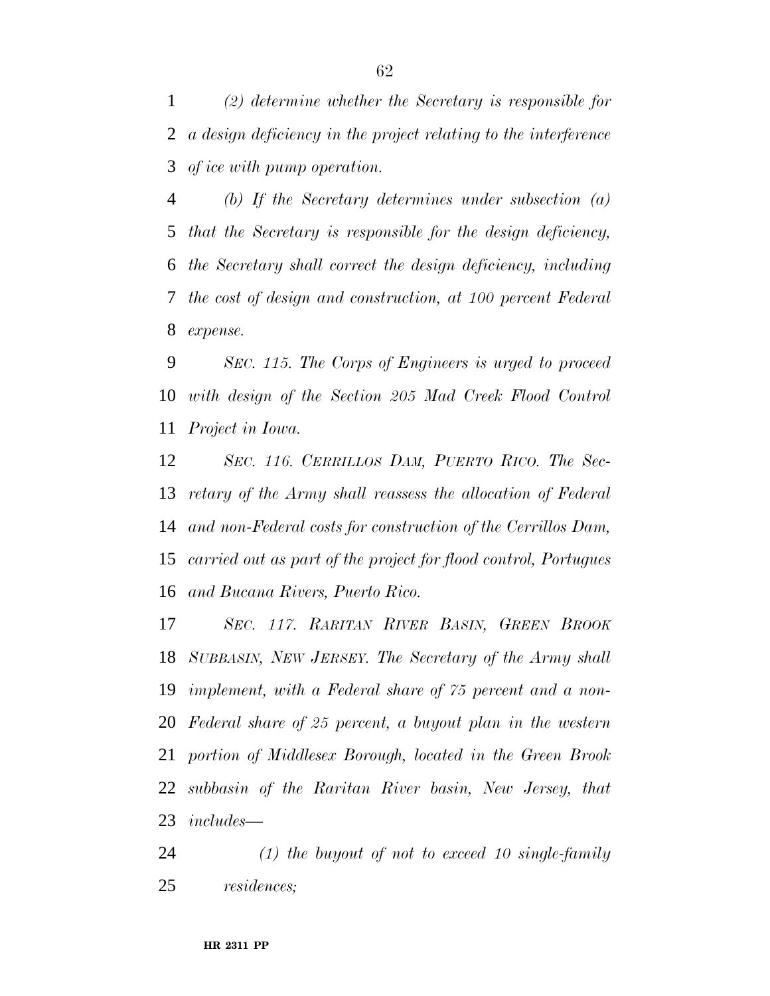*(2) determine whether the Secretary is responsible for a design deficiency in the project relating to the interference of ice with pump operation.*

 *(b) If the Secretary determines under subsection (a) that the Secretary is responsible for the design deficiency, the Secretary shall correct the design deficiency, including the cost of design and construction, at 100 percent Federal expense.*

 *SEC. 115. The Corps of Engineers is urged to proceed with design of the Section 205 Mad Creek Flood Control Project in Iowa.*

 *SEC. 116. CERRILLOS DAM, PUERTO RICO. The Sec- retary of the Army shall reassess the allocation of Federal and non-Federal costs for construction of the Cerrillos Dam, carried out as part of the project for flood control, Portugues and Bucana Rivers, Puerto Rico.*

 *SEC. 117. RARITAN RIVER BASIN, GREEN BROOK SUBBASIN, NEW JERSEY. The Secretary of the Army shall implement, with a Federal share of 75 percent and a non- Federal share of 25 percent, a buyout plan in the western portion of Middlesex Borough, located in the Green Brook subbasin of the Raritan River basin, New Jersey, that includes—*

 *(1) the buyout of not to exceed 10 single-family residences;*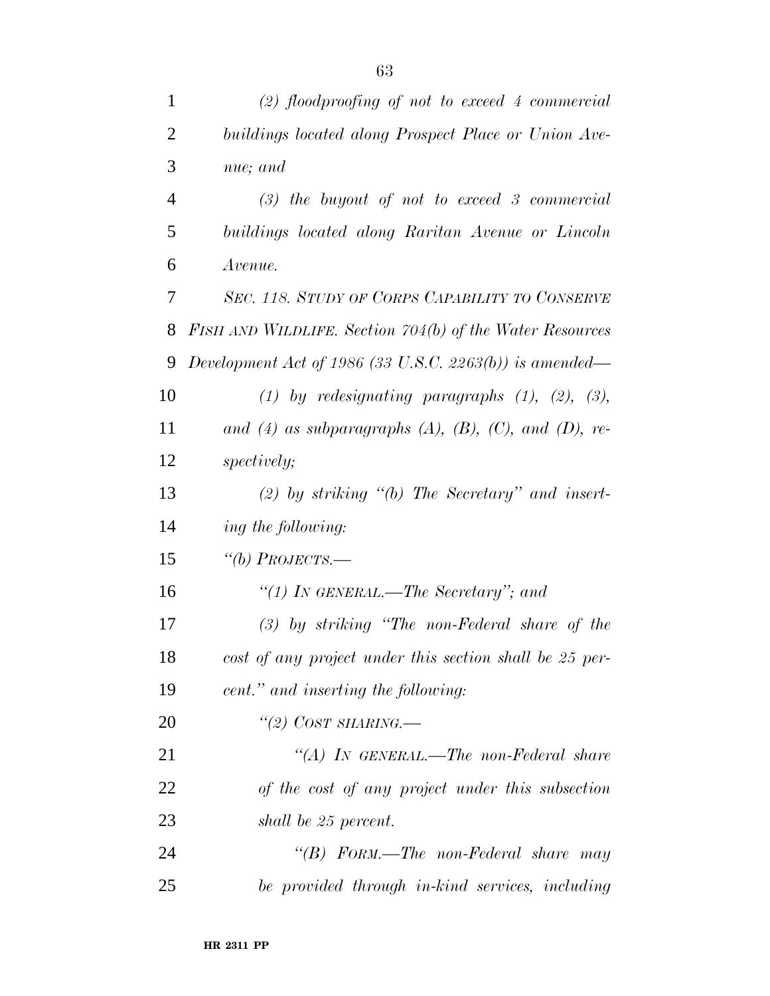| $\mathbf{1}$   | $(2)$ floodproofing of not to exceed 4 commercial        |
|----------------|----------------------------------------------------------|
| $\overline{c}$ | buildings located along Prospect Place or Union Ave-     |
| 3              | nue; and                                                 |
| $\overline{4}$ | $(3)$ the buyout of not to exceed 3 commercial           |
| 5              | buildings located along Raritan Avenue or Lincoln        |
| 6              | Avenue.                                                  |
| 7              | SEC. 118. STUDY OF CORPS CAPABILITY TO CONSERVE          |
| 8              | FISH AND WILDLIFE. Section 704(b) of the Water Resources |
| 9              | Development Act of 1986 (33 U.S.C. 2263(b)) is amended—  |
| 10             | (1) by redesignating paragraphs $(1)$ , $(2)$ , $(3)$ ,  |
| 11             | and (4) as subparagraphs (A), (B), (C), and (D), re-     |
| 12             | <i>spectively;</i>                                       |
| 13             | $(2)$ by striking " $(b)$ The Secretary" and insert-     |
| 14             | ing the following:                                       |
| 15             | "(b) PROJECTS.—                                          |
| 16             | "(1) In GENERAL.—The Secretary"; and                     |
| 17             | $(3)$ by striking "The non-Federal share of the          |
| 18             | cost of any project under this section shall be 25 per-  |
| 19             | cent." and inserting the following:                      |
| 20             | "(2) COST SHARING.—                                      |
| 21             | "(A) IN GENERAL.—The non-Federal share                   |
| 22             | of the cost of any project under this subsection         |
| 23             | shall be 25 percent.                                     |
| 24             | "(B) $F$ ORM.—The non-Federal share may                  |
| 25             | be provided through in-kind services, including          |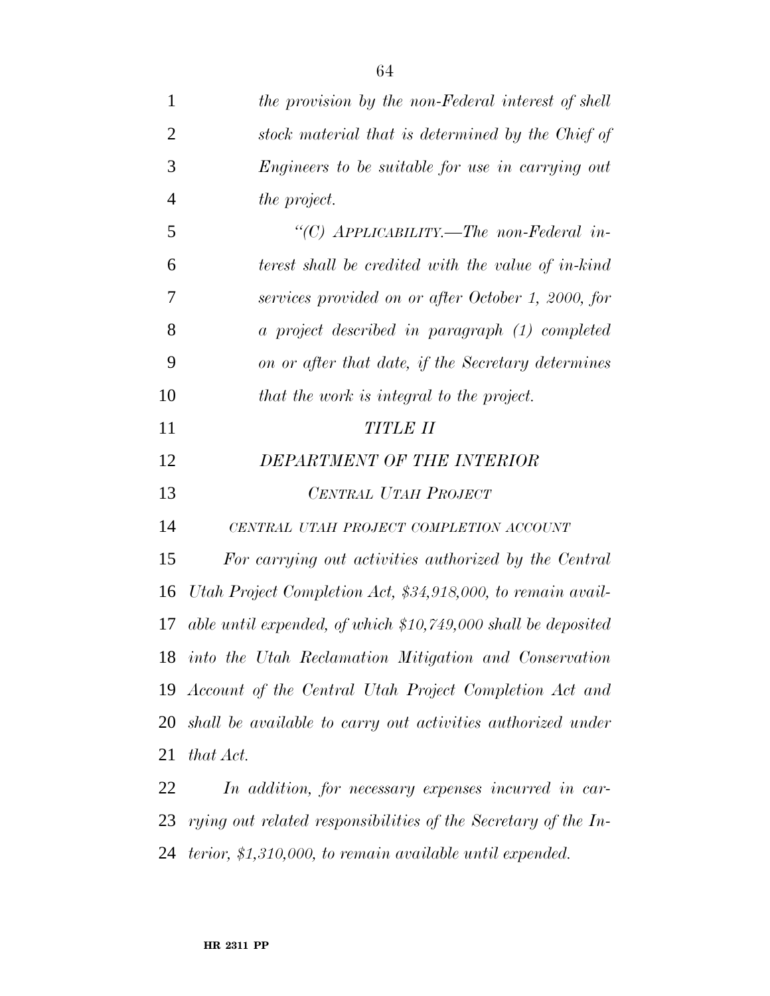| $\mathbf{1}$   | the provision by the non-Federal interest of shell             |
|----------------|----------------------------------------------------------------|
| $\overline{2}$ | stock material that is determined by the Chief of              |
| 3              | Engineers to be suitable for use in carrying out               |
| $\overline{4}$ | <i>the project.</i>                                            |
| 5              | "(C) $APPLICABILITY. - The non-Federal in-$                    |
| 6              | terest shall be credited with the value of in-kind             |
| 7              | services provided on or after October 1, 2000, for             |
| 8              | a project described in paragraph (1) completed                 |
| 9              | on or after that date, if the Secretary determines             |
| 10             | that the work is integral to the project.                      |
| 11             | <b>TITLE II</b>                                                |
| 12             | DEPARTMENT OF THE INTERIOR                                     |
| 13             | CENTRAL UTAH PROJECT                                           |
| 14             | CENTRAL UTAH PROJECT COMPLETION ACCOUNT                        |
| 15             | For carrying out activities authorized by the Central          |
| 16             | Utah Project Completion Act, \$34,918,000, to remain avail-    |
| 17             | able until expended, of which $$10,749,000$ shall be deposited |
| 18             | into the Utah Reclamation Mitigation and Conservation          |
| 19             | Account of the Central Utah Project Completion Act and         |
| 20             | shall be available to carry out activities authorized under    |
| 21             | that Act.                                                      |
| 22             | In addition, for necessary expenses incurred in car-           |
| 23             | rying out related responsibilities of the Secretary of the In- |
| 24             | terior, $$1,310,000$ , to remain available until expended.     |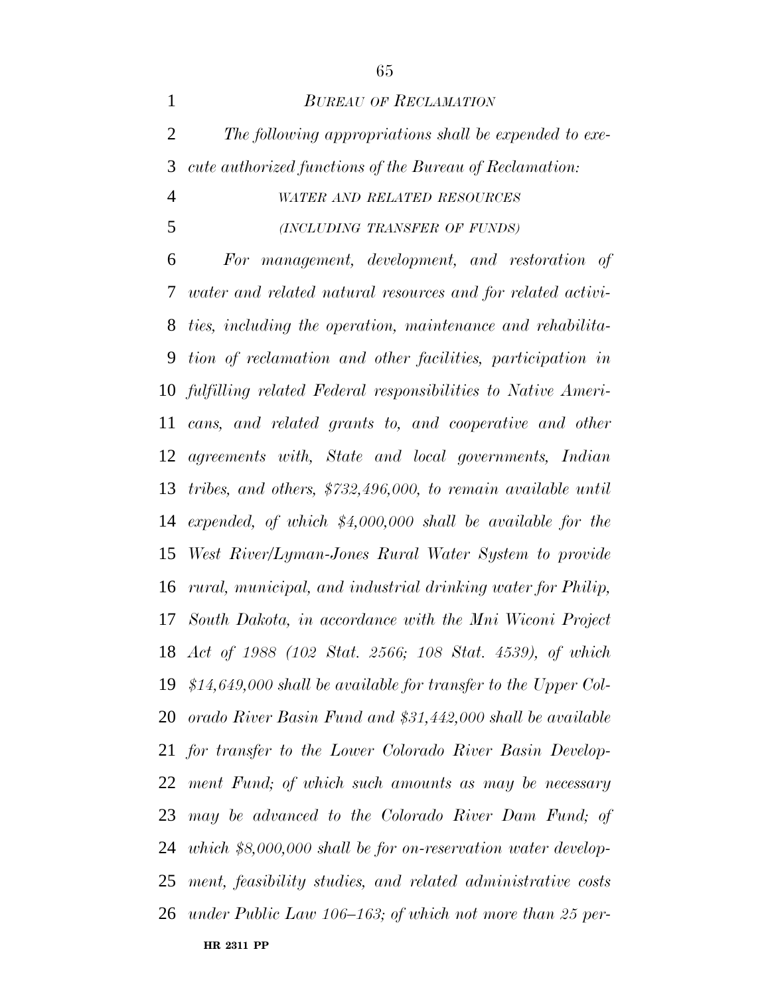*BUREAU OF RECLAMATION The following appropriations shall be expended to exe- cute authorized functions of the Bureau of Reclamation: WATER AND RELATED RESOURCES (INCLUDING TRANSFER OF FUNDS)*

**HR 2311 PP** *For management, development, and restoration of water and related natural resources and for related activi- ties, including the operation, maintenance and rehabilita- tion of reclamation and other facilities, participation in fulfilling related Federal responsibilities to Native Ameri- cans, and related grants to, and cooperative and other agreements with, State and local governments, Indian tribes, and others, \$732,496,000, to remain available until expended, of which \$4,000,000 shall be available for the West River/Lyman-Jones Rural Water System to provide rural, municipal, and industrial drinking water for Philip, South Dakota, in accordance with the Mni Wiconi Project Act of 1988 (102 Stat. 2566; 108 Stat. 4539), of which \$14,649,000 shall be available for transfer to the Upper Col- orado River Basin Fund and \$31,442,000 shall be available for transfer to the Lower Colorado River Basin Develop- ment Fund; of which such amounts as may be necessary may be advanced to the Colorado River Dam Fund; of which \$8,000,000 shall be for on-reservation water develop- ment, feasibility studies, and related administrative costs under Public Law 106–163; of which not more than 25 per-*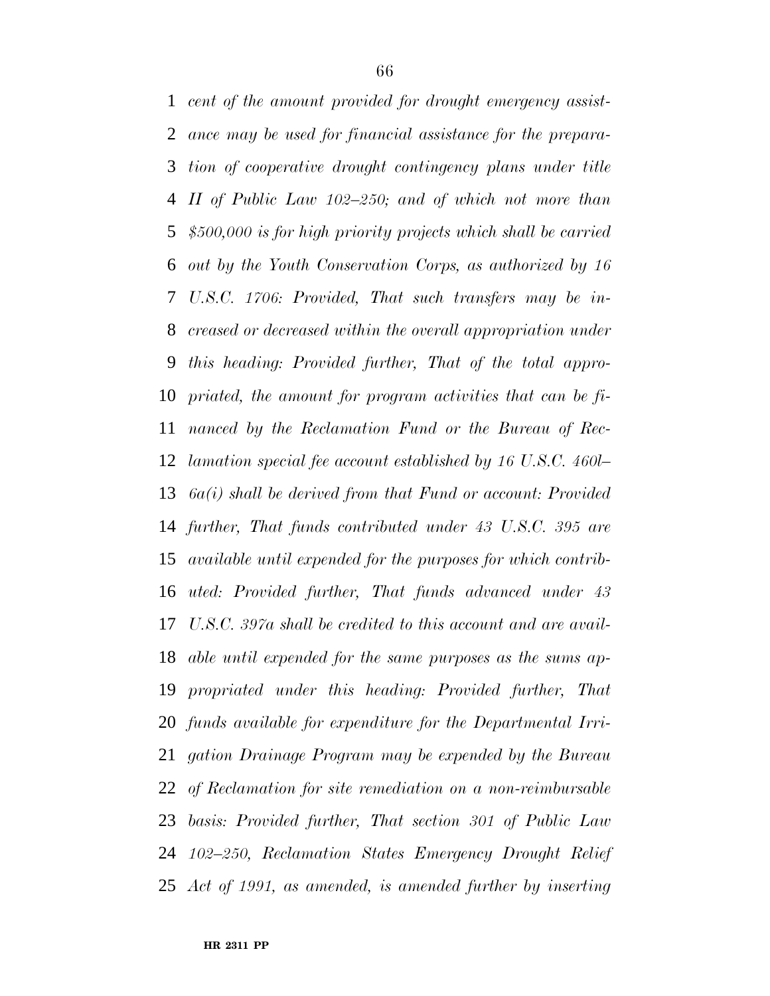*cent of the amount provided for drought emergency assist- ance may be used for financial assistance for the prepara- tion of cooperative drought contingency plans under title II of Public Law 102–250; and of which not more than \$500,000 is for high priority projects which shall be carried out by the Youth Conservation Corps, as authorized by 16 U.S.C. 1706: Provided, That such transfers may be in- creased or decreased within the overall appropriation under this heading: Provided further, That of the total appro- priated, the amount for program activities that can be fi- nanced by the Reclamation Fund or the Bureau of Rec- lamation special fee account established by 16 U.S.C. 460l– 6a(i) shall be derived from that Fund or account: Provided further, That funds contributed under 43 U.S.C. 395 are available until expended for the purposes for which contrib- uted: Provided further, That funds advanced under 43 U.S.C. 397a shall be credited to this account and are avail- able until expended for the same purposes as the sums ap- propriated under this heading: Provided further, That funds available for expenditure for the Departmental Irri- gation Drainage Program may be expended by the Bureau of Reclamation for site remediation on a non-reimbursable basis: Provided further, That section 301 of Public Law 102–250, Reclamation States Emergency Drought Relief Act of 1991, as amended, is amended further by inserting*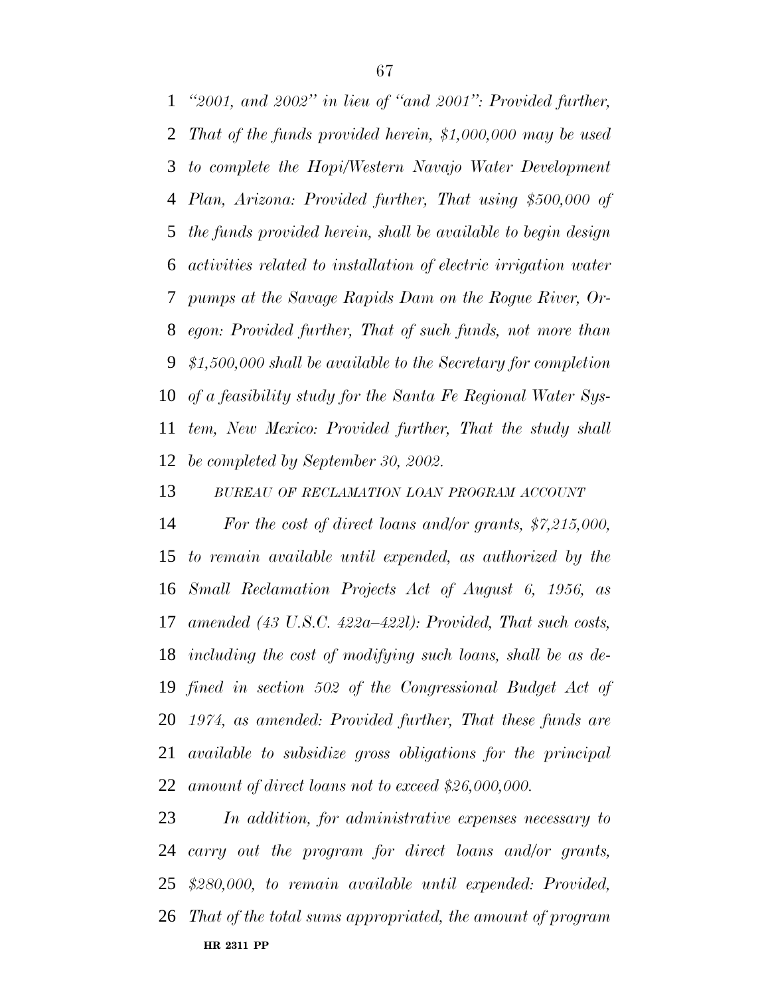*''2001, and 2002'' in lieu of ''and 2001'': Provided further, That of the funds provided herein, \$1,000,000 may be used to complete the Hopi/Western Navajo Water Development Plan, Arizona: Provided further, That using \$500,000 of the funds provided herein, shall be available to begin design activities related to installation of electric irrigation water pumps at the Savage Rapids Dam on the Rogue River, Or- egon: Provided further, That of such funds, not more than \$1,500,000 shall be available to the Secretary for completion of a feasibility study for the Santa Fe Regional Water Sys- tem, New Mexico: Provided further, That the study shall be completed by September 30, 2002.*

*BUREAU OF RECLAMATION LOAN PROGRAM ACCOUNT*

 *For the cost of direct loans and/or grants, \$7,215,000, to remain available until expended, as authorized by the Small Reclamation Projects Act of August 6, 1956, as amended (43 U.S.C. 422a–422l): Provided, That such costs, including the cost of modifying such loans, shall be as de- fined in section 502 of the Congressional Budget Act of 1974, as amended: Provided further, That these funds are available to subsidize gross obligations for the principal amount of direct loans not to exceed \$26,000,000.*

**HR 2311 PP** *In addition, for administrative expenses necessary to carry out the program for direct loans and/or grants, \$280,000, to remain available until expended: Provided, That of the total sums appropriated, the amount of program*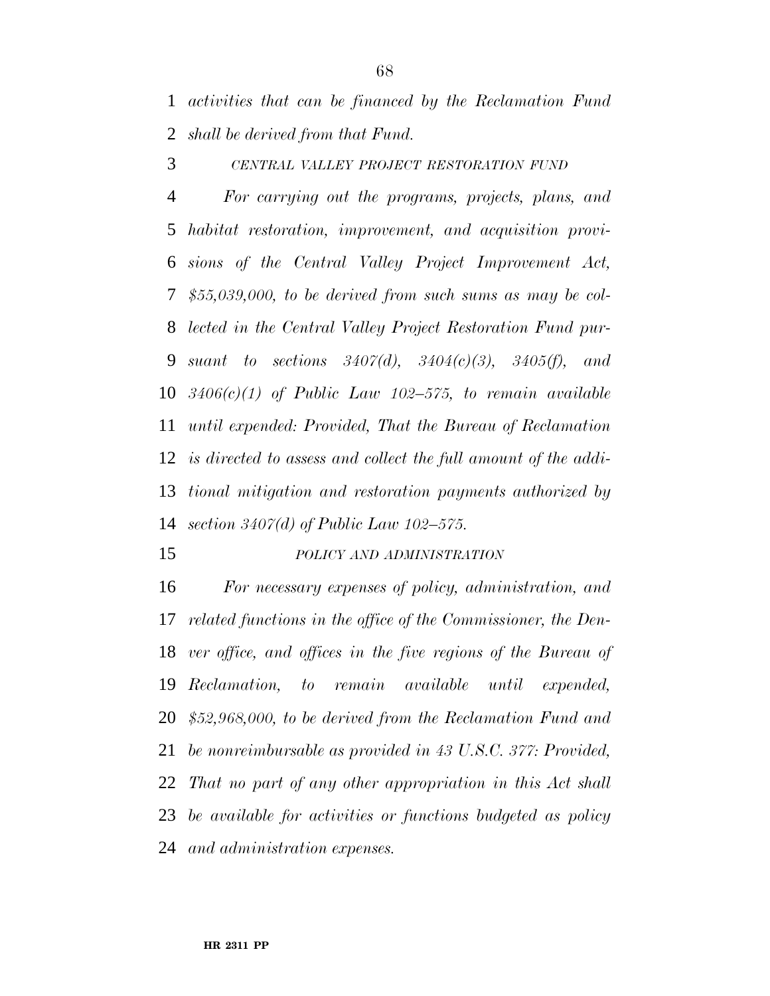*activities that can be financed by the Reclamation Fund shall be derived from that Fund.*

*CENTRAL VALLEY PROJECT RESTORATION FUND*

 *For carrying out the programs, projects, plans, and habitat restoration, improvement, and acquisition provi- sions of the Central Valley Project Improvement Act, \$55,039,000, to be derived from such sums as may be col- lected in the Central Valley Project Restoration Fund pur- suant to sections 3407(d), 3404(c)(3), 3405(f), and 3406(c)(1) of Public Law 102–575, to remain available until expended: Provided, That the Bureau of Reclamation is directed to assess and collect the full amount of the addi- tional mitigation and restoration payments authorized by section 3407(d) of Public Law 102–575.*

### *POLICY AND ADMINISTRATION*

 *For necessary expenses of policy, administration, and related functions in the office of the Commissioner, the Den- ver office, and offices in the five regions of the Bureau of Reclamation, to remain available until expended, \$52,968,000, to be derived from the Reclamation Fund and be nonreimbursable as provided in 43 U.S.C. 377: Provided, That no part of any other appropriation in this Act shall be available for activities or functions budgeted as policy and administration expenses.*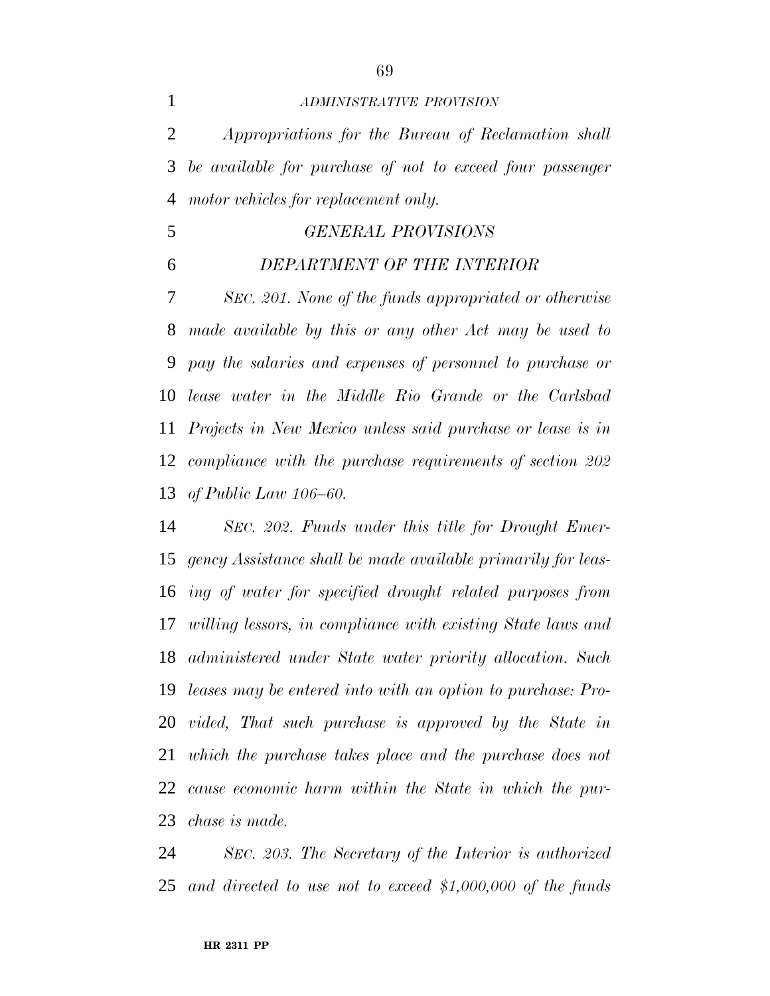### *ADMINISTRATIVE PROVISION*

 *Appropriations for the Bureau of Reclamation shall be available for purchase of not to exceed four passenger motor vehicles for replacement only.*

# *GENERAL PROVISIONS*

# *DEPARTMENT OF THE INTERIOR*

 *SEC. 201. None of the funds appropriated or otherwise made available by this or any other Act may be used to pay the salaries and expenses of personnel to purchase or lease water in the Middle Rio Grande or the Carlsbad Projects in New Mexico unless said purchase or lease is in compliance with the purchase requirements of section 202 of Public Law 106–60.*

 *SEC. 202. Funds under this title for Drought Emer- gency Assistance shall be made available primarily for leas- ing of water for specified drought related purposes from willing lessors, in compliance with existing State laws and administered under State water priority allocation. Such leases may be entered into with an option to purchase: Pro- vided, That such purchase is approved by the State in which the purchase takes place and the purchase does not cause economic harm within the State in which the pur-chase is made.*

 *SEC. 203. The Secretary of the Interior is authorized and directed to use not to exceed \$1,000,000 of the funds*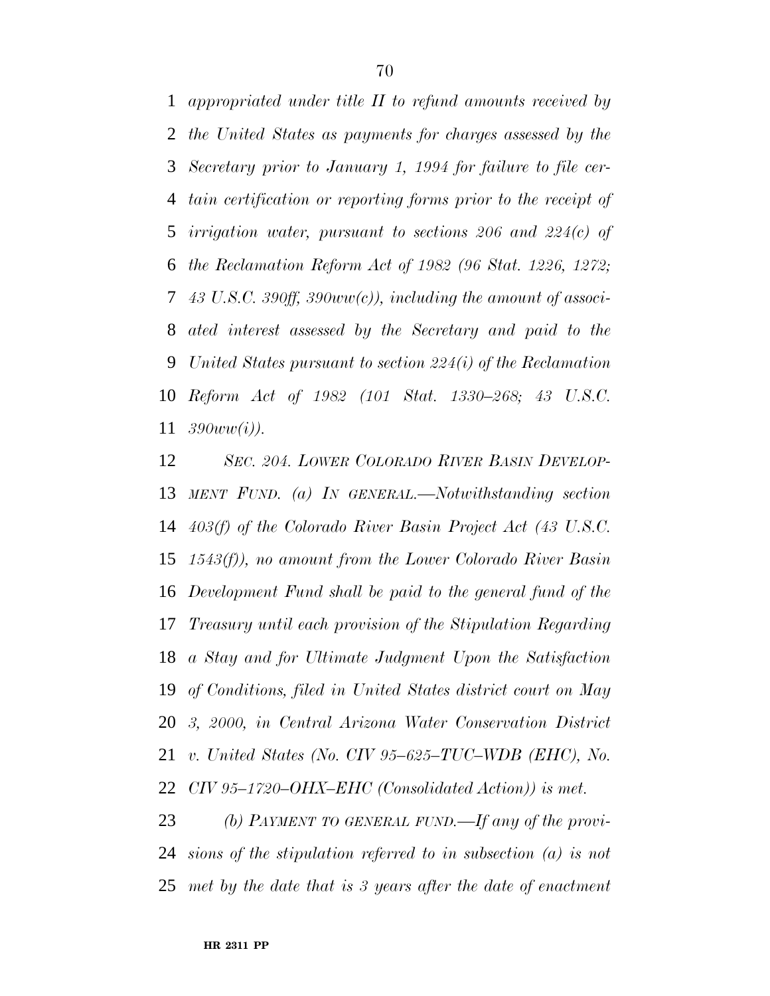*appropriated under title II to refund amounts received by the United States as payments for charges assessed by the Secretary prior to January 1, 1994 for failure to file cer- tain certification or reporting forms prior to the receipt of irrigation water, pursuant to sections 206 and 224(c) of the Reclamation Reform Act of 1982 (96 Stat. 1226, 1272; 43 U.S.C. 390ff, 390ww(c)), including the amount of associ- ated interest assessed by the Secretary and paid to the United States pursuant to section 224(i) of the Reclamation Reform Act of 1982 (101 Stat. 1330–268; 43 U.S.C. 390ww(i)).*

 *SEC. 204. LOWER COLORADO RIVER BASIN DEVELOP- MENT FUND. (a) IN GENERAL.—Notwithstanding section 403(f) of the Colorado River Basin Project Act (43 U.S.C. 1543(f)), no amount from the Lower Colorado River Basin Development Fund shall be paid to the general fund of the Treasury until each provision of the Stipulation Regarding a Stay and for Ultimate Judgment Upon the Satisfaction of Conditions, filed in United States district court on May 3, 2000, in Central Arizona Water Conservation District v. United States (No. CIV 95–625–TUC–WDB (EHC), No. CIV 95–1720–OHX–EHC (Consolidated Action)) is met.*

*(b) PAYMENT TO GENERAL FUND.—If any of the provi- sions of the stipulation referred to in subsection (a) is not met by the date that is 3 years after the date of enactment*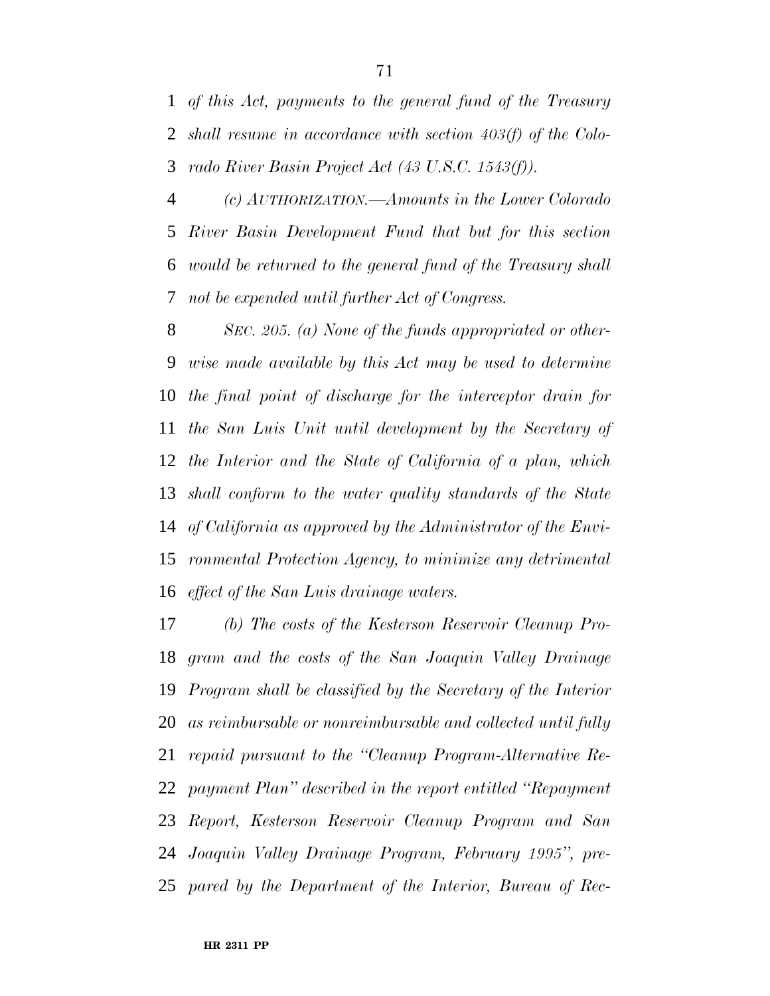*of this Act, payments to the general fund of the Treasury shall resume in accordance with section 403(f) of the Colo-rado River Basin Project Act (43 U.S.C. 1543(f)).*

 *(c) AUTHORIZATION.—Amounts in the Lower Colorado River Basin Development Fund that but for this section would be returned to the general fund of the Treasury shall not be expended until further Act of Congress.*

 *SEC. 205. (a) None of the funds appropriated or other- wise made available by this Act may be used to determine the final point of discharge for the interceptor drain for the San Luis Unit until development by the Secretary of the Interior and the State of California of a plan, which shall conform to the water quality standards of the State of California as approved by the Administrator of the Envi- ronmental Protection Agency, to minimize any detrimental effect of the San Luis drainage waters.*

 *(b) The costs of the Kesterson Reservoir Cleanup Pro- gram and the costs of the San Joaquin Valley Drainage Program shall be classified by the Secretary of the Interior as reimbursable or nonreimbursable and collected until fully repaid pursuant to the ''Cleanup Program-Alternative Re- payment Plan'' described in the report entitled ''Repayment Report, Kesterson Reservoir Cleanup Program and San Joaquin Valley Drainage Program, February 1995'', pre-pared by the Department of the Interior, Bureau of Rec-*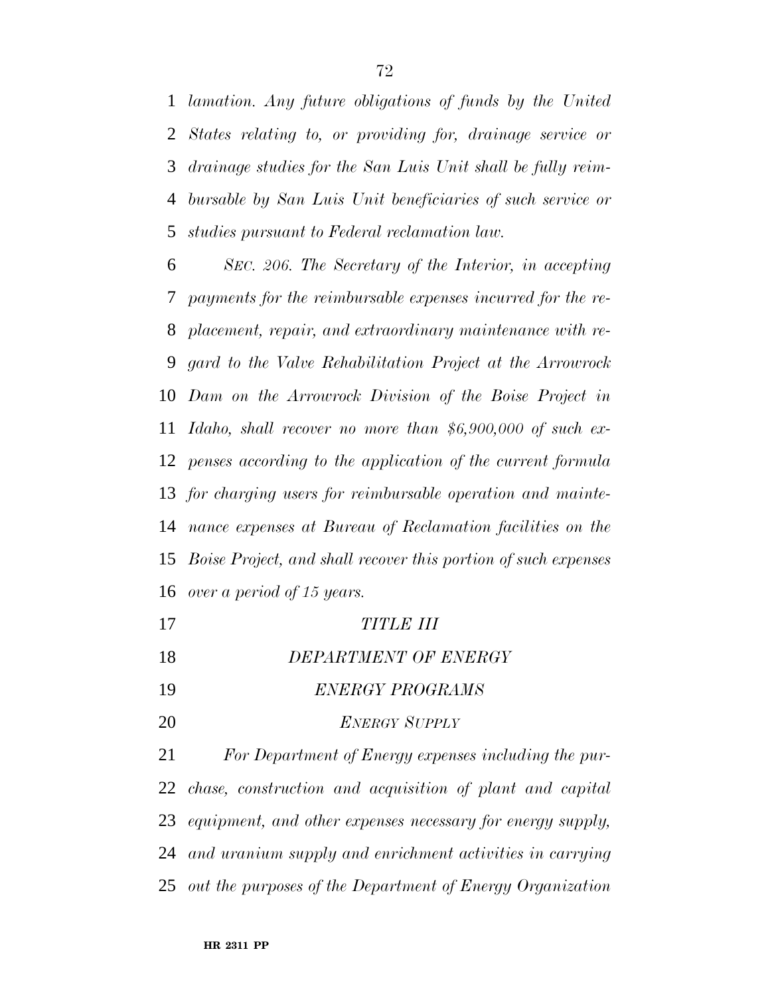*lamation. Any future obligations of funds by the United States relating to, or providing for, drainage service or drainage studies for the San Luis Unit shall be fully reim- bursable by San Luis Unit beneficiaries of such service or studies pursuant to Federal reclamation law.*

 *SEC. 206. The Secretary of the Interior, in accepting payments for the reimbursable expenses incurred for the re- placement, repair, and extraordinary maintenance with re- gard to the Valve Rehabilitation Project at the Arrowrock Dam on the Arrowrock Division of the Boise Project in Idaho, shall recover no more than \$6,900,000 of such ex- penses according to the application of the current formula for charging users for reimbursable operation and mainte- nance expenses at Bureau of Reclamation facilities on the Boise Project, and shall recover this portion of such expenses over a period of 15 years.*

- *TITLE III*
- *DEPARTMENT OF ENERGY*
- *ENERGY PROGRAMS*
- *ENERGY SUPPLY*

 *For Department of Energy expenses including the pur- chase, construction and acquisition of plant and capital equipment, and other expenses necessary for energy supply, and uranium supply and enrichment activities in carrying out the purposes of the Department of Energy Organization*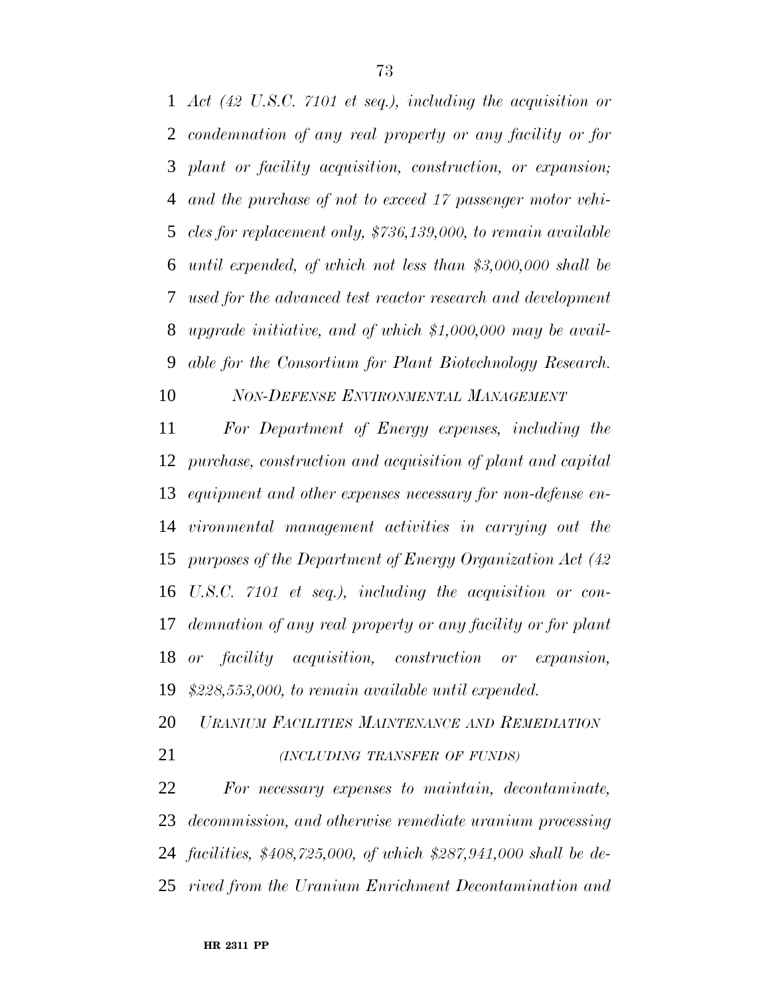*Act (42 U.S.C. 7101 et seq.), including the acquisition or condemnation of any real property or any facility or for plant or facility acquisition, construction, or expansion; and the purchase of not to exceed 17 passenger motor vehi- cles for replacement only, \$736,139,000, to remain available until expended, of which not less than \$3,000,000 shall be used for the advanced test reactor research and development upgrade initiative, and of which \$1,000,000 may be avail-able for the Consortium for Plant Biotechnology Research.*

*NON-DEFENSE ENVIRONMENTAL MANAGEMENT*

 *For Department of Energy expenses, including the purchase, construction and acquisition of plant and capital equipment and other expenses necessary for non-defense en- vironmental management activities in carrying out the purposes of the Department of Energy Organization Act (42 U.S.C. 7101 et seq.), including the acquisition or con- demnation of any real property or any facility or for plant or facility acquisition, construction or expansion, \$228,553,000, to remain available until expended.*

*URANIUM FACILITIES MAINTENANCE AND REMEDIATION*

*(INCLUDING TRANSFER OF FUNDS)*

 *For necessary expenses to maintain, decontaminate, decommission, and otherwise remediate uranium processing facilities, \$408,725,000, of which \$287,941,000 shall be de-rived from the Uranium Enrichment Decontamination and*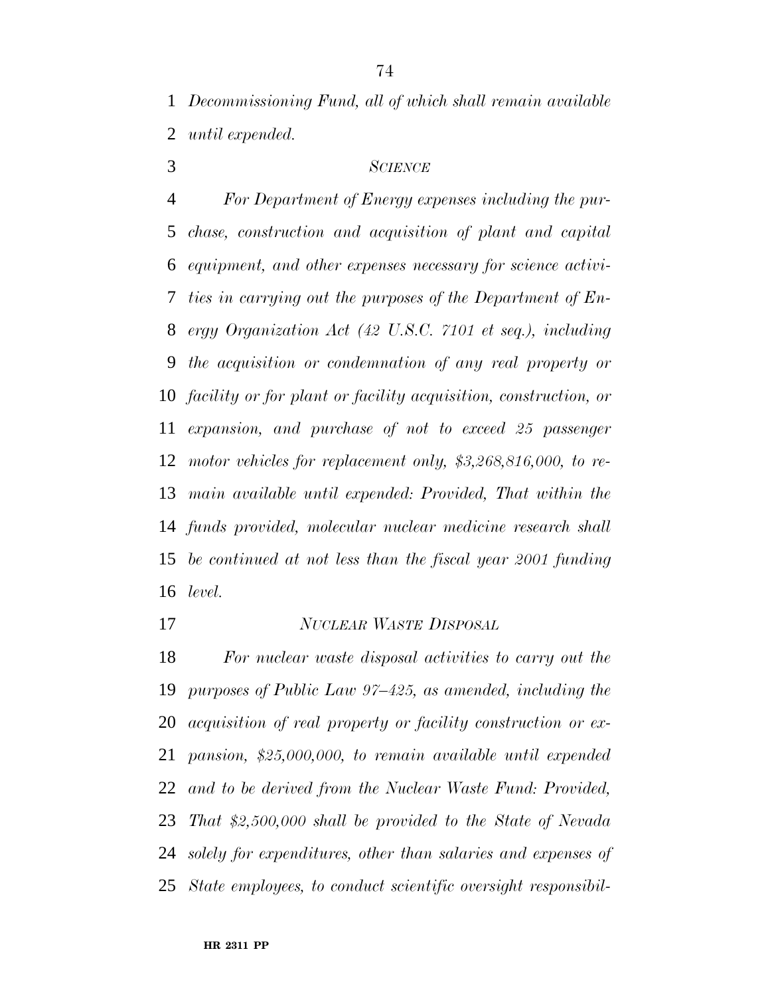*Decommissioning Fund, all of which shall remain available until expended.*

## *SCIENCE*

 *For Department of Energy expenses including the pur- chase, construction and acquisition of plant and capital equipment, and other expenses necessary for science activi- ties in carrying out the purposes of the Department of En- ergy Organization Act (42 U.S.C. 7101 et seq.), including the acquisition or condemnation of any real property or facility or for plant or facility acquisition, construction, or expansion, and purchase of not to exceed 25 passenger motor vehicles for replacement only, \$3,268,816,000, to re- main available until expended: Provided, That within the funds provided, molecular nuclear medicine research shall be continued at not less than the fiscal year 2001 funding level.*

*NUCLEAR WASTE DISPOSAL*

 *For nuclear waste disposal activities to carry out the purposes of Public Law 97–425, as amended, including the acquisition of real property or facility construction or ex- pansion, \$25,000,000, to remain available until expended and to be derived from the Nuclear Waste Fund: Provided, That \$2,500,000 shall be provided to the State of Nevada solely for expenditures, other than salaries and expenses of State employees, to conduct scientific oversight responsibil-*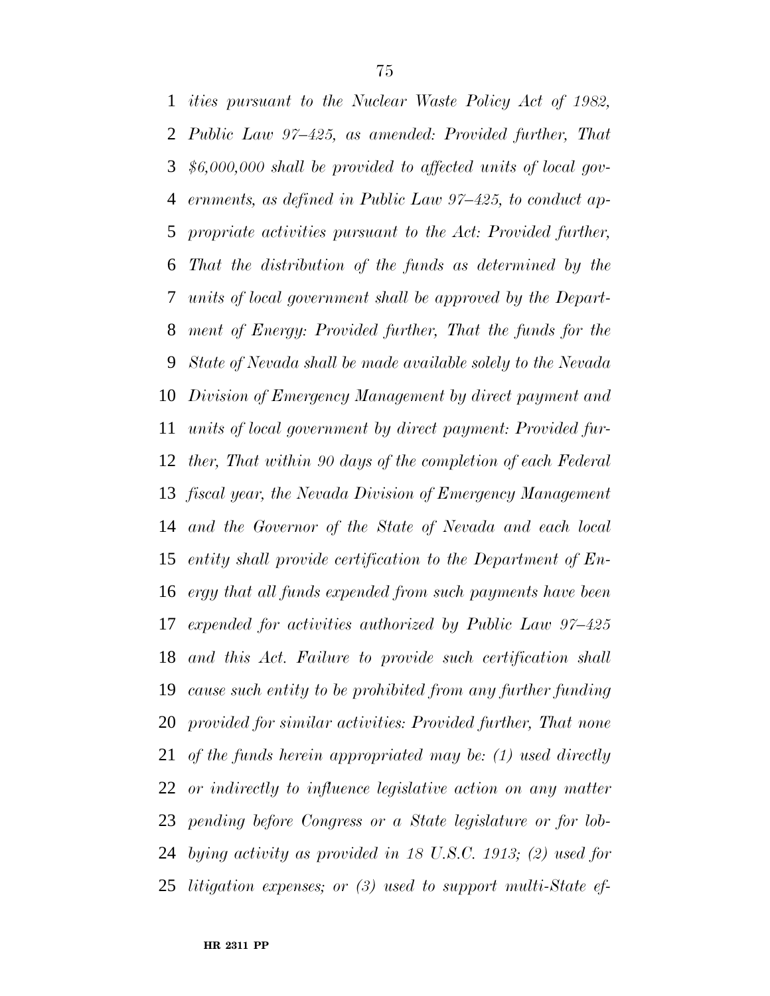*ities pursuant to the Nuclear Waste Policy Act of 1982, Public Law 97–425, as amended: Provided further, That \$6,000,000 shall be provided to affected units of local gov- ernments, as defined in Public Law 97–425, to conduct ap- propriate activities pursuant to the Act: Provided further, That the distribution of the funds as determined by the units of local government shall be approved by the Depart- ment of Energy: Provided further, That the funds for the State of Nevada shall be made available solely to the Nevada Division of Emergency Management by direct payment and units of local government by direct payment: Provided fur- ther, That within 90 days of the completion of each Federal fiscal year, the Nevada Division of Emergency Management and the Governor of the State of Nevada and each local entity shall provide certification to the Department of En- ergy that all funds expended from such payments have been expended for activities authorized by Public Law 97–425 and this Act. Failure to provide such certification shall cause such entity to be prohibited from any further funding provided for similar activities: Provided further, That none of the funds herein appropriated may be: (1) used directly or indirectly to influence legislative action on any matter pending before Congress or a State legislature or for lob- bying activity as provided in 18 U.S.C. 1913; (2) used for litigation expenses; or (3) used to support multi-State ef-*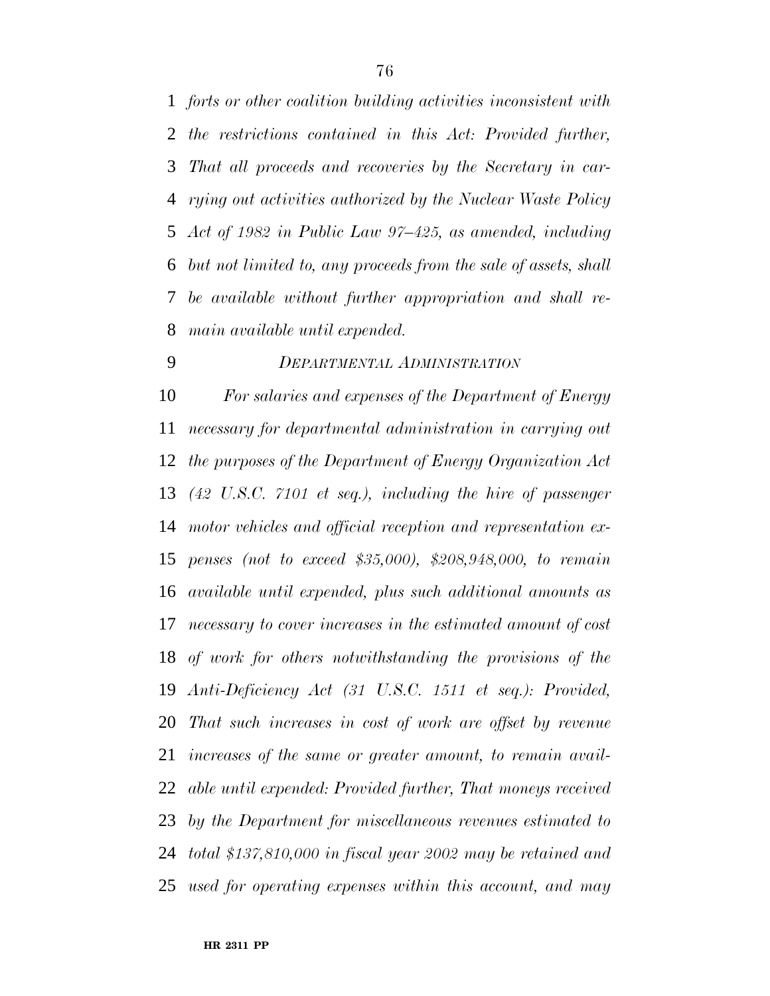*forts or other coalition building activities inconsistent with the restrictions contained in this Act: Provided further, That all proceeds and recoveries by the Secretary in car- rying out activities authorized by the Nuclear Waste Policy Act of 1982 in Public Law 97–425, as amended, including but not limited to, any proceeds from the sale of assets, shall be available without further appropriation and shall re-main available until expended.*

## *DEPARTMENTAL ADMINISTRATION*

 *For salaries and expenses of the Department of Energy necessary for departmental administration in carrying out the purposes of the Department of Energy Organization Act (42 U.S.C. 7101 et seq.), including the hire of passenger motor vehicles and official reception and representation ex- penses (not to exceed \$35,000), \$208,948,000, to remain available until expended, plus such additional amounts as necessary to cover increases in the estimated amount of cost of work for others notwithstanding the provisions of the Anti-Deficiency Act (31 U.S.C. 1511 et seq.): Provided, That such increases in cost of work are offset by revenue increases of the same or greater amount, to remain avail- able until expended: Provided further, That moneys received by the Department for miscellaneous revenues estimated to total \$137,810,000 in fiscal year 2002 may be retained and used for operating expenses within this account, and may*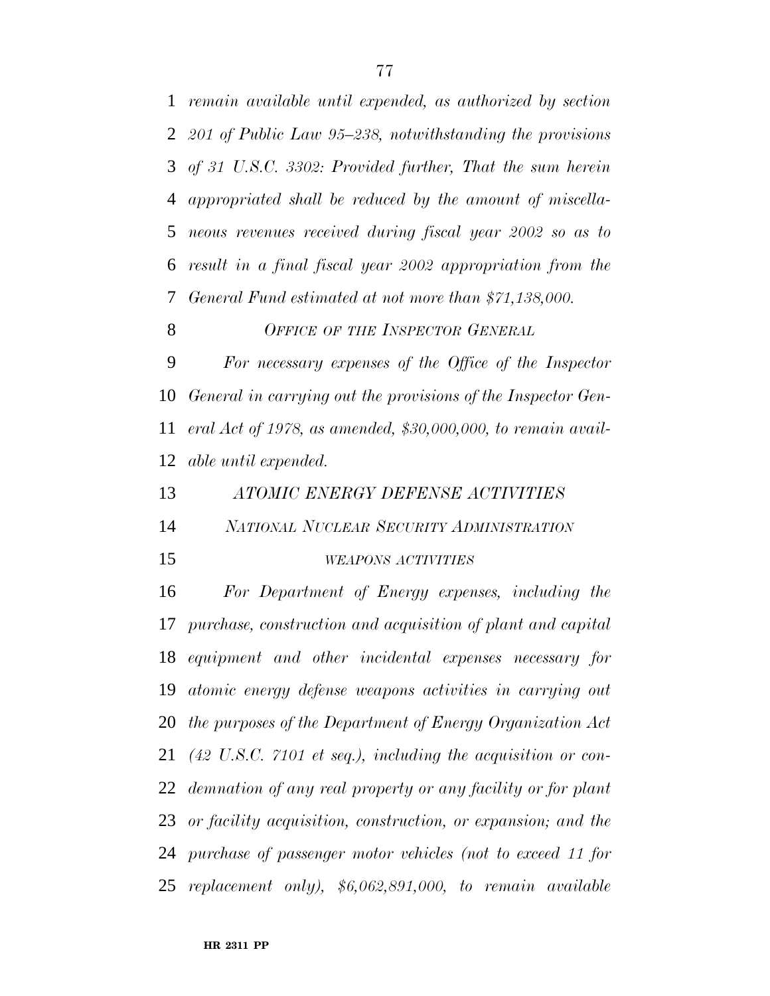*remain available until expended, as authorized by section 201 of Public Law 95–238, notwithstanding the provisions of 31 U.S.C. 3302: Provided further, That the sum herein appropriated shall be reduced by the amount of miscella- neous revenues received during fiscal year 2002 so as to result in a final fiscal year 2002 appropriation from the General Fund estimated at not more than \$71,138,000.*

### *OFFICE OF THE INSPECTOR GENERAL*

 *For necessary expenses of the Office of the Inspector General in carrying out the provisions of the Inspector Gen- eral Act of 1978, as amended, \$30,000,000, to remain avail-able until expended.*

*ATOMIC ENERGY DEFENSE ACTIVITIES*

*NATIONAL NUCLEAR SECURITY ADMINISTRATION*

#### *WEAPONS ACTIVITIES*

 *For Department of Energy expenses, including the purchase, construction and acquisition of plant and capital equipment and other incidental expenses necessary for atomic energy defense weapons activities in carrying out the purposes of the Department of Energy Organization Act (42 U.S.C. 7101 et seq.), including the acquisition or con- demnation of any real property or any facility or for plant or facility acquisition, construction, or expansion; and the purchase of passenger motor vehicles (not to exceed 11 for replacement only), \$6,062,891,000, to remain available*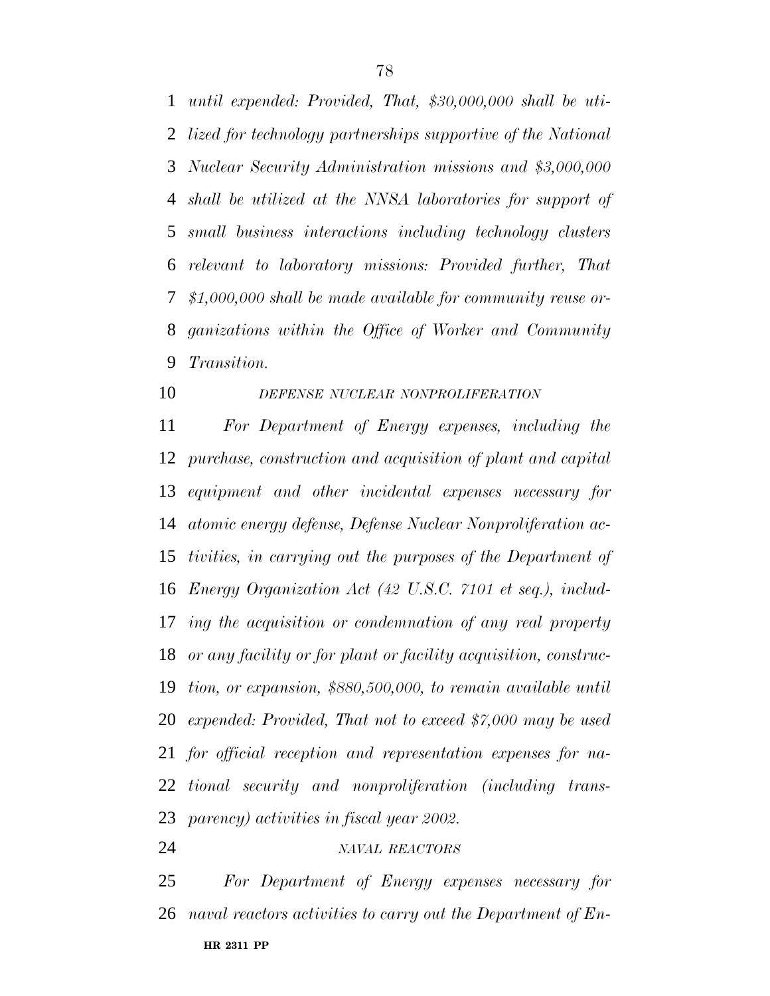*until expended: Provided, That, \$30,000,000 shall be uti- lized for technology partnerships supportive of the National Nuclear Security Administration missions and \$3,000,000 shall be utilized at the NNSA laboratories for support of small business interactions including technology clusters relevant to laboratory missions: Provided further, That \$1,000,000 shall be made available for community reuse or- ganizations within the Office of Worker and Community Transition.*

*DEFENSE NUCLEAR NONPROLIFERATION*

 *For Department of Energy expenses, including the purchase, construction and acquisition of plant and capital equipment and other incidental expenses necessary for atomic energy defense, Defense Nuclear Nonproliferation ac- tivities, in carrying out the purposes of the Department of Energy Organization Act (42 U.S.C. 7101 et seq.), includ- ing the acquisition or condemnation of any real property or any facility or for plant or facility acquisition, construc- tion, or expansion, \$880,500,000, to remain available until expended: Provided, That not to exceed \$7,000 may be used for official reception and representation expenses for na- tional security and nonproliferation (including trans-parency) activities in fiscal year 2002.*

*NAVAL REACTORS*

**HR 2311 PP** *For Department of Energy expenses necessary for naval reactors activities to carry out the Department of En-*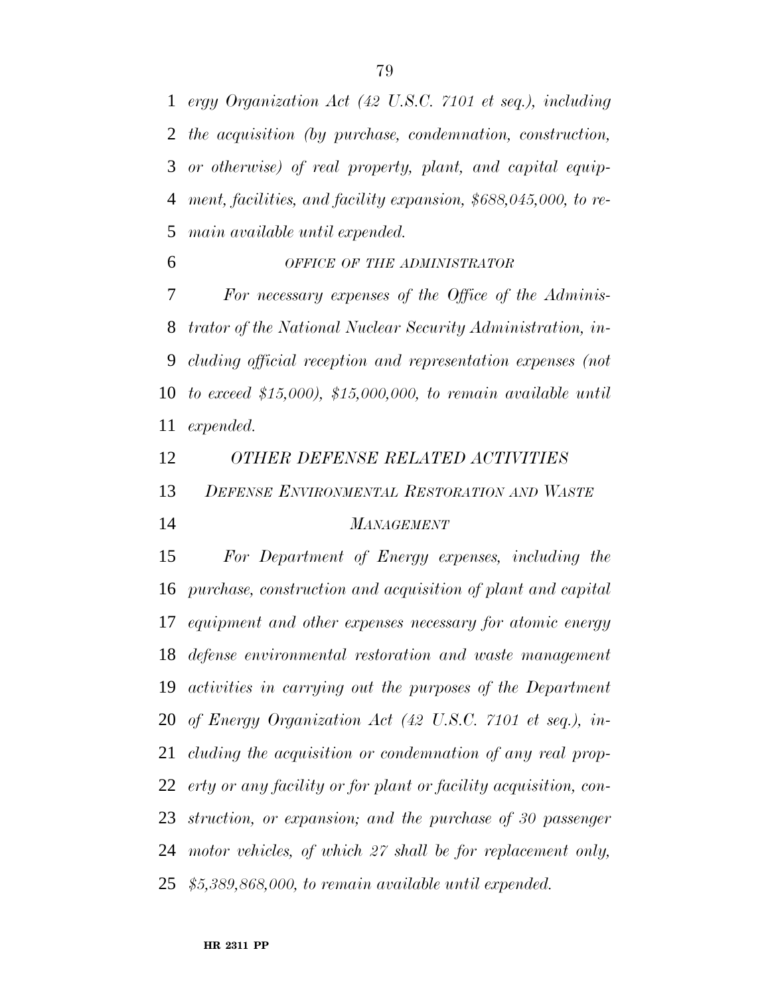*ergy Organization Act (42 U.S.C. 7101 et seq.), including the acquisition (by purchase, condemnation, construction, or otherwise) of real property, plant, and capital equip- ment, facilities, and facility expansion, \$688,045,000, to re-main available until expended.*

*OFFICE OF THE ADMINISTRATOR*

 *For necessary expenses of the Office of the Adminis- trator of the National Nuclear Security Administration, in- cluding official reception and representation expenses (not to exceed \$15,000), \$15,000,000, to remain available until expended.*

*OTHER DEFENSE RELATED ACTIVITIES*

 *DEFENSE ENVIRONMENTAL RESTORATION AND WASTE MANAGEMENT*

 *For Department of Energy expenses, including the purchase, construction and acquisition of plant and capital equipment and other expenses necessary for atomic energy defense environmental restoration and waste management activities in carrying out the purposes of the Department of Energy Organization Act (42 U.S.C. 7101 et seq.), in- cluding the acquisition or condemnation of any real prop- erty or any facility or for plant or facility acquisition, con- struction, or expansion; and the purchase of 30 passenger motor vehicles, of which 27 shall be for replacement only, \$5,389,868,000, to remain available until expended.*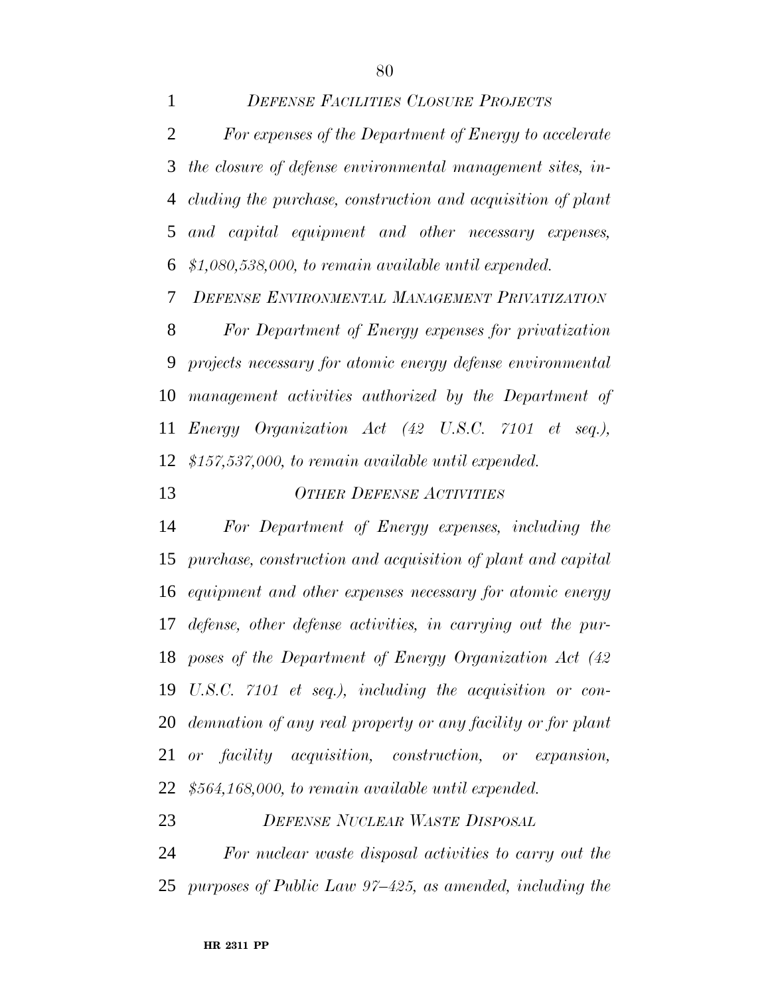*DEFENSE FACILITIES CLOSURE PROJECTS For expenses of the Department of Energy to accelerate the closure of defense environmental management sites, in- cluding the purchase, construction and acquisition of plant and capital equipment and other necessary expenses, \$1,080,538,000, to remain available until expended.*

*DEFENSE ENVIRONMENTAL MANAGEMENT PRIVATIZATION*

 *For Department of Energy expenses for privatization projects necessary for atomic energy defense environmental management activities authorized by the Department of Energy Organization Act (42 U.S.C. 7101 et seq.), \$157,537,000, to remain available until expended.*

# *OTHER DEFENSE ACTIVITIES*

 *For Department of Energy expenses, including the purchase, construction and acquisition of plant and capital equipment and other expenses necessary for atomic energy defense, other defense activities, in carrying out the pur- poses of the Department of Energy Organization Act (42 U.S.C. 7101 et seq.), including the acquisition or con- demnation of any real property or any facility or for plant or facility acquisition, construction, or expansion, \$564,168,000, to remain available until expended.*

*DEFENSE NUCLEAR WASTE DISPOSAL*

 *For nuclear waste disposal activities to carry out the purposes of Public Law 97–425, as amended, including the*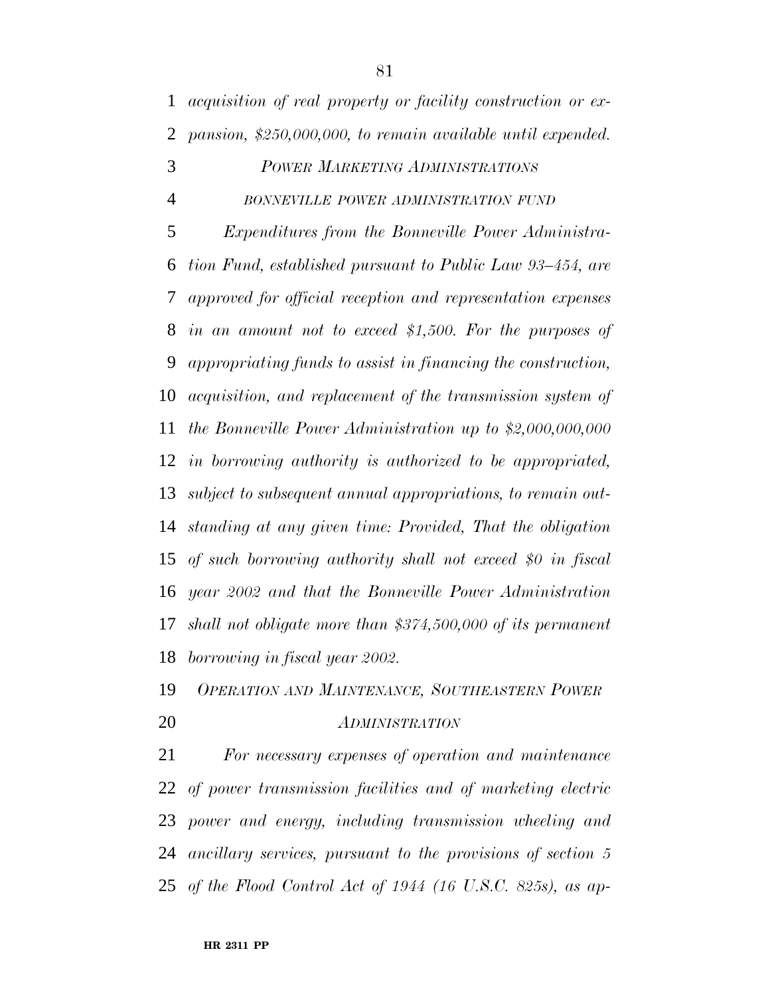*acquisition of real property or facility construction or ex-pansion, \$250,000,000, to remain available until expended.*

# *POWER MARKETING ADMINISTRATIONS BONNEVILLE POWER ADMINISTRATION FUND*

 *Expenditures from the Bonneville Power Administra- tion Fund, established pursuant to Public Law 93–454, are approved for official reception and representation expenses in an amount not to exceed \$1,500. For the purposes of appropriating funds to assist in financing the construction, acquisition, and replacement of the transmission system of the Bonneville Power Administration up to \$2,000,000,000 in borrowing authority is authorized to be appropriated, subject to subsequent annual appropriations, to remain out- standing at any given time: Provided, That the obligation of such borrowing authority shall not exceed \$0 in fiscal year 2002 and that the Bonneville Power Administration shall not obligate more than \$374,500,000 of its permanent borrowing in fiscal year 2002.*

# *OPERATION AND MAINTENANCE, SOUTHEASTERN POWER ADMINISTRATION*

 *For necessary expenses of operation and maintenance of power transmission facilities and of marketing electric power and energy, including transmission wheeling and ancillary services, pursuant to the provisions of section 5 of the Flood Control Act of 1944 (16 U.S.C. 825s), as ap-*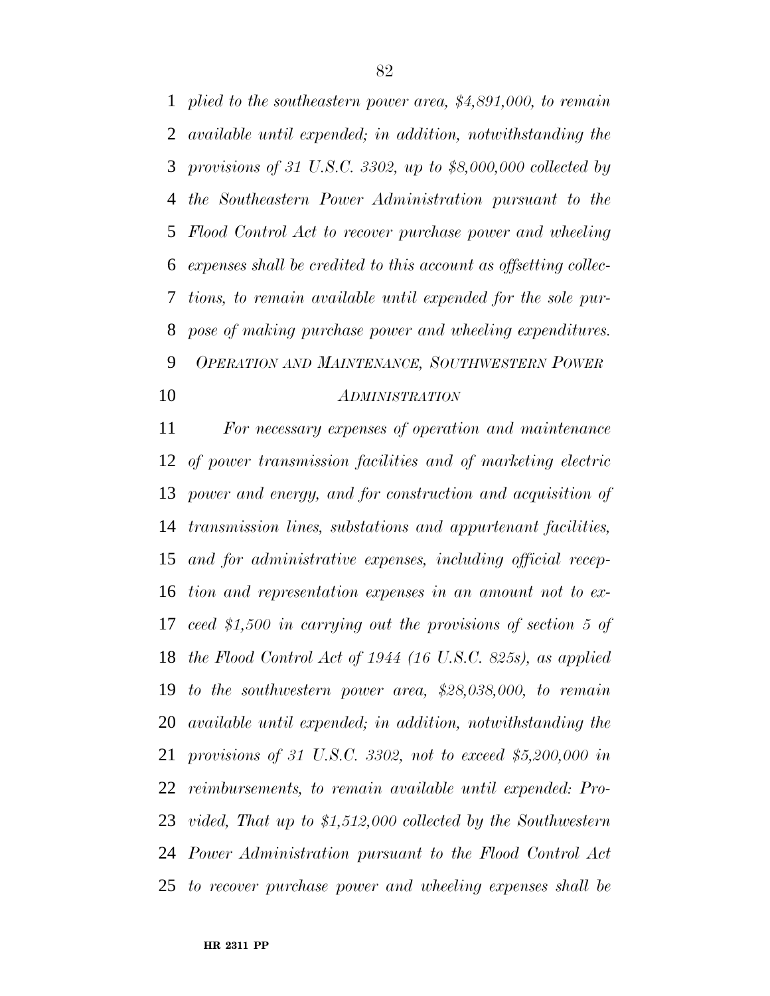*plied to the southeastern power area, \$4,891,000, to remain available until expended; in addition, notwithstanding the provisions of 31 U.S.C. 3302, up to \$8,000,000 collected by the Southeastern Power Administration pursuant to the Flood Control Act to recover purchase power and wheeling expenses shall be credited to this account as offsetting collec- tions, to remain available until expended for the sole pur- pose of making purchase power and wheeling expenditures. OPERATION AND MAINTENANCE, SOUTHWESTERN POWER ADMINISTRATION*

 *For necessary expenses of operation and maintenance of power transmission facilities and of marketing electric power and energy, and for construction and acquisition of transmission lines, substations and appurtenant facilities, and for administrative expenses, including official recep- tion and representation expenses in an amount not to ex- ceed \$1,500 in carrying out the provisions of section 5 of the Flood Control Act of 1944 (16 U.S.C. 825s), as applied to the southwestern power area, \$28,038,000, to remain available until expended; in addition, notwithstanding the provisions of 31 U.S.C. 3302, not to exceed \$5,200,000 in reimbursements, to remain available until expended: Pro- vided, That up to \$1,512,000 collected by the Southwestern Power Administration pursuant to the Flood Control Act to recover purchase power and wheeling expenses shall be*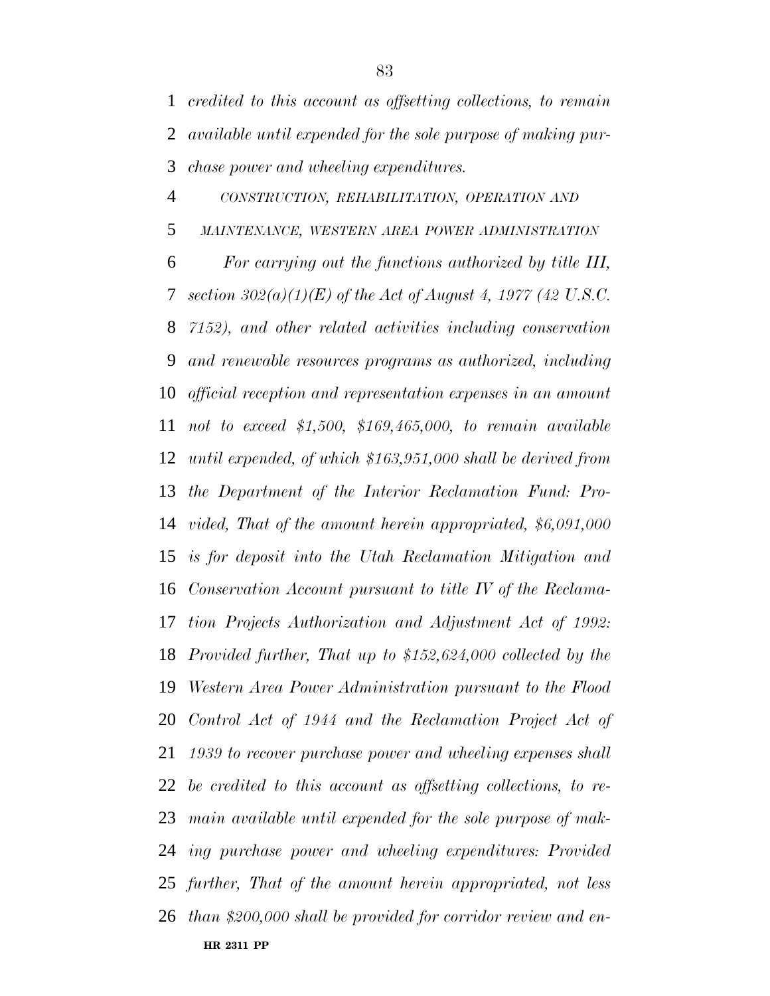*credited to this account as offsetting collections, to remain available until expended for the sole purpose of making pur-chase power and wheeling expenditures.*

**HR 2311 PP** *CONSTRUCTION, REHABILITATION, OPERATION AND MAINTENANCE, WESTERN AREA POWER ADMINISTRATION For carrying out the functions authorized by title III, section 302(a)(1)(E) of the Act of August 4, 1977 (42 U.S.C. 7152), and other related activities including conservation and renewable resources programs as authorized, including official reception and representation expenses in an amount not to exceed \$1,500, \$169,465,000, to remain available until expended, of which \$163,951,000 shall be derived from the Department of the Interior Reclamation Fund: Pro- vided, That of the amount herein appropriated, \$6,091,000 is for deposit into the Utah Reclamation Mitigation and Conservation Account pursuant to title IV of the Reclama- tion Projects Authorization and Adjustment Act of 1992: Provided further, That up to \$152,624,000 collected by the Western Area Power Administration pursuant to the Flood Control Act of 1944 and the Reclamation Project Act of 1939 to recover purchase power and wheeling expenses shall be credited to this account as offsetting collections, to re- main available until expended for the sole purpose of mak- ing purchase power and wheeling expenditures: Provided further, That of the amount herein appropriated, not less than \$200,000 shall be provided for corridor review and en-*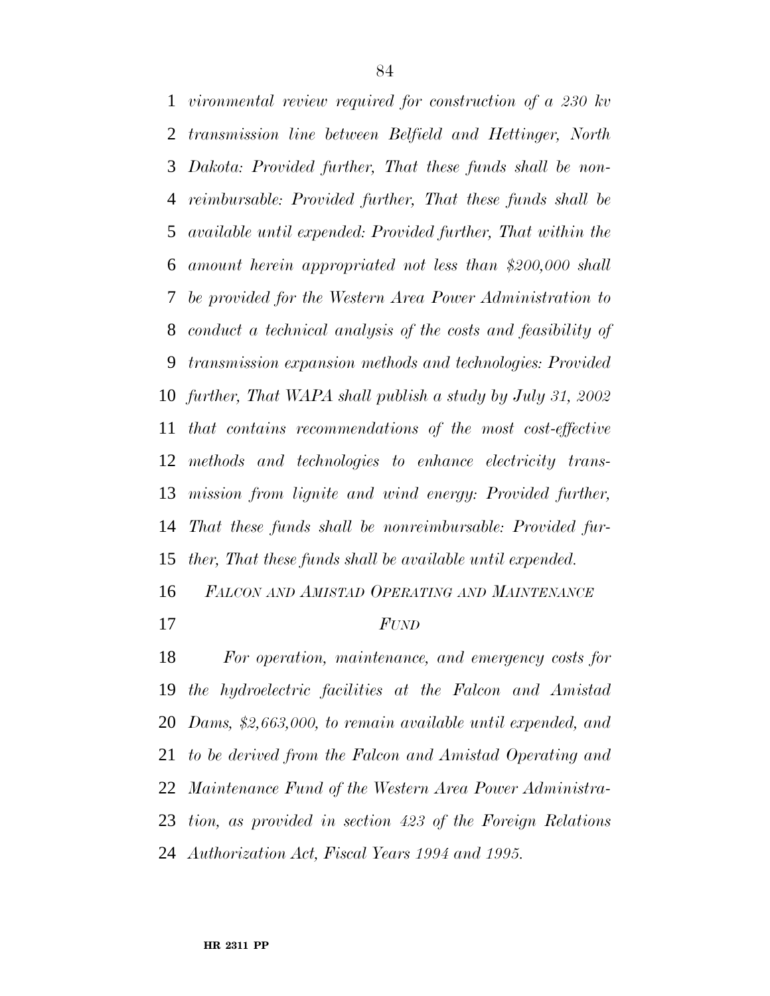*vironmental review required for construction of a 230 kv transmission line between Belfield and Hettinger, North Dakota: Provided further, That these funds shall be non- reimbursable: Provided further, That these funds shall be available until expended: Provided further, That within the amount herein appropriated not less than \$200,000 shall be provided for the Western Area Power Administration to conduct a technical analysis of the costs and feasibility of transmission expansion methods and technologies: Provided further, That WAPA shall publish a study by July 31, 2002 that contains recommendations of the most cost-effective methods and technologies to enhance electricity trans- mission from lignite and wind energy: Provided further, That these funds shall be nonreimbursable: Provided fur-ther, That these funds shall be available until expended.*

*FALCON AND AMISTAD OPERATING AND MAINTENANCE*

## *FUND*

 *For operation, maintenance, and emergency costs for the hydroelectric facilities at the Falcon and Amistad Dams, \$2,663,000, to remain available until expended, and to be derived from the Falcon and Amistad Operating and Maintenance Fund of the Western Area Power Administra- tion, as provided in section 423 of the Foreign Relations Authorization Act, Fiscal Years 1994 and 1995.*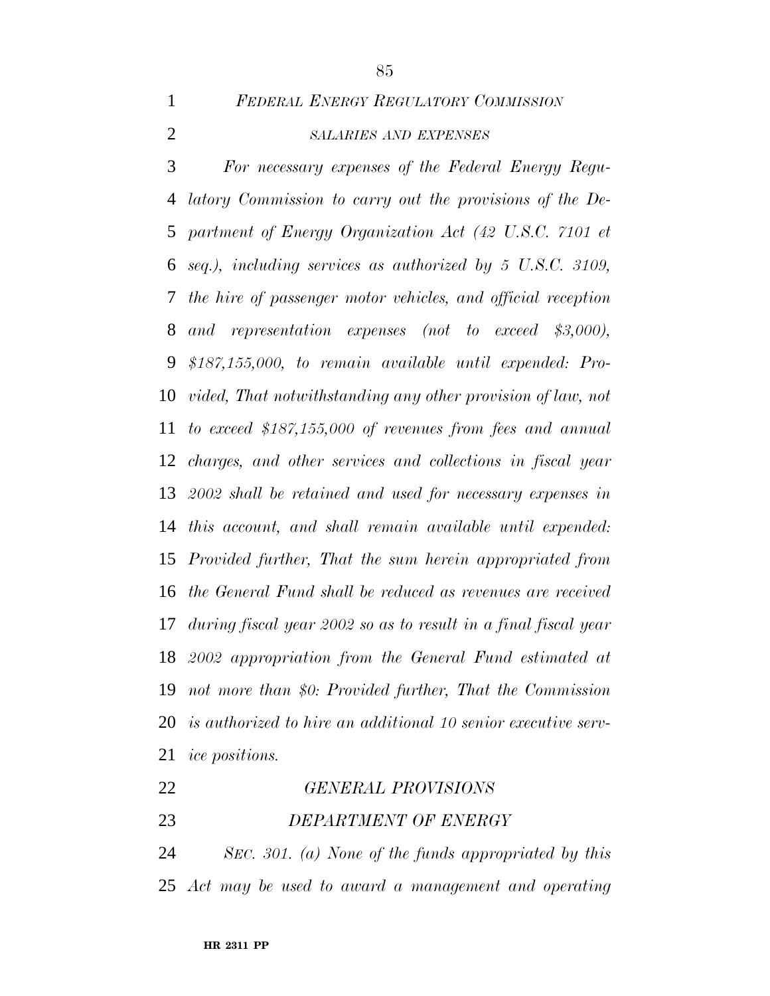*FEDERAL ENERGY REGULATORY COMMISSION*

# *SALARIES AND EXPENSES*

 *For necessary expenses of the Federal Energy Regu- latory Commission to carry out the provisions of the De- partment of Energy Organization Act (42 U.S.C. 7101 et seq.), including services as authorized by 5 U.S.C. 3109, the hire of passenger motor vehicles, and official reception and representation expenses (not to exceed \$3,000), \$187,155,000, to remain available until expended: Pro- vided, That notwithstanding any other provision of law, not to exceed \$187,155,000 of revenues from fees and annual charges, and other services and collections in fiscal year 2002 shall be retained and used for necessary expenses in this account, and shall remain available until expended: Provided further, That the sum herein appropriated from the General Fund shall be reduced as revenues are received during fiscal year 2002 so as to result in a final fiscal year 2002 appropriation from the General Fund estimated at not more than \$0: Provided further, That the Commission is authorized to hire an additional 10 senior executive serv-ice positions.*

 *GENERAL PROVISIONS DEPARTMENT OF ENERGY SEC. 301. (a) None of the funds appropriated by this*

*Act may be used to award a management and operating*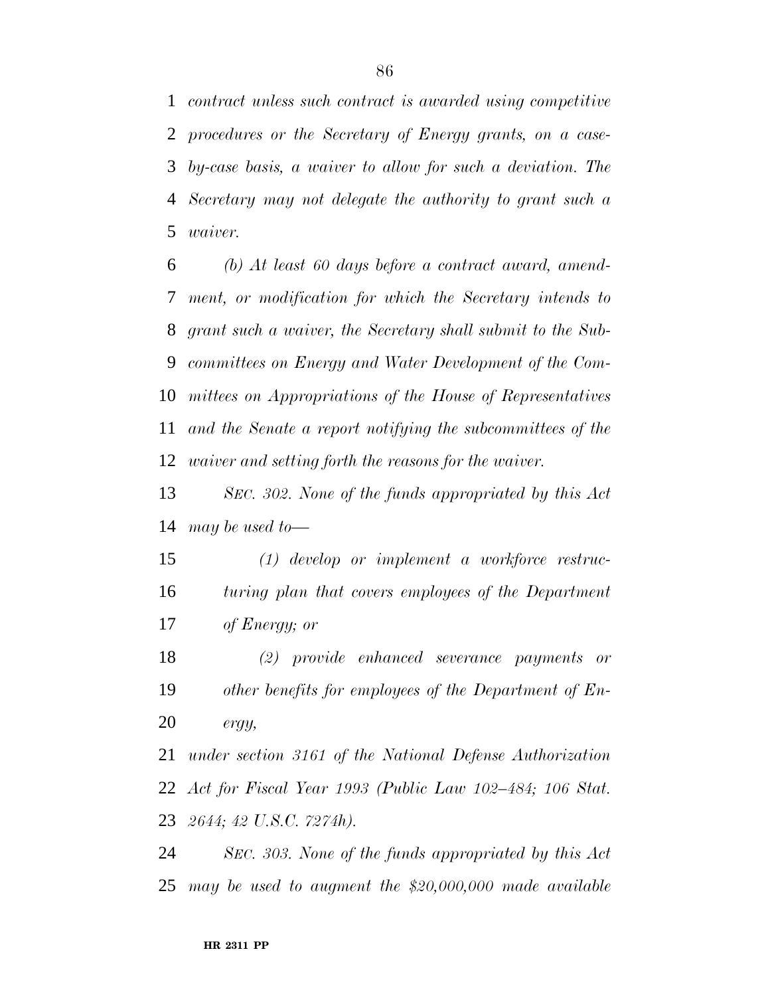*contract unless such contract is awarded using competitive procedures or the Secretary of Energy grants, on a case- by-case basis, a waiver to allow for such a deviation. The Secretary may not delegate the authority to grant such a waiver.*

 *(b) At least 60 days before a contract award, amend- ment, or modification for which the Secretary intends to grant such a waiver, the Secretary shall submit to the Sub- committees on Energy and Water Development of the Com- mittees on Appropriations of the House of Representatives and the Senate a report notifying the subcommittees of the waiver and setting forth the reasons for the waiver.*

 *SEC. 302. None of the funds appropriated by this Act may be used to—*

 *(1) develop or implement a workforce restruc- turing plan that covers employees of the Department of Energy; or*

 *(2) provide enhanced severance payments or other benefits for employees of the Department of En-ergy,*

 *under section 3161 of the National Defense Authorization Act for Fiscal Year 1993 (Public Law 102–484; 106 Stat. 2644; 42 U.S.C. 7274h).*

 *SEC. 303. None of the funds appropriated by this Act may be used to augment the \$20,000,000 made available*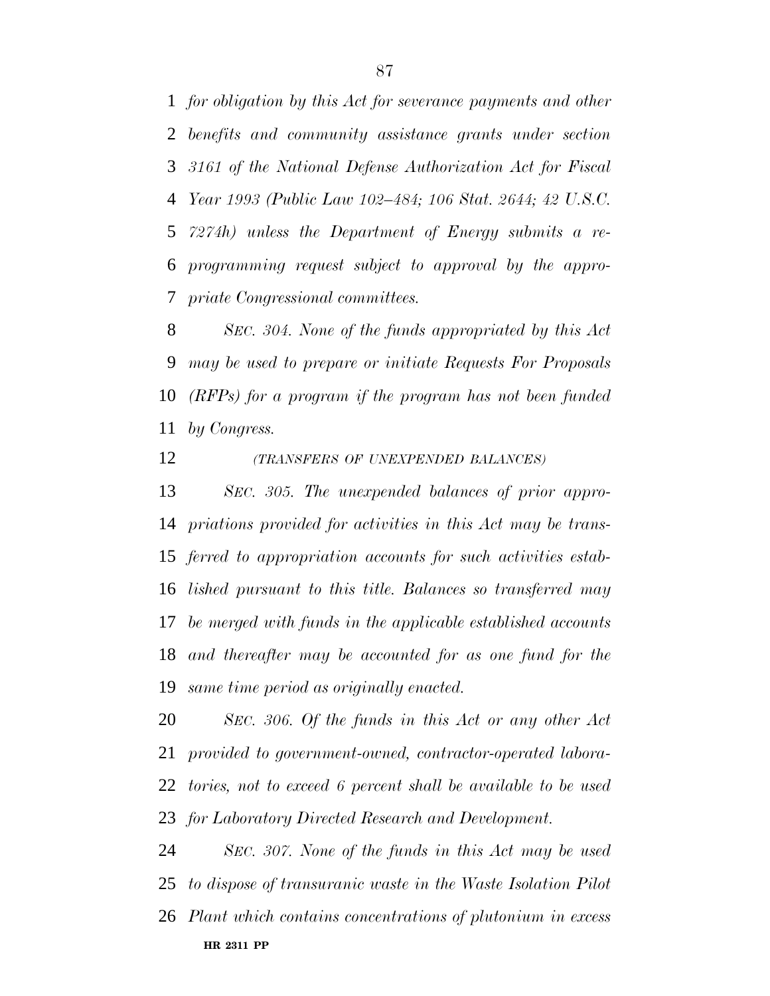*for obligation by this Act for severance payments and other benefits and community assistance grants under section 3161 of the National Defense Authorization Act for Fiscal Year 1993 (Public Law 102–484; 106 Stat. 2644; 42 U.S.C. 7274h) unless the Department of Energy submits a re- programming request subject to approval by the appro-priate Congressional committees.*

 *SEC. 304. None of the funds appropriated by this Act may be used to prepare or initiate Requests For Proposals (RFPs) for a program if the program has not been funded by Congress.*

*(TRANSFERS OF UNEXPENDED BALANCES)*

 *SEC. 305. The unexpended balances of prior appro- priations provided for activities in this Act may be trans- ferred to appropriation accounts for such activities estab- lished pursuant to this title. Balances so transferred may be merged with funds in the applicable established accounts and thereafter may be accounted for as one fund for the same time period as originally enacted.*

 *SEC. 306. Of the funds in this Act or any other Act provided to government-owned, contractor-operated labora- tories, not to exceed 6 percent shall be available to be used for Laboratory Directed Research and Development.*

**HR 2311 PP** *SEC. 307. None of the funds in this Act may be used to dispose of transuranic waste in the Waste Isolation Pilot Plant which contains concentrations of plutonium in excess*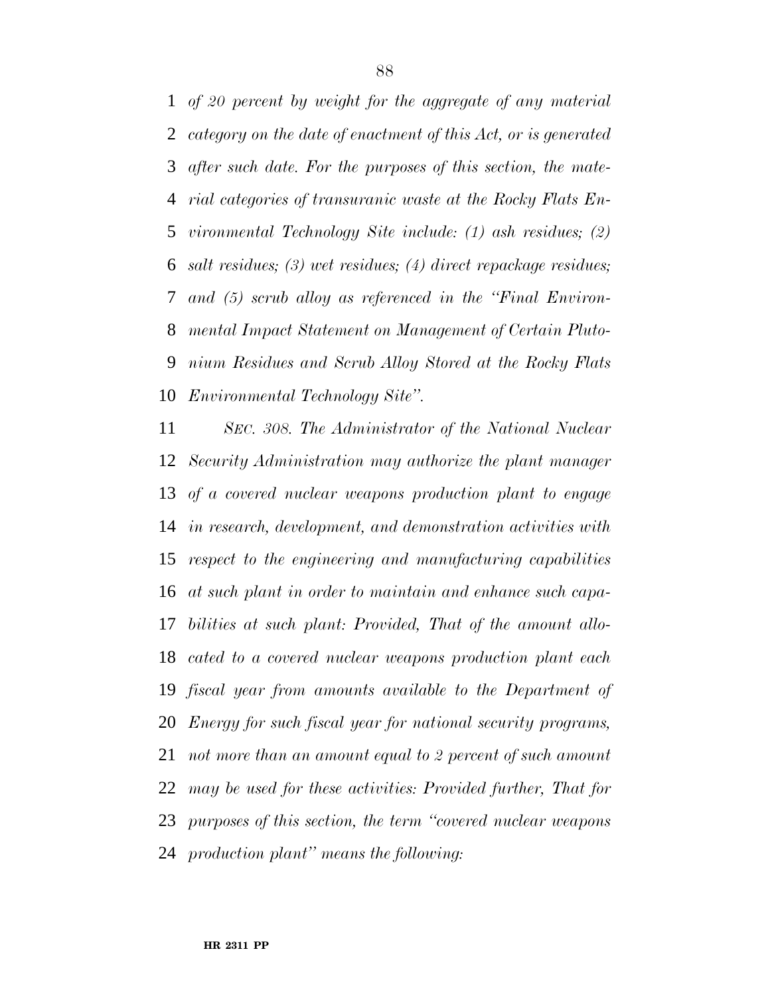*of 20 percent by weight for the aggregate of any material category on the date of enactment of this Act, or is generated after such date. For the purposes of this section, the mate- rial categories of transuranic waste at the Rocky Flats En- vironmental Technology Site include: (1) ash residues; (2) salt residues; (3) wet residues; (4) direct repackage residues; and (5) scrub alloy as referenced in the ''Final Environ- mental Impact Statement on Management of Certain Pluto- nium Residues and Scrub Alloy Stored at the Rocky Flats Environmental Technology Site''.*

 *SEC. 308. The Administrator of the National Nuclear Security Administration may authorize the plant manager of a covered nuclear weapons production plant to engage in research, development, and demonstration activities with respect to the engineering and manufacturing capabilities at such plant in order to maintain and enhance such capa- bilities at such plant: Provided, That of the amount allo- cated to a covered nuclear weapons production plant each fiscal year from amounts available to the Department of Energy for such fiscal year for national security programs, not more than an amount equal to 2 percent of such amount may be used for these activities: Provided further, That for purposes of this section, the term ''covered nuclear weapons production plant'' means the following:*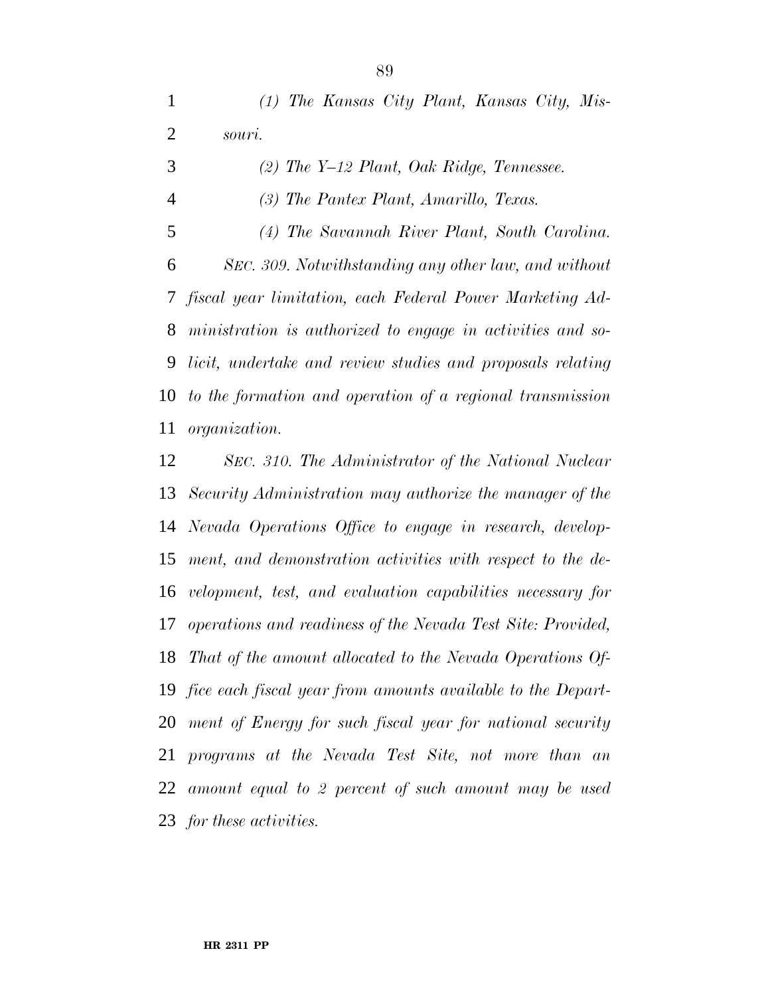*(1) The Kansas City Plant, Kansas City, Mis- souri. (2) The Y–12 Plant, Oak Ridge, Tennessee. (3) The Pantex Plant, Amarillo, Texas. (4) The Savannah River Plant, South Carolina. SEC. 309. Notwithstanding any other law, and without fiscal year limitation, each Federal Power Marketing Ad- ministration is authorized to engage in activities and so- licit, undertake and review studies and proposals relating to the formation and operation of a regional transmission organization.*

 *SEC. 310. The Administrator of the National Nuclear Security Administration may authorize the manager of the Nevada Operations Office to engage in research, develop- ment, and demonstration activities with respect to the de- velopment, test, and evaluation capabilities necessary for operations and readiness of the Nevada Test Site: Provided, That of the amount allocated to the Nevada Operations Of- fice each fiscal year from amounts available to the Depart- ment of Energy for such fiscal year for national security programs at the Nevada Test Site, not more than an amount equal to 2 percent of such amount may be used for these activities.*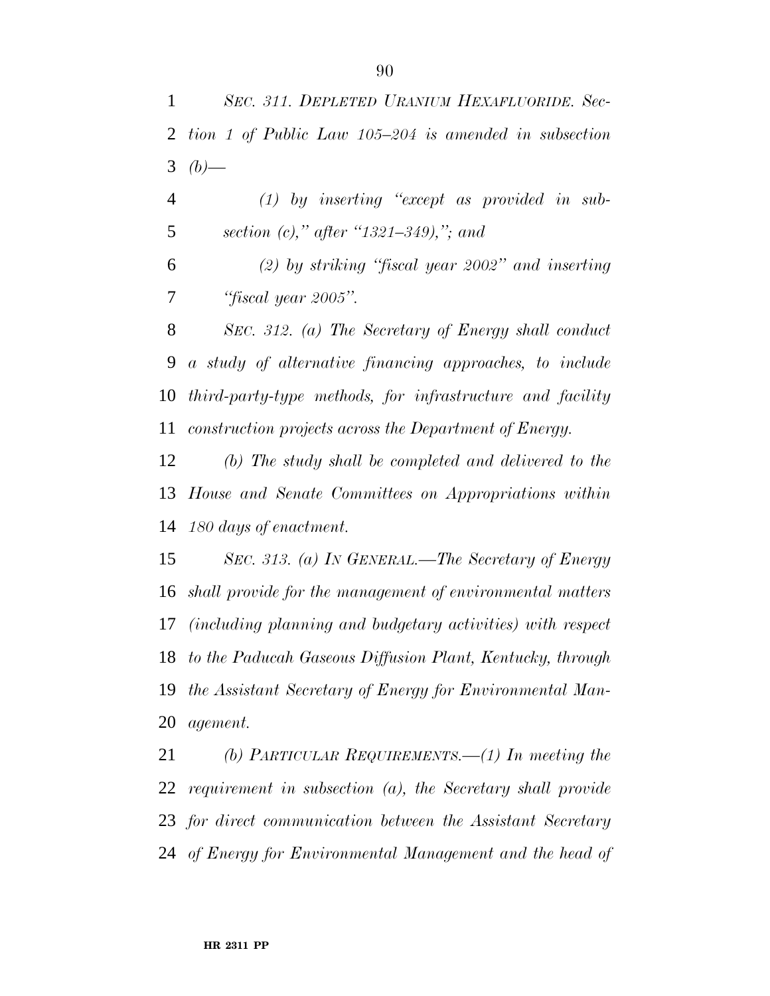*(1) by inserting ''except as provided in sub-section (c),'' after ''1321–349),''; and*

 *(2) by striking ''fiscal year 2002'' and inserting ''fiscal year 2005''.*

 *SEC. 312. (a) The Secretary of Energy shall conduct a study of alternative financing approaches, to include third-party-type methods, for infrastructure and facility construction projects across the Department of Energy.*

 *(b) The study shall be completed and delivered to the House and Senate Committees on Appropriations within 180 days of enactment.*

 *SEC. 313. (a) IN GENERAL.—The Secretary of Energy shall provide for the management of environmental matters (including planning and budgetary activities) with respect to the Paducah Gaseous Diffusion Plant, Kentucky, through the Assistant Secretary of Energy for Environmental Man-agement.*

 *(b) PARTICULAR REQUIREMENTS.—(1) In meeting the requirement in subsection (a), the Secretary shall provide for direct communication between the Assistant Secretary of Energy for Environmental Management and the head of*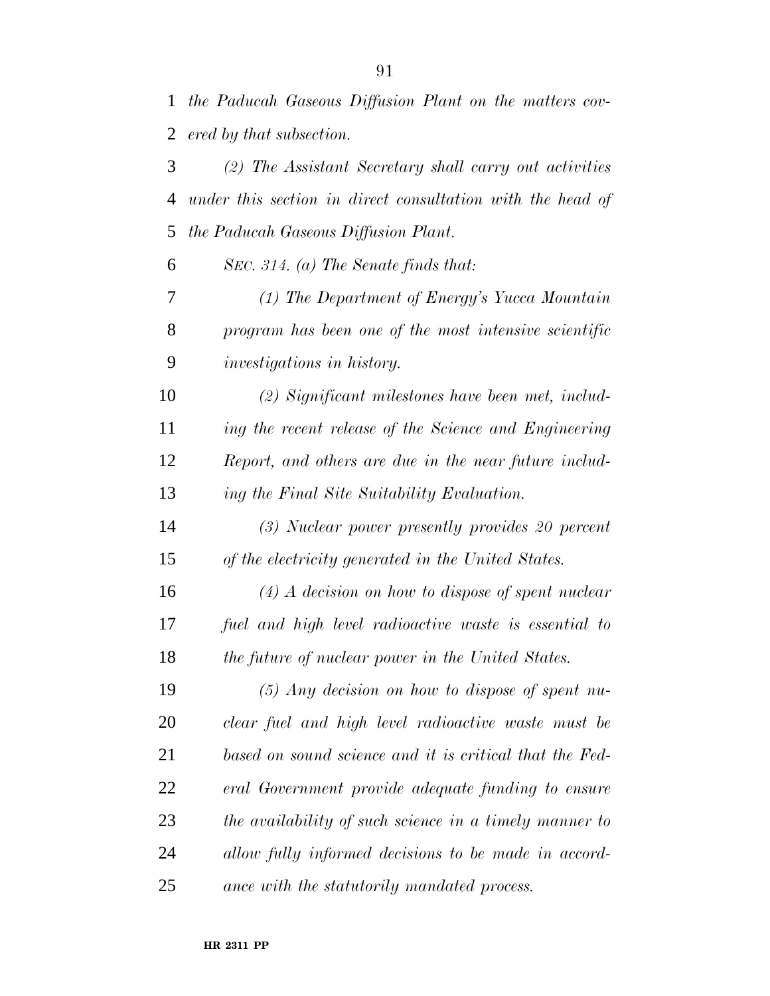*the Paducah Gaseous Diffusion Plant on the matters cov-*

 *ered by that subsection. (2) The Assistant Secretary shall carry out activities under this section in direct consultation with the head of the Paducah Gaseous Diffusion Plant. SEC. 314. (a) The Senate finds that:*

 *(1) The Department of Energy's Yucca Mountain program has been one of the most intensive scientific investigations in history.*

 *(2) Significant milestones have been met, includ- ing the recent release of the Science and Engineering Report, and others are due in the near future includ-ing the Final Site Suitability Evaluation.*

 *(3) Nuclear power presently provides 20 percent of the electricity generated in the United States.*

 *(4) A decision on how to dispose of spent nuclear fuel and high level radioactive waste is essential to the future of nuclear power in the United States.*

 *(5) Any decision on how to dispose of spent nu- clear fuel and high level radioactive waste must be based on sound science and it is critical that the Fed- eral Government provide adequate funding to ensure the availability of such science in a timely manner to allow fully informed decisions to be made in accord-ance with the statutorily mandated process.*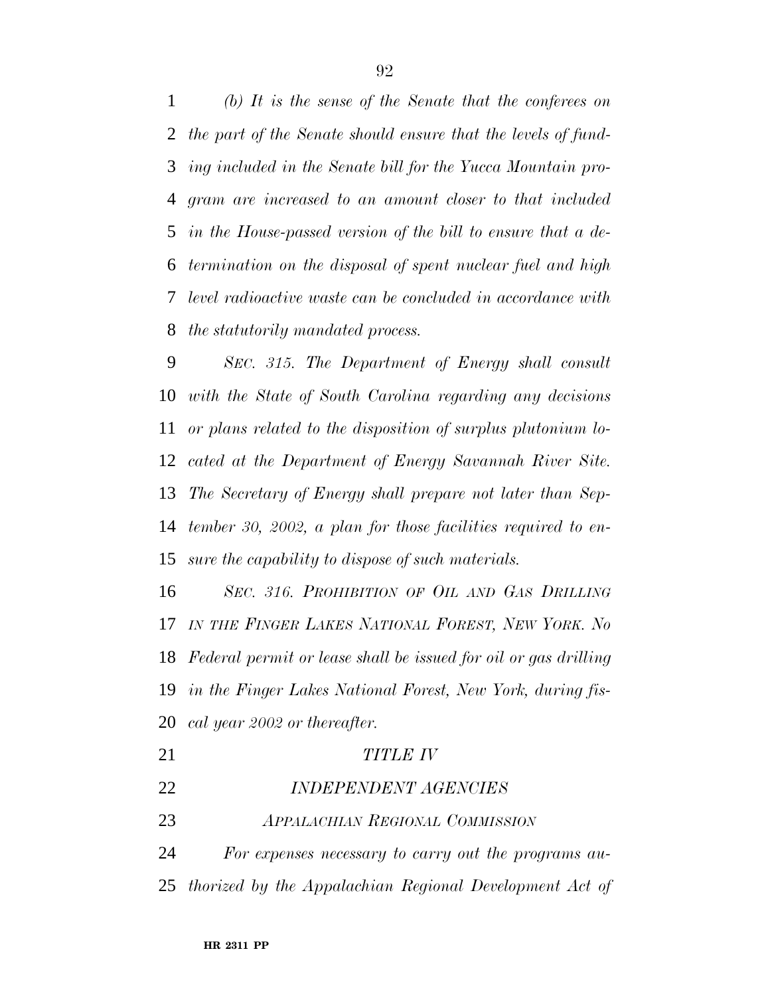*(b) It is the sense of the Senate that the conferees on the part of the Senate should ensure that the levels of fund- ing included in the Senate bill for the Yucca Mountain pro- gram are increased to an amount closer to that included in the House-passed version of the bill to ensure that a de- termination on the disposal of spent nuclear fuel and high level radioactive waste can be concluded in accordance with the statutorily mandated process.*

 *SEC. 315. The Department of Energy shall consult with the State of South Carolina regarding any decisions or plans related to the disposition of surplus plutonium lo- cated at the Department of Energy Savannah River Site. The Secretary of Energy shall prepare not later than Sep- tember 30, 2002, a plan for those facilities required to en-sure the capability to dispose of such materials.*

 *SEC. 316. PROHIBITION OF OIL AND GAS DRILLING IN THE FINGER LAKES NATIONAL FOREST, NEW YORK. No Federal permit or lease shall be issued for oil or gas drilling in the Finger Lakes National Forest, New York, during fis-cal year 2002 or thereafter.*

| 21 | TITLE IV                               |
|----|----------------------------------------|
| 22 | <b>INDEPENDENT AGENCIES</b>            |
| 23 | <b>APPALACHIAN REGIONAL COMMISSION</b> |

 *For expenses necessary to carry out the programs au-thorized by the Appalachian Regional Development Act of*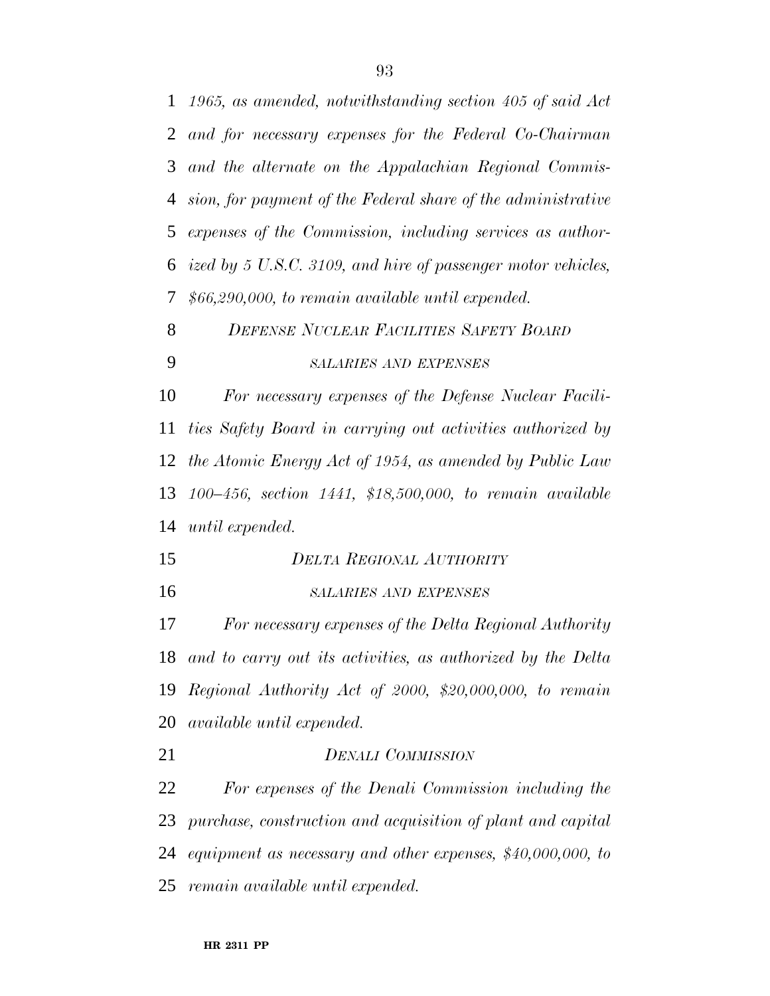| $\mathbf{1}$   | 1965, as amended, notwithstanding section 405 of said Act      |
|----------------|----------------------------------------------------------------|
| $\overline{2}$ | and for necessary expenses for the Federal Co-Chairman         |
| 3              | and the alternate on the Appalachian Regional Commis-          |
| 4              | sion, for payment of the Federal share of the administrative   |
| 5              | expenses of the Commission, including services as author-      |
| 6              | ized by 5 U.S.C. 3109, and hire of passenger motor vehicles,   |
| 7              | $$66,290,000,$ to remain available until expended.             |
| 8              | <b>DEFENSE NUCLEAR FACILITIES SAFETY BOARD</b>                 |
| 9              | <b>SALARIES AND EXPENSES</b>                                   |
| 10             | For necessary expenses of the Defense Nuclear Facili-          |
| 11             | ties Safety Board in carrying out activities authorized by     |
| 12             | the Atomic Energy Act of 1954, as amended by Public Law        |
| 13             | $100-456$ , section $1441$ , \$18,500,000, to remain available |
| 14             | until expended.                                                |
| 15             | <b>DELTA REGIONAL AUTHORITY</b>                                |
| 16             | <b>SALARIES AND EXPENSES</b>                                   |
| 17             | For necessary expenses of the Delta Regional Authority         |
| 18             | and to carry out its activities, as authorized by the Delta    |
| 19             | Regional Authority Act of 2000, \$20,000,000, to remain        |
| 20             | <i>available until expended.</i>                               |
| 21             | <b>DENALI COMMISSION</b>                                       |
| 22             | For expenses of the Denali Commission including the            |
| 23             | purchase, construction and acquisition of plant and capital    |
| 24             | equipment as necessary and other expenses, $$40,000,000,$ to   |
|                | 25 remain available until expended.                            |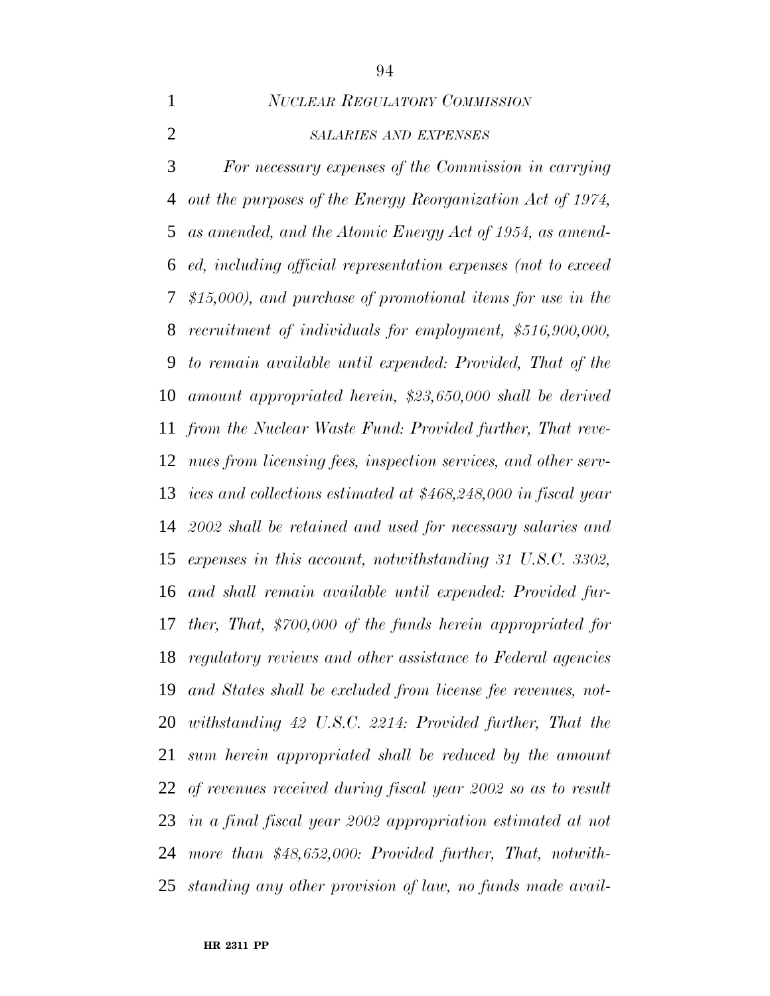*NUCLEAR REGULATORY COMMISSION*

## *SALARIES AND EXPENSES*

 *For necessary expenses of the Commission in carrying out the purposes of the Energy Reorganization Act of 1974, as amended, and the Atomic Energy Act of 1954, as amend- ed, including official representation expenses (not to exceed \$15,000), and purchase of promotional items for use in the recruitment of individuals for employment, \$516,900,000, to remain available until expended: Provided, That of the amount appropriated herein, \$23,650,000 shall be derived from the Nuclear Waste Fund: Provided further, That reve- nues from licensing fees, inspection services, and other serv- ices and collections estimated at \$468,248,000 in fiscal year 2002 shall be retained and used for necessary salaries and expenses in this account, notwithstanding 31 U.S.C. 3302, and shall remain available until expended: Provided fur- ther, That, \$700,000 of the funds herein appropriated for regulatory reviews and other assistance to Federal agencies and States shall be excluded from license fee revenues, not- withstanding 42 U.S.C. 2214: Provided further, That the sum herein appropriated shall be reduced by the amount of revenues received during fiscal year 2002 so as to result in a final fiscal year 2002 appropriation estimated at not more than \$48,652,000: Provided further, That, notwith-standing any other provision of law, no funds made avail-*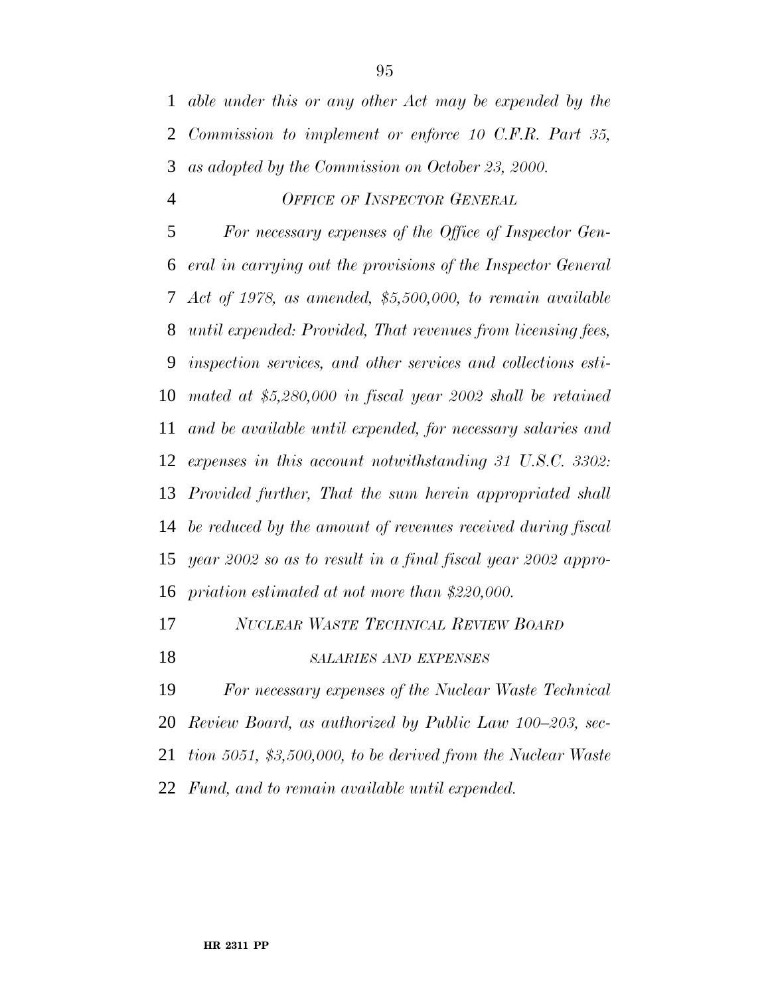*able under this or any other Act may be expended by the Commission to implement or enforce 10 C.F.R. Part 35, as adopted by the Commission on October 23, 2000.*

### *OFFICE OF INSPECTOR GENERAL*

 *For necessary expenses of the Office of Inspector Gen- eral in carrying out the provisions of the Inspector General Act of 1978, as amended, \$5,500,000, to remain available until expended: Provided, That revenues from licensing fees, inspection services, and other services and collections esti- mated at \$5,280,000 in fiscal year 2002 shall be retained and be available until expended, for necessary salaries and expenses in this account notwithstanding 31 U.S.C. 3302: Provided further, That the sum herein appropriated shall be reduced by the amount of revenues received during fiscal year 2002 so as to result in a final fiscal year 2002 appro-priation estimated at not more than \$220,000.*

- *NUCLEAR WASTE TECHNICAL REVIEW BOARD*
- *SALARIES AND EXPENSES*

 *For necessary expenses of the Nuclear Waste Technical Review Board, as authorized by Public Law 100–203, sec-*

*tion 5051, \$3,500,000, to be derived from the Nuclear Waste*

*Fund, and to remain available until expended.*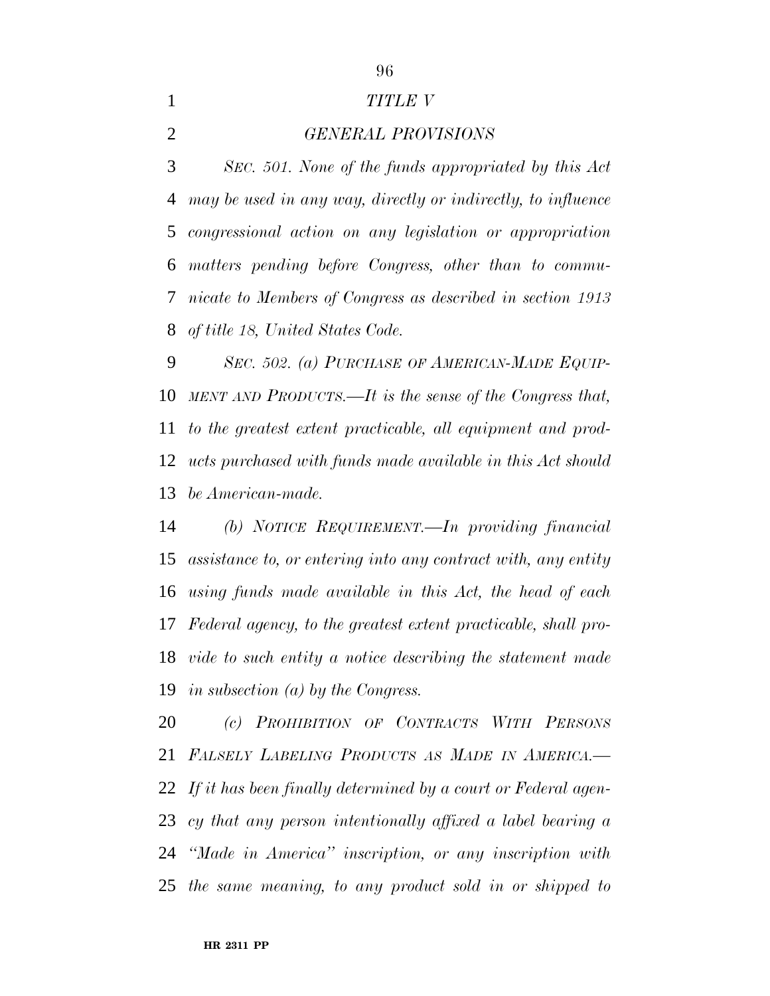### *TITLE V*

*GENERAL PROVISIONS*

 *SEC. 501. None of the funds appropriated by this Act may be used in any way, directly or indirectly, to influence congressional action on any legislation or appropriation matters pending before Congress, other than to commu- nicate to Members of Congress as described in section 1913 of title 18, United States Code.*

 *SEC. 502. (a) PURCHASE OF AMERICAN-MADE EQUIP- MENTAND PRODUCTS.—It is the sense of the Congress that, to the greatest extent practicable, all equipment and prod- ucts purchased with funds made available in this Act should be American-made.*

 *(b) NOTICE REQUIREMENT.—In providing financial assistance to, or entering into any contract with, any entity using funds made available in this Act, the head of each Federal agency, to the greatest extent practicable, shall pro- vide to such entity a notice describing the statement made in subsection (a) by the Congress.*

 *(c) PROHIBITION OF CONTRACTS WITH PERSONS FALSELY LABELING PRODUCTS AS MADE IN AMERICA.— If it has been finally determined by a court or Federal agen- cy that any person intentionally affixed a label bearing a ''Made in America'' inscription, or any inscription with the same meaning, to any product sold in or shipped to*